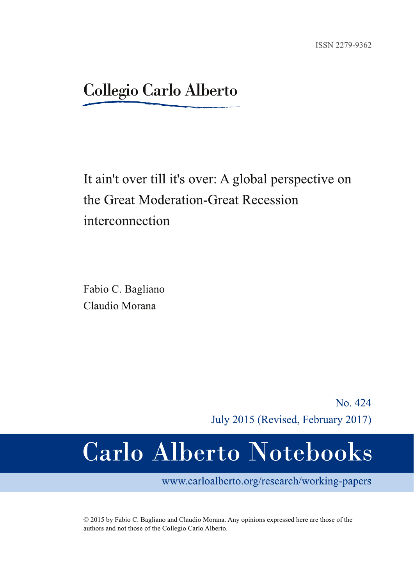# **Collegio Carlo Alberto**

# It ain't over till it's over: A global perspective on the Great Moderation-Great Recession interconnection

Fabio C. Bagliano Claudio Morana

> No. 424 July 2015 (Revised, February 2017)

# **Carlo Alberto Notebooks**

www.carloalberto.org/research/working-papers

© 2015 by Fabio C. Bagliano and Claudio Morana. Any opinions expressed here are those of the authors and not those of the Collegio Carlo Alberto.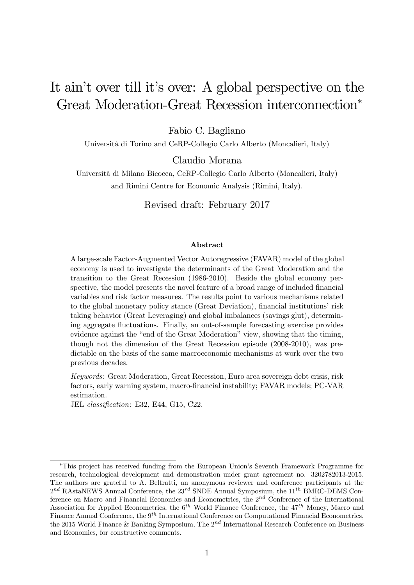# It ain't over till it's over: A global perspective on the Great Moderation-Great Recession interconnection<sup>∗</sup>

Fabio C. Bagliano

Università di Torino and CeRP-Collegio Carlo Alberto (Moncalieri, Italy)

Claudio Morana

Università di Milano Bicocca, CeRP-Collegio Carlo Alberto (Moncalieri, Italy) and Rimini Centre for Economic Analysis (Rimini, Italy).

Revised draft: February 2017

#### Abstract

A large-scale Factor-Augmented Vector Autoregressive (FAVAR) model of the global economy is used to investigate the determinants of the Great Moderation and the transition to the Great Recession (1986-2010). Beside the global economy perspective, the model presents the novel feature of a broad range of included financial variables and risk factor measures. The results point to various mechanisms related to the global monetary policy stance (Great Deviation), financial institutions' risk taking behavior (Great Leveraging) and global imbalances (savings glut), determining aggregate fluctuations. Finally, an out-of-sample forecasting exercise provides evidence against the "end of the Great Moderation" view, showing that the timing, though not the dimension of the Great Recession episode (2008-2010), was predictable on the basis of the same macroeconomic mechanisms at work over the two previous decades.

Keywords: Great Moderation, Great Recession, Euro area sovereign debt crisis, risk factors, early warning system, macro-financial instability; FAVAR models; PC-VAR estimation.

JEL classification: E32, E44, G15, C22.

<sup>∗</sup>This project has received funding from the European Union's Seventh Framework Programme for research, technological development and demonstration under grant agreement no. 3202782013-2015. The authors are grateful to A. Beltratti, an anonymous reviewer and conference participants at the  $2^{nd}$  RAstaNEWS Annual Conference, the  $23^{rd}$  SNDE Annual Symposium, the  $11^{th}$  BMRC-DEMS Conference on Macro and Financial Economics and Econometrics, the  $2^{nd}$  Conference of the International Association for Applied Econometrics, the  $6^{th}$  World Finance Conference, the  $47^{th}$  Money, Macro and Finance Annual Conference, the  $9<sup>th</sup>$  International Conference on Computational Financial Econometrics, the 2015 World Finance & Banking Symposium, The  $2^{nd}$  International Research Conference on Business and Economics, for constructive comments.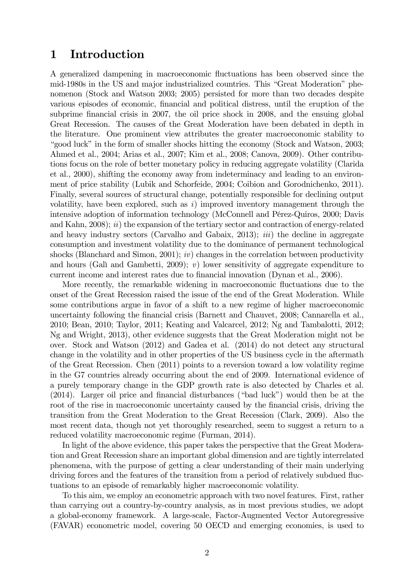# 1 Introduction

A generalized dampening in macroeconomic fluctuations has been observed since the mid-1980s in the US and major industrialized countries. This "Great Moderation" phenomenon (Stock and Watson 2003; 2005) persisted for more than two decades despite various episodes of economic, financial and political distress, until the eruption of the subprime financial crisis in 2007, the oil price shock in 2008, and the ensuing global Great Recession. The causes of the Great Moderation have been debated in depth in the literature. One prominent view attributes the greater macroeconomic stability to "good luck" in the form of smaller shocks hitting the economy (Stock and Watson, 2003; Ahmed et al., 2004; Arias et al., 2007; Kim et al., 2008; Canova, 2009). Other contributions focus on the role of better monetary policy in reducing aggregate volatility (Clarida et al., 2000), shifting the economy away from indeterminacy and leading to an environment of price stability (Lubik and Schorfeide, 2004; Coibion and Gorodnichenko, 2011). Finally, several sources of structural change, potentially responsible for declining output volatility, have been explored, such as  $i)$  improved inventory management through the intensive adoption of information technology (McConnell and Pérez-Quiros, 2000; Davis and Kahn, 2008); *ii*) the expansion of the tertiary sector and contraction of energy-related and heavy industry sectors (Carvalho and Gabaix,  $2013$ ); *iii*) the decline in aggregate consumption and investment volatility due to the dominance of permanent technological shocks (Blanchard and Simon, 2001); *iv*) changes in the correlation between productivity and hours (Galì and Gambetti, 2009); v) lower sensitivity of aggregate expenditure to current income and interest rates due to financial innovation (Dynan et al., 2006).

More recently, the remarkable widening in macroeconomic fluctuations due to the onset of the Great Recession raised the issue of the end of the Great Moderation. While some contributions argue in favor of a shift to a new regime of higher macroeconomic uncertainty following the financial crisis (Barnett and Chauvet, 2008; Cannarella et al., 2010; Bean, 2010; Taylor, 2011; Keating and Valcarcel, 2012; Ng and Tambalotti, 2012; Ng and Wright, 2013), other evidence suggests that the Great Moderation might not be over. Stock and Watson (2012) and Gadea et al. (2014) do not detect any structural change in the volatility and in other properties of the US business cycle in the aftermath of the Great Recession. Chen (2011) points to a reversion toward a low volatility regime in the G7 countries already occurring about the end of 2009. International evidence of a purely temporary change in the GDP growth rate is also detected by Charles et al. (2014). Larger oil price and financial disturbances ("bad luck") would then be at the root of the rise in macroeconomic uncertainty caused by the financial crisis, driving the transition from the Great Moderation to the Great Recession (Clark, 2009). Also the most recent data, though not yet thoroughly researched, seem to suggest a return to a reduced volatility macroeconomic regime (Furman, 2014).

In light of the above evidence, this paper takes the perspective that the Great Moderation and Great Recession share an important global dimension and are tightly interrelated phenomena, with the purpose of getting a clear understanding of their main underlying driving forces and the features of the transition from a period of relatively subdued fluctuations to an episode of remarkably higher macroeconomic volatility.

To this aim, we employ an econometric approach with two novel features. First, rather than carrying out a country-by-country analysis, as in most previous studies, we adopt a global-economy framework. A large-scale, Factor-Augmented Vector Autoregressive (FAVAR) econometric model, covering 50 OECD and emerging economies, is used to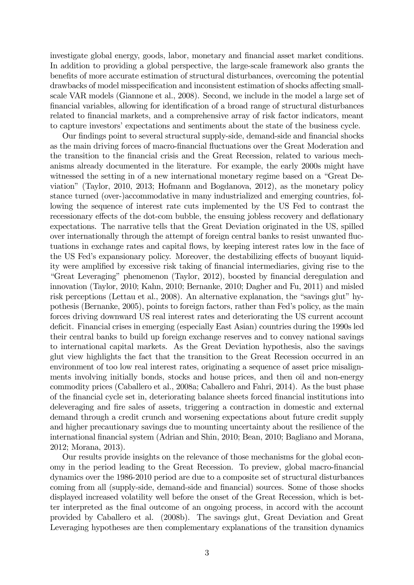investigate global energy, goods, labor, monetary and financial asset market conditions. In addition to providing a global perspective, the large-scale framework also grants the benefits of more accurate estimation of structural disturbances, overcoming the potential drawbacks of model misspecification and inconsistent estimation of shocks affecting smallscale VAR models (Giannone et al., 2008). Second, we include in the model a large set of financial variables, allowing for identification of a broad range of structural disturbances related to financial markets, and a comprehensive array of risk factor indicators, meant to capture investors' expectations and sentiments about the state of the business cycle.

Our findings point to several structural supply-side, demand-side and financial shocks as the main driving forces of macro-financial fluctuations over the Great Moderation and the transition to the financial crisis and the Great Recession, related to various mechanisms already documented in the literature. For example, the early 2000s might have witnessed the setting in of a new international monetary regime based on a "Great Deviation" (Taylor, 2010, 2013; Hofmann and Bogdanova, 2012), as the monetary policy stance turned (over-)accommodative in many industrialized and emerging countries, following the sequence of interest rate cuts implemented by the US Fed to contrast the recessionary effects of the dot-com bubble, the ensuing jobless recovery and deflationary expectations. The narrative tells that the Great Deviation originated in the US, spilled over internationally through the attempt of foreign central banks to resist unwanted fluctuations in exchange rates and capital flows, by keeping interest rates low in the face of the US Fed's expansionary policy. Moreover, the destabilizing effects of buoyant liquidity were amplified by excessive risk taking of financial intermediaries, giving rise to the "Great Leveraging" phenomenon (Taylor, 2012), boosted by financial deregulation and innovation (Taylor, 2010; Kahn, 2010; Bernanke, 2010; Dagher and Fu, 2011) and misled risk perceptions (Lettau et al., 2008). An alternative explanation, the "savings glut" hypothesis (Bernanke, 2005), points to foreign factors, rather than Fed's policy, as the main forces driving downward US real interest rates and deteriorating the US current account deficit. Financial crises in emerging (especially East Asian) countries during the 1990s led their central banks to build up foreign exchange reserves and to convey national savings to international capital markets. As the Great Deviation hypothesis, also the savings glut view highlights the fact that the transition to the Great Recession occurred in an environment of too low real interest rates, originating a sequence of asset price misalignments involving initially bonds, stocks and house prices, and then oil and non-energy commodity prices (Caballero et al., 2008a; Caballero and Fahri, 2014). As the bust phase of the financial cycle set in, deteriorating balance sheets forced financial institutions into deleveraging and fire sales of assets, triggering a contraction in domestic and external demand through a credit crunch and worsening expectations about future credit supply and higher precautionary savings due to mounting uncertainty about the resilience of the international financial system (Adrian and Shin, 2010; Bean, 2010; Bagliano and Morana, 2012; Morana, 2013).

Our results provide insights on the relevance of those mechanisms for the global economy in the period leading to the Great Recession. To preview, global macro-financial dynamics over the 1986-2010 period are due to a composite set of structural disturbances coming from all (supply-side, demand-side and financial) sources. Some of those shocks displayed increased volatility well before the onset of the Great Recession, which is better interpreted as the final outcome of an ongoing process, in accord with the account provided by Caballero et al. (2008b). The savings glut, Great Deviation and Great Leveraging hypotheses are then complementary explanations of the transition dynamics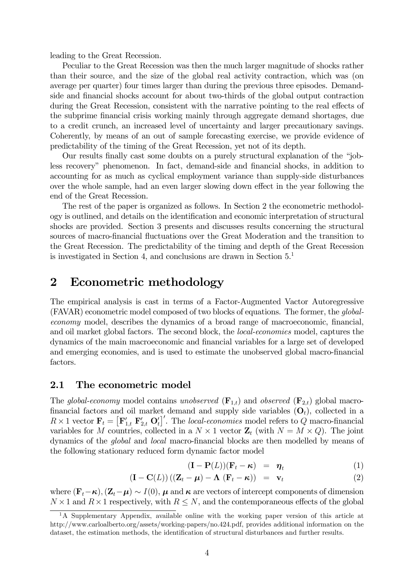leading to the Great Recession.

Peculiar to the Great Recession was then the much larger magnitude of shocks rather than their source, and the size of the global real activity contraction, which was (on average per quarter) four times larger than during the previous three episodes. Demandside and financial shocks account for about two-thirds of the global output contraction during the Great Recession, consistent with the narrative pointing to the real effects of the subprime financial crisis working mainly through aggregate demand shortages, due to a credit crunch, an increased level of uncertainty and larger precautionary savings. Coherently, by means of an out of sample forecasting exercise, we provide evidence of predictability of the timing of the Great Recession, yet not of its depth.

Our results finally cast some doubts on a purely structural explanation of the "jobless recovery" phenomenon. In fact, demand-side and financial shocks, in addition to accounting for as much as cyclical employment variance than supply-side disturbances over the whole sample, had an even larger slowing down effect in the year following the end of the Great Recession.

The rest of the paper is organized as follows. In Section 2 the econometric methodology is outlined, and details on the identification and economic interpretation of structural shocks are provided. Section 3 presents and discusses results concerning the structural sources of macro-financial fluctuations over the Great Moderation and the transition to the Great Recession. The predictability of the timing and depth of the Great Recession is investigated in Section 4, and conclusions are drawn in Section 5.1

# 2 Econometric methodology

The empirical analysis is cast in terms of a Factor-Augmented Vactor Autoregressive (FAVAR) econometric model composed of two blocks of equations. The former, the globaleconomy model, describes the dynamics of a broad range of macroeconomic, financial, and oil market global factors. The second block, the *local-economies* model, captures the dynamics of the main macroeconomic and financial variables for a large set of developed and emerging economies, and is used to estimate the unobserved global macro-financial factors.

# 2.1 The econometric model

The global-economy model contains unobserved  $(\mathbf{F}_{1,t})$  and observed  $(\mathbf{F}_{2,t})$  global macrofinancial factors and oil market demand and supply side variables  $(O_t)$ , collected in a  $R \times 1$  vector  $\mathbf{F}_t = [\mathbf{F}_{1,t}^\prime \ \mathbf{F}_{2,t}^\prime \ \mathbf{O}_t^\prime]^\prime$ . The local-economies model refers to Q macro-financial variables for M countries, collected in a  $N \times 1$  vector  $\mathbb{Z}_t$  (with  $N = M \times Q$ ). The joint dynamics of the global and local macro-financial blocks are then modelled by means of the following stationary reduced form dynamic factor model

$$
(\mathbf{I} - \mathbf{P}(L)) (\mathbf{F}_t - \boldsymbol{\kappa}) = \boldsymbol{\eta}_t \tag{1}
$$

$$
(\mathbf{I} - \mathbf{C}(L)) ((\mathbf{Z}_t - \boldsymbol{\mu}) - \boldsymbol{\Lambda} (\mathbf{F}_t - \boldsymbol{\kappa})) = \mathbf{v}_t
$$
 (2)

where  $(\mathbf{F}_t-\boldsymbol{\kappa}), (\mathbf{Z}_t-\boldsymbol{\mu}) \sim I(0), \boldsymbol{\mu}$  and  $\boldsymbol{\kappa}$  are vectors of intercept components of dimension  $N \times 1$  and  $R \times 1$  respectively, with  $R \leq N$ , and the contemporaneous effects of the global

<sup>&</sup>lt;sup>1</sup>A Supplementary Appendix, available online with the working paper version of this article at http://www.carloalberto.org/assets/working-papers/no.424.pdf, provides additional information on the dataset, the estimation methods, the identification of structural disturbances and further results.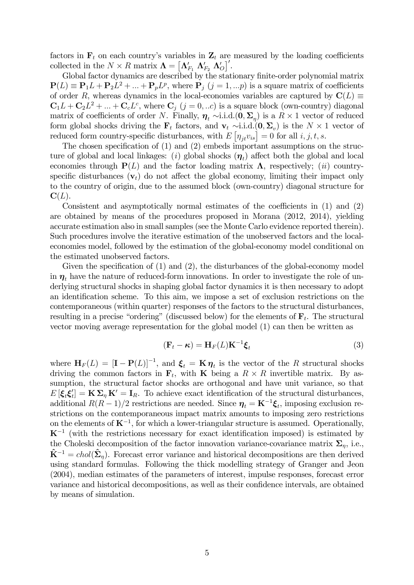factors in  $F_t$  on each country's variables in  $Z_t$  are measured by the loading coefficients collected in the  $N \times R$  matrix  $\mathbf{\Lambda} = [\mathbf{\Lambda}'_{F_1} \mathbf{\Lambda}'_{F_2} \mathbf{\Lambda}'_0]'$ .

Global factor dynamics are described by the stationary finite-order polynomial matrix  $P(L) \equiv P_1 L + P_2 L^2 + ... + P_p L^p$ , where  $P_j$   $(j = 1, ...p)$  is a square matrix of coefficients of order R, whereas dynamics in the local-economies variables are captured by  $C(L) \equiv$  $C_1L + C_2L^2 + ... + C_cL^c$ , where  $C_j$   $(j = 0, ...c)$  is a square block (own-country) diagonal matrix of coefficients of order N. Finally,  $\eta_t \sim i.i.d.$  (0,  $\Sigma_n$ ) is a  $R \times 1$  vector of reduced form global shocks driving the  $\mathbf{F}_t$  factors, and  $\mathbf{v}_t \sim$ i.i.d. $(\mathbf{0}, \Sigma_v)$  is the  $N \times 1$  vector of reduced form country-specific disturbances, with  $E[\eta_{jt} v_{is}] = 0$  for all  $i, j, t, s$ .

The chosen specification of (1) and (2) embeds important assumptions on the structure of global and local linkages: (i) global shocks  $(\eta_t)$  affect both the global and local economies through  $P(L)$  and the factor loading matrix  $\Lambda$ , respectively; (ii) countryspecific disturbances  $(v<sub>t</sub>)$  do not affect the global economy, limiting their impact only to the country of origin, due to the assumed block (own-country) diagonal structure for  $\mathbf{C}(L)$ .

Consistent and asymptotically normal estimates of the coefficients in (1) and (2) are obtained by means of the procedures proposed in Morana (2012, 2014), yielding accurate estimation also in small samples (see the Monte Carlo evidence reported therein). Such procedures involve the iterative estimation of the unobserved factors and the localeconomies model, followed by the estimation of the global-economy model conditional on the estimated unobserved factors.

Given the specification of (1) and (2), the disturbances of the global-economy model in  $\eta_t$  have the nature of reduced-form innovations. In order to investigate the role of underlying structural shocks in shaping global factor dynamics it is then necessary to adopt an identification scheme. To this aim, we impose a set of exclusion restrictions on the contemporaneous (within quarter) responses of the factors to the structural disturbances, resulting in a precise "ordering" (discussed below) for the elements of  $\mathbf{F}_t$ . The structural vector moving average representation for the global model (1) can then be written as

$$
(\mathbf{F}_t - \boldsymbol{\kappa}) = \mathbf{H}_F(L)\mathbf{K}^{-1}\boldsymbol{\xi}_t
$$
\n(3)

where  $\mathbf{H}_F(L)=[\mathbf{I}-\mathbf{P}(L)]^{-1}$ , and  $\boldsymbol{\xi}_t=\mathbf{K}\boldsymbol{\eta}_t$  is the vector of the R structural shocks driving the common factors in  $\mathbf{F}_t$ , with **K** being a  $R \times R$  invertible matrix. By assumption, the structural factor shocks are orthogonal and have unit variance, so that  $E[\xi_t \xi'_t] = \mathbf{K} \Sigma_{\eta} \mathbf{K}' = \mathbf{I}_R$ . To achieve exact identification of the structural disturbances, additional  $R(R-1)/2$  restrictions are needed. Since  $\eta_t = K^{-1}\xi_t$ , imposing exclusion restrictions on the contemporaneous impact matrix amounts to imposing zero restrictions on the elements of  $K^{-1}$ , for which a lower-triangular structure is assumed. Operationally,  $K^{-1}$  (with the restrictions necessary for exact identification imposed) is estimated by the Choleski decomposition of the factor innovation variance-covariance matrix  $\Sigma_{\eta}$ , i.e.,  $\hat{\mathbf{K}}^{-1} = chol(\hat{\Sigma}_n)$ . Forecast error variance and historical decompositions are then derived using standard formulas. Following the thick modelling strategy of Granger and Jeon (2004), median estimates of the parameters of interest, impulse responses, forecast error variance and historical decompositions, as well as their confidence intervals, are obtained by means of simulation.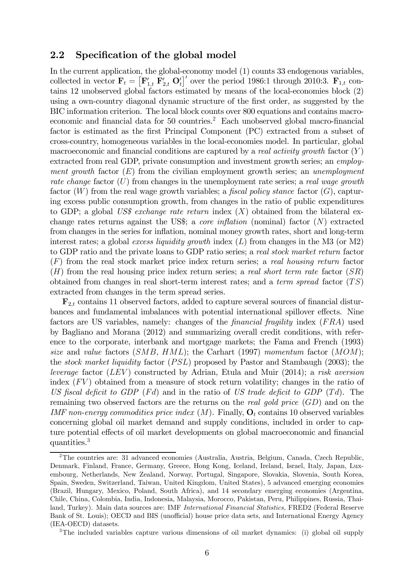# 2.2 Specification of the global model

In the current application, the global-economy model (1) counts 33 endogenous variables, collected in vector  $\mathbf{F}_t = \left[\mathbf{F}_{1,t}^{\prime} \ \mathbf{F}_{2,t}^{\prime} \ \mathbf{O}_t^{\prime}\right]^{\prime}$  over the period 1986:1 through 2010:3.  $\mathbf{F}_{1,t}$  contains 12 unobserved global factors estimated by means of the local-economies block (2) using a own-country diagonal dynamic structure of the first order, as suggested by the BIC information criterion. The local block counts over 800 equations and contains macroeconomic and financial data for 50 countries.<sup>2</sup> Each unobserved global macro-financial factor is estimated as the first Principal Component (PC) extracted from a subset of cross-country, homogeneous variables in the local-economies model. In particular, global macroeconomic and financial conditions are captured by a *real activity growth* factor  $(Y)$ extracted from real GDP, private consumption and investment growth series; an employment growth factor  $(E)$  from the civilian employment growth series; an unemployment rate change factor  $(U)$  from changes in the unemployment rate series; a real wage growth factor  $(W)$  from the real wage growth variables; a *fiscal policy stance* factor  $(G)$ , capturing excess public consumption growth, from changes in the ratio of public expenditures to GDP; a global US\$ exchange rate return index  $(X)$  obtained from the bilateral exchange rates returns against the US\$; a *core inflation* (nominal) factor  $(N)$  extracted from changes in the series for inflation, nominal money growth rates, short and long-term interest rates; a global excess liquidity growth index  $(L)$  from changes in the M3 (or M2) to GDP ratio and the private loans to GDP ratio series; a real stock market return factor  $(F)$  from the real stock market price index return series; a real housing return factor  $(H)$  from the real housing price index return series; a *real short term rate* factor  $(SR)$ obtained from changes in real short-term interest rates; and a term spread factor  $(TS)$ extracted from changes in the term spread series.

 $\mathbf{F}_{2,t}$  contains 11 observed factors, added to capture several sources of financial disturbances and fundamental imbalances with potential international spillover effects. Nine factors are US variables, namely: changes of the *financial fragility* index  $(FRA)$  used by Bagliano and Morana (2012) and summarizing overall credit conditions, with reference to the corporate, interbank and mortgage markets; the Fama and French (1993) size and value factors  $(SMB, HML)$ ; the Carhart (1997) momentum factor  $(MOM)$ ; the stock market liquidity factor  $(PSL)$  proposed by Pastor and Stambaugh (2003); the leverage factor  $(LEV)$  constructed by Adrian, Etula and Muir  $(2014)$ ; a risk aversion index  $(FV)$  obtained from a measure of stock return volatility; changes in the ratio of US fiscal deficit to GDP ( $Fd$ ) and in the ratio of US trade deficit to GDP ( $Td$ ). The remaining two observed factors are the returns on the *real gold price*  $(GD)$  and on the IMF non-energy commodities price index  $(M)$ . Finally,  $O_t$  contains 10 observed variables concerning global oil market demand and supply conditions, included in order to capture potential effects of oil market developments on global macroeconomic and financial quantities.3

<sup>2</sup>The countries are: 31 advanced economies (Australia, Austria, Belgium, Canada, Czech Republic, Denmark, Finland, France, Germany, Greece, Hong Kong, Iceland, Ireland, Israel, Italy, Japan, Luxembourg, Netherlands, New Zealand, Norway, Portugal, Singapore, Slovakia, Slovenia, South Korea, Spain, Sweden, Switzerland, Taiwan, United Kingdom, United States), 5 advanced emerging economies (Brazil, Hungary, Mexico, Poland, South Africa), and 14 secondary emerging economies (Argentina, Chile, China, Colombia, India, Indonesia, Malaysia, Morocco, Pakistan, Peru, Philippines, Russia, Thailand, Turkey). Main data sources are: IMF International Financial Statistics, FRED2 (Federal Reserve Bank of St. Louis); OECD and BIS (unofficial) house price data sets, and International Energy Agency (IEA-OECD) datasets.

<sup>&</sup>lt;sup>3</sup>The included variables capture various dimensions of oil market dynamics: (i) global oil supply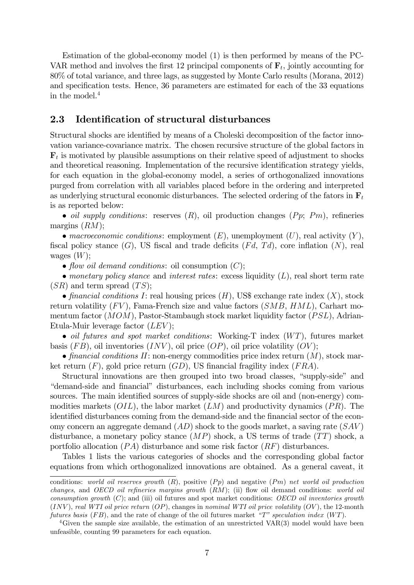Estimation of the global-economy model (1) is then performed by means of the PC-VAR method and involves the first 12 principal components of  $\mathbf{F}_t$ , jointly accounting for 80% of total variance, and three lags, as suggested by Monte Carlo results (Morana, 2012) and specification tests. Hence, 36 parameters are estimated for each of the 33 equations in the model.4

# 2.3 Identification of structural disturbances

Structural shocks are identified by means of a Choleski decomposition of the factor innovation variance-covariance matrix. The chosen recursive structure of the global factors in  $\mathbf{F}_t$  is motivated by plausible assumptions on their relative speed of adjustment to shocks and theoretical reasoning. Implementation of the recursive identification strategy yields, for each equation in the global-economy model, a series of orthogonalized innovations purged from correlation with all variables placed before in the ordering and interpreted as underlying structural economic disturbances. The selected ordering of the fators in  $\mathbf{F}_t$ is as reported below:

• oil supply conditions: reserves  $(R)$ , oil production changes  $( Pp; Pm)$ , refineries margins  $(RM);$ 

• macroeconomic conditions: employment  $(E)$ , unemployment  $(U)$ , real activity  $(Y)$ , fiscal policy stance  $(G)$ , US fiscal and trade deficits  $(Fd, Td)$ , core inflation  $(N)$ , real wages  $(W)$ ;

• flow oil demand conditions: oil consumption  $(C)$ ;

• monetary policy stance and interest rates: excess liquidity  $(L)$ , real short term rate  $(SR)$  and term spread  $(TS);$ 

• financial conditions I: real housing prices  $(H)$ , US\$ exchange rate index  $(X)$ , stock return volatility  $(FV)$ , Fama-French size and value factors  $(SMB, HML)$ , Carhart momentum factor  $(MOM)$ , Pastor-Stambaugh stock market liquidity factor  $(PSL)$ , Adrian-Etula-Muir leverage factor  $(LEV);$ 

• oil futures and spot market conditions: Working-T index  $(WT)$ , futures market basis  $(FB)$ , oil inventories  $(INV)$ , oil price  $(QP)$ , oil price volatility  $(OV)$ ;

• financial conditions  $II$ : non-energy commodities price index return  $(M)$ , stock market return  $(F)$ , gold price return  $(GD)$ , US financial fragility index  $(FRA)$ .

Structural innovations are then grouped into two broad classes, "supply-side" and "demand-side and financial" disturbances, each including shocks coming from various sources. The main identified sources of supply-side shocks are oil and (non-energy) commodities markets  $(OIL)$ , the labor market  $(LM)$  and productivity dynamics  $(PR)$ . The identified disturbances coming from the demand-side and the financial sector of the economy concern an aggregate demand  $(AD)$  shock to the goods market, a saving rate  $(SAV)$ disturbance, a monetary policy stance  $(MP)$  shock, a US terms of trade  $(TT)$  shock, a portfolio allocation  $( PA)$  disturbance and some risk factor  $(RF)$  disturbances.

Tables 1 lists the various categories of shocks and the corresponding global factor equations from which orthogonalized innovations are obtained. As a general caveat, it

conditions: world oil reserves growth  $(R)$ , positive  $( P p )$  and negative  $( P m )$  net world oil production changes, and OECD oil refineries margins growth  $(RM)$ ; (ii) flow oil demand conditions: world oil consumption growth  $(C)$ ; and (iii) oil futures and spot market conditions: OECD oil inventories growth  $(INV)$ , real WTI oil price return  $(OP)$ , changes in nominal WTI oil price volatility  $(OV)$ , the 12-month futures basis  $(FB)$ , and the rate of change of the oil futures market "T" speculation index  $(WT)$ .

<sup>&</sup>lt;sup>4</sup>Given the sample size available, the estimation of an unrestricted  $VAR(3)$  model would have been unfeasible, counting 99 parameters for each equation.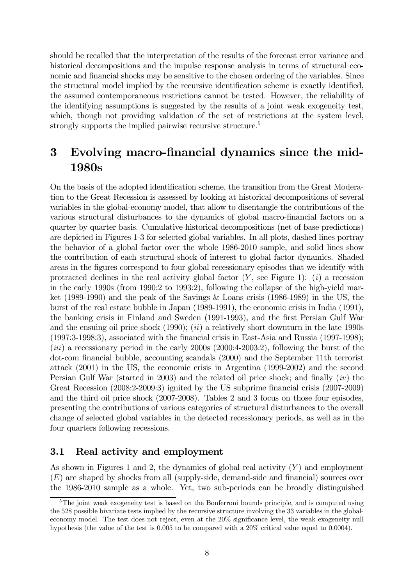should be recalled that the interpretation of the results of the forecast error variance and historical decompositions and the impulse response analysis in terms of structural economic and financial shocks may be sensitive to the chosen ordering of the variables. Since the structural model implied by the recursive identification scheme is exactly identified, the assumed contemporaneous restrictions cannot be tested. However, the reliability of the identifying assumptions is suggested by the results of a joint weak exogeneity test, which, though not providing validation of the set of restrictions at the system level, strongly supports the implied pairwise recursive structure.<sup>5</sup>

# 3 Evolving macro-financial dynamics since the mid-1980s

On the basis of the adopted identification scheme, the transition from the Great Moderation to the Great Recession is assessed by looking at historical decompositions of several variables in the global-economy model, that allow to disentangle the contributions of the various structural disturbances to the dynamics of global macro-financial factors on a quarter by quarter basis. Cumulative historical decompositions (net of base predictions) are depicted in Figures 1-3 for selected global variables. In all plots, dashed lines portray the behavior of a global factor over the whole 1986-2010 sample, and solid lines show the contribution of each structural shock of interest to global factor dynamics. Shaded areas in the figures correspond to four global recessionary episodes that we identify with protracted declines in the real activity global factor  $(Y, \text{ see Figure 1}):$  (*i*) a recession in the early 1990s (from 1990:2 to 1993:2), following the collapse of the high-yield market (1989-1990) and the peak of the Savings & Loans crisis (1986-1989) in the US, the burst of the real estate bubble in Japan (1989-1991), the economic crisis in India (1991), the banking crisis in Finland and Sweden (1991-1993), and the first Persian Gulf War and the ensuing oil price shock  $(1990)$ ;  $(ii)$  a relatively short downturn in the late 1990s (1997:3-1998:3), associated with the financial crisis in East-Asia and Russia (1997-1998);  $(iii)$  a recessionary period in the early 2000s  $(2000:4-2003:2)$ , following the burst of the dot-com financial bubble, accounting scandals (2000) and the September 11th terrorist attack (2001) in the US, the economic crisis in Argentina (1999-2002) and the second Persian Gulf War (started in 2003) and the related oil price shock; and finally (iv) the Great Recession (2008:2-2009:3) ignited by the US subprime financial crisis (2007-2009) and the third oil price shock (2007-2008). Tables 2 and 3 focus on those four episodes, presenting the contributions of various categories of structural disturbances to the overall change of selected global variables in the detected recessionary periods, as well as in the four quarters following recessions.

# 3.1 Real activity and employment

As shown in Figures 1 and 2, the dynamics of global real activity  $(Y)$  and employment  $(E)$  are shaped by shocks from all (supply-side, demand-side and financial) sources over the 1986-2010 sample as a whole. Yet, two sub-periods can be broadly distinguished

<sup>&</sup>lt;sup>5</sup>The joint weak exogeneity test is based on the Bonferroni bounds principle, and is computed using the 528 possible bivariate tests implied by the recursive structure involving the 33 variables in the globaleconomy model. The test does not reject, even at the 20% significance level, the weak exogeneity null hypothesis (the value of the test is 0.005 to be compared with a 20% critical value equal to 0.0004).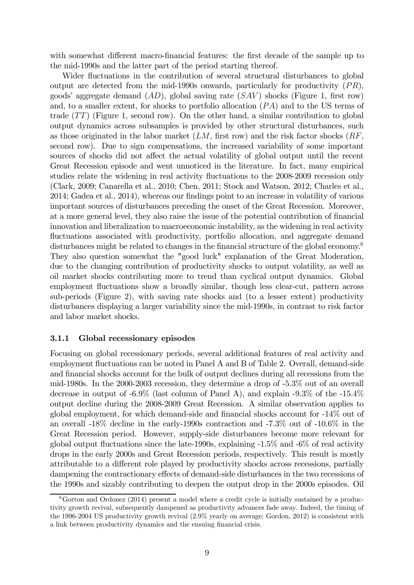with somewhat different macro-financial features: the first decade of the sample up to the mid-1990s and the latter part of the period starting thereof.

Wider fluctuations in the contribution of several structural disturbances to global output are detected from the mid-1990s onwards, particularly for productivity  $(PR)$ , goods' aggregate demand  $(AD)$ , global saving rate  $(SAV)$  shocks (Figure 1, first row) and, to a smaller extent, for shocks to portfolio allocation  $(PA)$  and to the US terms of trade  $(TT)$  (Figure 1, second row). On the other hand, a similar contribution to global output dynamics across subsamples is provided by other structural disturbances, such as those originated in the labor market  $(LM, \text{ first row})$  and the risk factor shocks  $(RF, \text{$ second row). Due to sign compensations, the increased variability of some important sources of shocks did not affect the actual volatility of global output until the recent Great Recession episode and went unnoticed in the literature. In fact, many empirical studies relate the widening in real activity fluctuations to the 2008-2009 recession only (Clark, 2009; Canarella et al., 2010; Chen, 2011; Stock and Watson, 2012; Charles et al., 2014; Gadea et al., 2014), whereas our findings point to an increase in volatility of various important sources of disturbances preceding the onset of the Great Recession. Moreover, at a more general level, they also raise the issue of the potential contribution of financial innovation and liberalization to macroeconomic instability, as the widening in real activity fluctuations associated with productivity, portfolio allocation, and aggregate demand disturbances might be related to changes in the financial structure of the global economy.<sup>6</sup> They also question somewhat the "good luck" explanation of the Great Moderation, due to the changing contribution of productivity shocks to output volatility, as well as oil market shocks contributing more to trend than cyclical output dynamics. Global employment fluctuations show a broadly similar, though less clear-cut, pattern across sub-periods (Figure 2), with saving rate shocks and (to a lesser extent) productivity disturbances displaying a larger variability since the mid-1990s, in contrast to risk factor and labor market shocks.

### 3.1.1 Global recessionary episodes

Focusing on global recessionary periods, several additional features of real activity and employment fluctuations can be noted in Panel A and B of Table 2. Overall, demand-side and financial shocks account for the bulk of output declines during all recessions from the mid-1980s. In the 2000-2003 recession, they determine a drop of -5.3% out of an overall decrease in output of -6.9% (last column of Panel A), and explain -9.3% of the -15.4% output decline during the 2008-2009 Great Recession. A similar observation applies to global employment, for which demand-side and financial shocks account for -14% out of an overall -18% decline in the early-1990s contraction and -7.3% out of -10.6% in the Great Recession period. However, supply-side disturbances become more relevant for global output fluctuations since the late-1990s, explaining -1.5% and -6% of real activity drops in the early 2000s and Great Recession periods, respectively. This result is mostly attributable to a different role played by productivity shocks across recessions, partially dampening the contractionary effects of demand-side disturbances in the two recessions of the 1990s and sizably contributing to deepen the output drop in the 2000s episodes. Oil

 $6\text{Gorton}$  and Ordonez (2014) present a model where a credit cycle is initially sustained by a productivity growth revival, subsequently dampened as productivity advances fade away. Indeed, the timing of the 1996-2004 US productivity growth revival (2.9% yearly on average; Gordon, 2012) is consistent with a link between productivity dynamics and the ensuing financial crisis.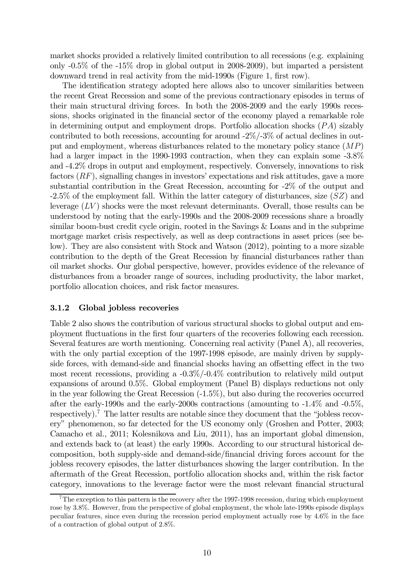market shocks provided a relatively limited contribution to all recessions (e.g. explaining only -0.5% of the -15% drop in global output in 2008-2009), but imparted a persistent downward trend in real activity from the mid-1990s (Figure 1, first row).

The identification strategy adopted here allows also to uncover similarities between the recent Great Recession and some of the previous contractionary episodes in terms of their main structural driving forces. In both the 2008-2009 and the early 1990s recessions, shocks originated in the financial sector of the economy played a remarkable role in determining output and employment drops. Portfolio allocation shocks  $(PA)$  sizably contributed to both recessions, accounting for around -2%/-3% of actual declines in output and employment, whereas disturbances related to the monetary policy stance  $(MP)$ had a larger impact in the 1990-1993 contraction, when they can explain some -3.8% and -4.2% drops in output and employment, respectively. Conversely, innovations to risk factors  $(RF)$ , signalling changes in investors' expectations and risk attitudes, gave a more substantial contribution in the Great Recession, accounting for -2% of the output and  $-2.5\%$  of the employment fall. Within the latter category of disturbances, size  $(SZ)$  and leverage  $(LV)$  shocks were the most relevant determinants. Overall, those results can be understood by noting that the early-1990s and the 2008-2009 recessions share a broadly similar boom-bust credit cycle origin, rooted in the Savings & Loans and in the subprime mortgage market crisis respectively, as well as deep contractions in asset prices (see below). They are also consistent with Stock and Watson (2012), pointing to a more sizable contribution to the depth of the Great Recession by financial disturbances rather than oil market shocks. Our global perspective, however, provides evidence of the relevance of disturbances from a broader range of sources, including productivity, the labor market, portfolio allocation choices, and risk factor measures.

### 3.1.2 Global jobless recoveries

Table 2 also shows the contribution of various structural shocks to global output and employment fluctuations in the first four quarters of the recoveries following each recession. Several features are worth mentioning. Concerning real activity (Panel A), all recoveries, with the only partial exception of the 1997-1998 episode, are mainly driven by supplyside forces, with demand-side and financial shocks having an offsetting effect in the two most recent recessions, providing a -0.3%/-0.4% contribution to relatively mild output expansions of around 0.5%. Global employment (Panel B) displays reductions not only in the year following the Great Recession (-1.5%), but also during the recoveries occurred after the early-1990s and the early-2000s contractions (amounting to -1.4% and -0.5%, respectively).7 The latter results are notable since they document that the "jobless recovery" phenomenon, so far detected for the US economy only (Groshen and Potter, 2003; Camacho et al., 2011; Kolesnikova and Liu, 2011), has an important global dimension, and extends back to (at least) the early 1990s. According to our structural historical decomposition, both supply-side and demand-side/financial driving forces account for the jobless recovery episodes, the latter disturbances showing the larger contribution. In the aftermath of the Great Recession, portfolio allocation shocks and, within the risk factor category, innovations to the leverage factor were the most relevant financial structural

<sup>7</sup>The exception to this pattern is the recovery after the 1997-1998 recession, during which employment rose by 3.8%. However, from the perspective of global employment, the whole late-1990s episode displays peculiar features, since even during the recession period employment actually rose by 4.6% in the face of a contraction of global output of 2.8%.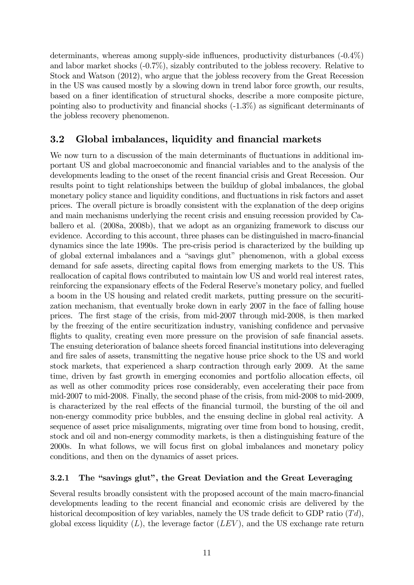determinants, whereas among supply-side influences, productivity disturbances (-0.4%) and labor market shocks (-0.7%), sizably contributed to the jobless recovery. Relative to Stock and Watson (2012), who argue that the jobless recovery from the Great Recession in the US was caused mostly by a slowing down in trend labor force growth, our results, based on a finer identification of structural shocks, describe a more composite picture, pointing also to productivity and financial shocks (-1.3%) as significant determinants of the jobless recovery phenomenon.

# 3.2 Global imbalances, liquidity and financial markets

We now turn to a discussion of the main determinants of fluctuations in additional important US and global macroeconomic and financial variables and to the analysis of the developments leading to the onset of the recent financial crisis and Great Recession. Our results point to tight relationships between the buildup of global imbalances, the global monetary policy stance and liquidity conditions, and fluctuations in risk factors and asset prices. The overall picture is broadly consistent with the explanation of the deep origins and main mechanisms underlying the recent crisis and ensuing recession provided by Caballero et al. (2008a, 2008b), that we adopt as an organizing framework to discuss our evidence. According to this account, three phases can be distinguished in macro-financial dynamics since the late 1990s. The pre-crisis period is characterized by the building up of global external imbalances and a "savings glut" phenomenon, with a global excess demand for safe assets, directing capital flows from emerging markets to the US. This reallocation of capital flows contributed to maintain low US and world real interest rates, reinforcing the expansionary effects of the Federal Reserve's monetary policy, and fuelled a boom in the US housing and related credit markets, putting pressure on the securitization mechanism, that eventually broke down in early 2007 in the face of falling house prices. The first stage of the crisis, from mid-2007 through mid-2008, is then marked by the freezing of the entire securitization industry, vanishing confidence and pervasive flights to quality, creating even more pressure on the provision of safe financial assets. The ensuing deterioration of balance sheets forced financial institutions into deleveraging and fire sales of assets, transmitting the negative house price shock to the US and world stock markets, that experienced a sharp contraction through early 2009. At the same time, driven by fast growth in emerging economies and portfolio allocation effects, oil as well as other commodity prices rose considerably, even accelerating their pace from mid-2007 to mid-2008. Finally, the second phase of the crisis, from mid-2008 to mid-2009, is characterized by the real effects of the financial turmoil, the bursting of the oil and non-energy commodity price bubbles, and the ensuing decline in global real activity. A sequence of asset price misalignments, migrating over time from bond to housing, credit, stock and oil and non-energy commodity markets, is then a distinguishing feature of the 2000s. In what follows, we will focus first on global imbalances and monetary policy conditions, and then on the dynamics of asset prices.

# 3.2.1 The "savings glut", the Great Deviation and the Great Leveraging

Several results broadly consistent with the proposed account of the main macro-financial developments leading to the recent financial and economic crisis are delivered by the historical decomposition of key variables, namely the US trade deficit to GDP ratio  $(Td)$ , global excess liquidity  $(L)$ , the leverage factor  $(LEV)$ , and the US exchange rate return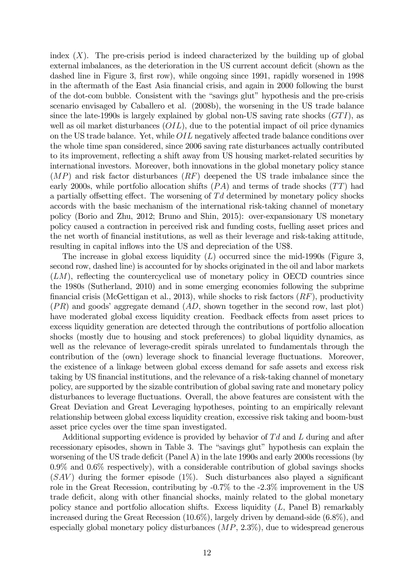index  $(X)$ . The pre-crisis period is indeed characterized by the building up of global external imbalances, as the deterioration in the US current account deficit (shown as the dashed line in Figure 3, first row), while ongoing since 1991, rapidly worsened in 1998 in the aftermath of the East Asia financial crisis, and again in 2000 following the burst of the dot-com bubble. Consistent with the "savings glut" hypothesis and the pre-crisis scenario envisaged by Caballero et al. (2008b), the worsening in the US trade balance since the late-1990s is largely explained by global non-US saving rate shocks  $(GTI)$ , as well as oil market disturbances  $(OLL)$ , due to the potential impact of oil price dynamics on the US trade balance. Yet, while  $OIL$  negatively affected trade balance conditions over the whole time span considered, since 2006 saving rate disturbances actually contributed to its improvement, reflecting a shift away from US housing market-related securities by international investors. Moreover, both innovations in the global monetary policy stance  $(MP)$  and risk factor disturbances  $(RF)$  deepened the US trade imbalance since the early 2000s, while portfolio allocation shifts  $(PA)$  and terms of trade shocks  $(TT)$  had a partially offsetting effect. The worsening of  $Td$  determined by monetary policy shocks accords with the basic mechanism of the international risk-taking channel of monetary policy (Borio and Zhu, 2012; Bruno and Shin, 2015): over-expansionary US monetary policy caused a contraction in perceived risk and funding costs, fuelling asset prices and the net worth of financial institutions, as well as their leverage and risk-taking attitude, resulting in capital inflows into the US and depreciation of the US\$.

The increase in global excess liquidity  $(L)$  occurred since the mid-1990s (Figure 3, second row, dashed line) is accounted for by shocks originated in the oil and labor markets  $(LM)$ , reflecting the countercyclical use of monetary policy in OECD countries since the 1980s (Sutherland, 2010) and in some emerging economies following the subprime financial crisis (McGettigan et al., 2013), while shocks to risk factors  $(RF)$ , productivity  $(PR)$  and goods' aggregate demand  $(AD,$  shown together in the second row, last plot) have moderated global excess liquidity creation. Feedback effects from asset prices to excess liquidity generation are detected through the contributions of portfolio allocation shocks (mostly due to housing and stock preferences) to global liquidity dynamics, as well as the relevance of leverage-credit spirals unrelated to fundamentals through the contribution of the (own) leverage shock to financial leverage fluctuations. Moreover, the existence of a linkage between global excess demand for safe assets and excess risk taking by US financial institutions, and the relevance of a risk-taking channel of monetary policy, are supported by the sizable contribution of global saving rate and monetary policy disturbances to leverage fluctuations. Overall, the above features are consistent with the Great Deviation and Great Leveraging hypotheses, pointing to an empirically relevant relationship between global excess liquidity creation, excessive risk taking and boom-bust asset price cycles over the time span investigated.

Additional supporting evidence is provided by behavior of  $Td$  and  $L$  during and after recessionary episodes, shown in Table 3. The "savings glut" hypothesis can explain the worsening of the US trade deficit (Panel A) in the late 1990s and early 2000s recessions (by  $0.9\%$  and  $0.6\%$  respectively), with a considerable contribution of global savings shocks  $(SAV)$  during the former episode (1%). Such disturbances also played a significant role in the Great Recession, contributing by -0.7% to the -2.3% improvement in the US trade deficit, along with other financial shocks, mainly related to the global monetary policy stance and portfolio allocation shifts. Excess liquidity  $(L,$  Panel B) remarkably increased during the Great Recession (10.6%), largely driven by demand-side (6.8%), and especially global monetary policy disturbances  $(MP, 2.3\%)$ , due to widespread generous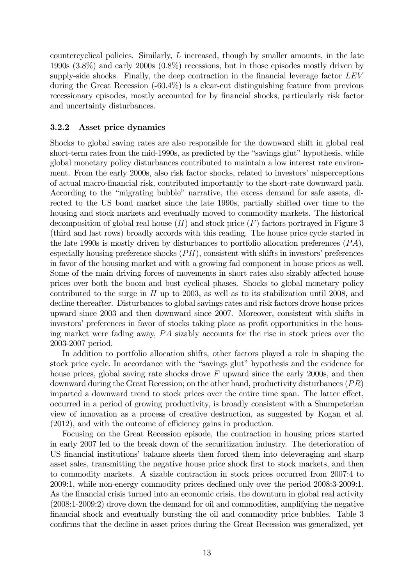countercyclical policies. Similarly,  $L$  increased, though by smaller amounts, in the late 1990s (3.8%) and early 2000s (0.8%) recessions, but in those episodes mostly driven by supply-side shocks. Finally, the deep contraction in the financial leverage factor  $LEV$ during the Great Recession (-60.4%) is a clear-cut distinguishing feature from previous recessionary episodes, mostly accounted for by financial shocks, particularly risk factor and uncertainty disturbances.

### 3.2.2 Asset price dynamics

Shocks to global saving rates are also responsible for the downward shift in global real short-term rates from the mid-1990s, as predicted by the "savings glut" hypothesis, while global monetary policy disturbances contributed to maintain a low interest rate environment. From the early 2000s, also risk factor shocks, related to investors' misperceptions of actual macro-financial risk, contributed importantly to the short-rate downward path. According to the "migrating bubble" narrative, the excess demand for safe assets, directed to the US bond market since the late 1990s, partially shifted over time to the housing and stock markets and eventually moved to commodity markets. The historical decomposition of global real house  $(H)$  and stock price  $(F)$  factors portrayed in Figure 3 (third and last rows) broadly accords with this reading. The house price cycle started in the late 1990s is mostly driven by disturbances to portfolio allocation preferences  $(PA)$ , especially housing preference shocks  $(PH)$ , consistent with shifts in investors' preferences in favor of the housing market and with a growing fad component in house prices as well. Some of the main driving forces of movements in short rates also sizably affected house prices over both the boom and bust cyclical phases. Shocks to global monetary policy contributed to the surge in  $H$  up to 2003, as well as to its stabilization until 2008, and decline thereafter. Disturbances to global savings rates and risk factors drove house prices upward since 2003 and then downward since 2007. Moreover, consistent with shifts in investors' preferences in favor of stocks taking place as profit opportunities in the housing market were fading away,  $PA$  sizably accounts for the rise in stock prices over the 2003-2007 period.

In addition to portfolio allocation shifts, other factors played a role in shaping the stock price cycle. In accordance with the "savings glut" hypothesis and the evidence for house prices, global saving rate shocks drove  $F$  upward since the early 2000s, and then downward during the Great Recession; on the other hand, productivity disturbances  $(PR)$ imparted a downward trend to stock prices over the entire time span. The latter effect, occurred in a period of growing productivity, is broadly consistent with a Shumpeterian view of innovation as a process of creative destruction, as suggested by Kogan et al. (2012), and with the outcome of efficiency gains in production.

Focusing on the Great Recession episode, the contraction in housing prices started in early 2007 led to the break down of the securitization industry. The deterioration of US financial institutions' balance sheets then forced them into deleveraging and sharp asset sales, transmitting the negative house price shock first to stock markets, and then to commodity markets. A sizable contraction in stock prices occurred from 2007:4 to 2009:1, while non-energy commodity prices declined only over the period 2008:3-2009:1. As the financial crisis turned into an economic crisis, the downturn in global real activity (2008:1-2009:2) drove down the demand for oil and commodities, amplifying the negative financial shock and eventually bursting the oil and commodity price bubbles. Table 3 confirms that the decline in asset prices during the Great Recession was generalized, yet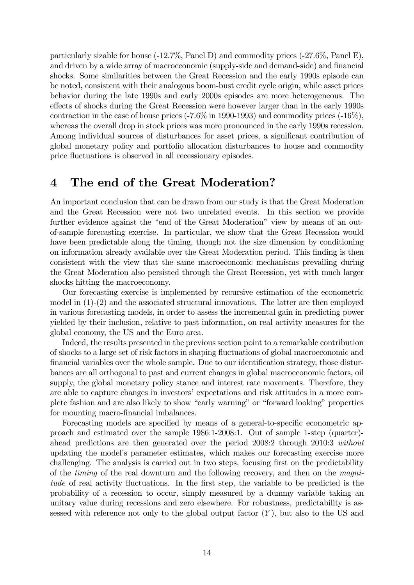particularly sizable for house (-12.7%, Panel D) and commodity prices (-27.6%, Panel E), and driven by a wide array of macroeconomic (supply-side and demand-side) and financial shocks. Some similarities between the Great Recession and the early 1990s episode can be noted, consistent with their analogous boom-bust credit cycle origin, while asset prices behavior during the late 1990s and early 2000s episodes are more heterogeneous. The effects of shocks during the Great Recession were however larger than in the early 1990s contraction in the case of house prices (-7.6% in 1990-1993) and commodity prices (-16%), whereas the overall drop in stock prices was more pronounced in the early 1990s recession. Among individual sources of disturbances for asset prices, a significant contribution of global monetary policy and portfolio allocation disturbances to house and commodity price fluctuations is observed in all recessionary episodes.

# 4 The end of the Great Moderation?

An important conclusion that can be drawn from our study is that the Great Moderation and the Great Recession were not two unrelated events. In this section we provide further evidence against the "end of the Great Moderation" view by means of an outof-sample forecasting exercise. In particular, we show that the Great Recession would have been predictable along the timing, though not the size dimension by conditioning on information already available over the Great Moderation period. This finding is then consistent with the view that the same macroeconomic mechanisms prevailing during the Great Moderation also persisted through the Great Recession, yet with much larger shocks hitting the macroeconomy.

Our forecasting exercise is implemented by recursive estimation of the econometric model in (1)-(2) and the associated structural innovations. The latter are then employed in various forecasting models, in order to assess the incremental gain in predicting power yielded by their inclusion, relative to past information, on real activity measures for the global economy, the US and the Euro area.

Indeed, the results presented in the previous section point to a remarkable contribution of shocks to a large set of risk factors in shaping fluctuations of global macroeconomic and financial variables over the whole sample. Due to our identification strategy, those disturbances are all orthogonal to past and current changes in global macroeconomic factors, oil supply, the global monetary policy stance and interest rate movements. Therefore, they are able to capture changes in investors' expectations and risk attitudes in a more complete fashion and are also likely to show "early warning" or "forward looking" properties for mounting macro-financial imbalances.

Forecasting models are specified by means of a general-to-specific econometric approach and estimated over the sample 1986:1-2008:1. Out of sample 1-step (quarter) ahead predictions are then generated over the period 2008:2 through 2010:3 without updating the model's parameter estimates, which makes our forecasting exercise more challenging. The analysis is carried out in two steps, focusing first on the predictability of the timing of the real downturn and the following recovery, and then on the magnitude of real activity fluctuations. In the first step, the variable to be predicted is the probability of a recession to occur, simply measured by a dummy variable taking an unitary value during recessions and zero elsewhere. For robustness, predictability is assessed with reference not only to the global output factor  $(Y)$ , but also to the US and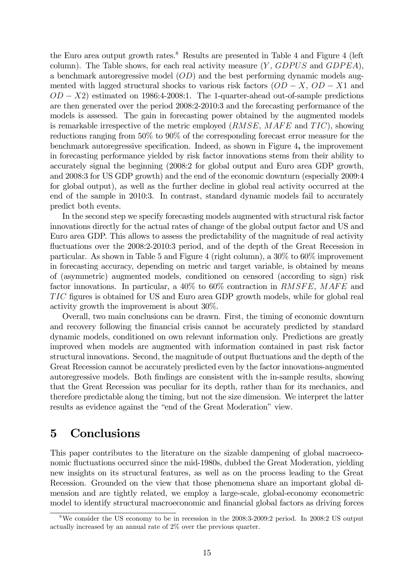the Euro area output growth rates.<sup>8</sup> Results are presented in Table 4 and Figure 4 (left column). The Table shows, for each real activity measure  $(Y, GDPUS)$  and  $GDPEA$ , a benchmark autoregressive model  $(OD)$  and the best performing dynamic models augmented with lagged structural shocks to various risk factors  $(OD - X, OD - X1)$  and  $OD - X2$ ) estimated on 1986:4-2008:1. The 1-quarter-ahead out-of-sample predictions are then generated over the period 2008:2-2010:3 and the forecasting performance of the models is assessed. The gain in forecasting power obtained by the augmented models is remarkable irrespective of the metric employed  $(RMSE, MAFE$  and  $TIC)$ , showing reductions ranging from 50% to 90% of the corresponding forecast error measure for the benchmark autoregressive specification. Indeed, as shown in Figure 4, the improvement in forecasting performance yielded by risk factor innovations stems from their ability to accurately signal the beginning (2008:2 for global output and Euro area GDP growth, and 2008:3 for US GDP growth) and the end of the economic downturn (especially 2009:4 for global output), as well as the further decline in global real activity occurred at the end of the sample in 2010:3. In contrast, standard dynamic models fail to accurately predict both events.

In the second step we specify forecasting models augmented with structural risk factor innovations directly for the actual rates of change of the global output factor and US and Euro area GDP. This allows to assess the predictability of the magnitude of real activity fluctuations over the 2008:2-2010:3 period, and of the depth of the Great Recession in particular. As shown in Table 5 and Figure 4 (right column), a 30% to 60% improvement in forecasting accuracy, depending on metric and target variable, is obtained by means of (asymmetric) augmented models, conditioned on censored (according to sign) risk factor innovations. In particular, a  $40\%$  to  $60\%$  contraction in  $RMSFE$ ,  $MAFE$  and figures is obtained for US and Euro area GDP growth models, while for global real activity growth the improvement is about 30%.

Overall, two main conclusions can be drawn. First, the timing of economic downturn and recovery following the financial crisis cannot be accurately predicted by standard dynamic models, conditioned on own relevant information only. Predictions are greatly improved when models are augmented with information contained in past risk factor structural innovations. Second, the magnitude of output fluctuations and the depth of the Great Recession cannot be accurately predicted even by the factor innovations-augmented autoregressive models. Both findings are consistent with the in-sample results, showing that the Great Recession was peculiar for its depth, rather than for its mechanics, and therefore predictable along the timing, but not the size dimension. We interpret the latter results as evidence against the "end of the Great Moderation" view.

# 5 Conclusions

This paper contributes to the literature on the sizable dampening of global macroeconomic fluctuations occurred since the mid-1980s, dubbed the Great Moderation, yielding new insights on its structural features, as well as on the process leading to the Great Recession. Grounded on the view that those phenomena share an important global dimension and are tightly related, we employ a large-scale, global-economy econometric model to identify structural macroeconomic and financial global factors as driving forces

<sup>8</sup>We consider the US economy to be in recession in the 2008:3-2009:2 period. In 2008:2 US output actually increased by an annual rate of 2% over the previous quarter.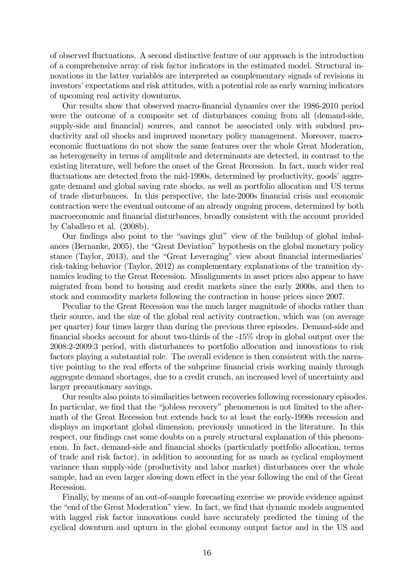of observed fluctuations. A second distinctive feature of our approach is the introduction of a comprehensive array of risk factor indicators in the estimated model. Structural innovations in the latter variables are interpreted as complementary signals of revisions in investors' expectations and risk attitudes, with a potential role as early warning indicators of upcoming real activity downturns.

Our results show that observed macro-financial dynamics over the 1986-2010 period were the outcome of a composite set of disturbances coming from all (demand-side, supply-side and financial) sources, and cannot be associated only with subdued productivity and oil shocks and improved monetary policy management. Moreover, macroeconomic fluctuations do not show the same features over the whole Great Moderation, as heterogeneity in terms of amplitude and determinants are detected, in contrast to the existing literature, well before the onset of the Great Recession. In fact, much wider real fluctuations are detected from the mid-1990s, determined by productivity, goods' aggregate demand and global saving rate shocks, as well as portfolio allocation and US terms of trade disturbances. In this perspective, the late-2000s financial crisis and economic contraction were the eventual outcome of an already ongoing process, determined by both macroeconomic and financial disturbances, broadly consistent with the account provided by Caballero et al. (2008b).

Our findings also point to the "savings glut" view of the buildup of global imbalances (Bernanke, 2005), the "Great Deviation" hypothesis on the global monetary policy stance (Taylor, 2013), and the "Great Leveraging" view about financial intermediaries' risk-taking behavior (Taylor, 2012) as complementary explanations of the transition dynamics leading to the Great Recession. Misalignments in asset prices also appear to have migrated from bond to housing and credit markets since the early 2000s, and then to stock and commodity markets following the contraction in house prices since 2007.

Peculiar to the Great Recession was the much larger magnitude of shocks rather than their source, and the size of the global real activity contraction, which was (on average per quarter) four times larger than during the previous three episodes. Demand-side and financial shocks account for about two-thirds of the -15% drop in global output over the 2008:2-2009:3 period, with disturbances to portfolio allocation and innovations to risk factors playing a substantial role. The overall evidence is then consistent with the narrative pointing to the real effects of the subprime financial crisis working mainly through aggregate demand shortages, due to a credit crunch, an increased level of uncertainty and larger precautionary savings.

Our results also points to similarities between recoveries following recessionary episodes. In particular, we find that the "jobless recovery" phenomenon is not limited to the aftermath of the Great Recession but extends back to at least the early-1990s recession and displays an important global dimension, previously unnoticed in the literature. In this respect, our findings cast some doubts on a purely structural explanation of this phenomenon. In fact, demand-side and financial shocks (particularly portfolio allocation, terms of trade and risk factor), in addition to accounting for as much as cyclical employment variance than supply-side (productivity and labor market) disturbances over the whole sample, had an even larger slowing down effect in the year following the end of the Great Recession.

Finally, by means of an out-of-sample forecasting exercise we provide evidence against the "end of the Great Moderation" view. In fact, we find that dynamic models augmented with lagged risk factor innovations could have accurately predicted the timing of the cyclical downturn and upturn in the global economy output factor and in the US and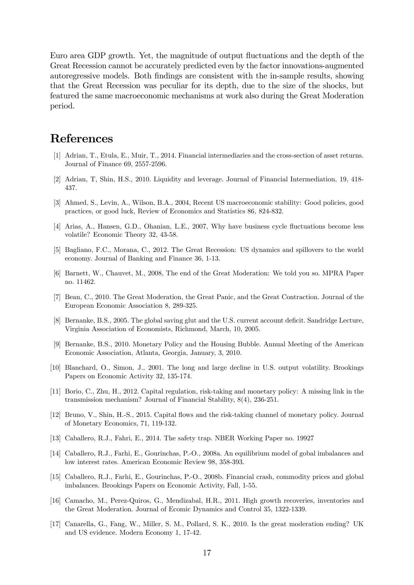Euro area GDP growth. Yet, the magnitude of output fluctuations and the depth of the Great Recession cannot be accurately predicted even by the factor innovations-augmented autoregressive models. Both findings are consistent with the in-sample results, showing that the Great Recession was peculiar for its depth, due to the size of the shocks, but featured the same macroeconomic mechanisms at work also during the Great Moderation period.

# References

- [1] Adrian, T., Etula, E., Muir, T., 2014. Financial intermediaries and the cross-section of asset returns. Journal of Finance 69, 2557-2596.
- [2] Adrian, T, Shin, H.S., 2010. Liquidity and leverage. Journal of Financial Intermediation, 19, 418- 437.
- [3] Ahmed, S., Levin, A., Wilson, B.A., 2004, Recent US macroeconomic stability: Good policies, good practices, or good luck, Review of Economics and Statistics 86, 824-832.
- [4] Arias, A., Hansen, G.D., Ohanian, L.E., 2007, Why have business cycle fluctuations become less volatile? Economic Theory 32, 43-58.
- [5] Bagliano, F.C., Morana, C., 2012. The Great Recession: US dynamics and spillovers to the world economy. Journal of Banking and Finance 36, 1-13.
- [6] Barnett, W., Chauvet, M., 2008, The end of the Great Moderation: We told you so. MPRA Paper no. 11462.
- [7] Bean, C., 2010. The Great Moderation, the Great Panic, and the Great Contraction. Journal of the European Economic Association 8, 289-325.
- [8] Bernanke, B.S., 2005. The global saving glut and the U.S. current account deficit. Sandridge Lecture, Virginia Association of Economists, Richmond, March, 10, 2005.
- [9] Bernanke, B.S., 2010. Monetary Policy and the Housing Bubble. Annual Meeting of the American Economic Association, Atlanta, Georgia, January, 3, 2010.
- [10] Blanchard, O., Simon, J., 2001. The long and large decline in U.S. output volatility. Brookings Papers on Economic Activity 32, 135-174.
- [11] Borio, C., Zhu, H., 2012. Capital regulation, risk-taking and monetary policy: A missing link in the transmission mechanism? Journal of Financial Stability, 8(4), 236-251.
- [12] Bruno, V., Shin, H.-S., 2015. Capital flows and the risk-taking channel of monetary policy. Journal of Monetary Economics, 71, 119-132.
- [13] Caballero, R.J., Fahri, E., 2014. The safety trap. NBER Working Paper no. 19927
- [14] Caballero, R.J., Farhi, E., Gourinchas, P.-O., 2008a. An equilibrium model of gobal imbalances and low interest rates. American Economic Review 98, 358-393.
- [15] Caballero, R.J., Farhi, E., Gourinchas, P.-O., 2008b. Financial crash, commodity prices and global imbalances. Brookings Papers on Economic Activity, Fall, 1-55.
- [16] Camacho, M., Perez-Quiros, G., Mendizabal, H.R., 2011. High growth recoveries, inventories and the Great Moderation. Journal of Ecomic Dynamics and Control 35, 1322-1339.
- [17] Canarella, G., Fang, W., Miller, S. M., Pollard, S. K., 2010. Is the great moderation ending? UK and US evidence. Modern Economy 1, 17-42.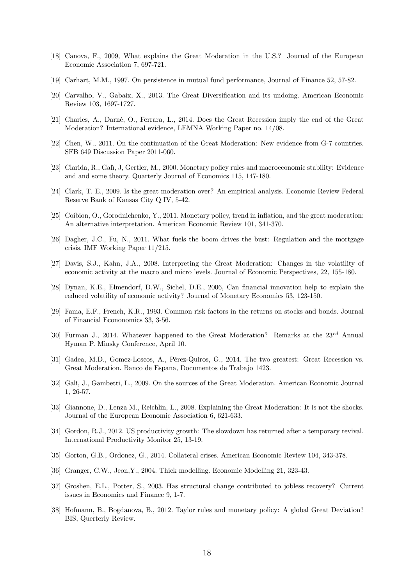- [18] Canova, F., 2009, What explains the Great Moderation in the U.S.? Journal of the European Economic Association 7, 697-721.
- [19] Carhart, M.M., 1997. On persistence in mutual fund performance, Journal of Finance 52, 57-82.
- [20] Carvalho, V., Gabaix, X., 2013. The Great Diversification and its undoing. American Economic Review 103, 1697-1727.
- [21] Charles, A., Darné, O., Ferrara, L., 2014. Does the Great Recession imply the end of the Great Moderation? International evidence, LEMNA Working Paper no. 14/08.
- [22] Chen, W., 2011. On the continuation of the Great Moderation: New evidence from G-7 countries. SFB 649 Discussion Paper 2011-060.
- [23] Clarida, R., Galì, J, Gertler, M., 2000. Monetary policy rules and macroeconomic stability: Evidence and and some theory. Quarterly Journal of Economics 115, 147-180.
- [24] Clark, T. E., 2009. Is the great moderation over? An empirical analysis. Economic Review Federal Reserve Bank of Kansas City Q IV, 5-42.
- [25] Coibion, O., Gorodnichenko, Y., 2011. Monetary policy, trend in inflation, and the great moderation: An alternative interpretation. American Economic Review 101, 341-370.
- [26] Dagher, J.C., Fu, N., 2011. What fuels the boom drives the bust: Regulation and the mortgage crisis. IMF Working Paper 11/215.
- [27] Davis, S.J., Kahn, J.A., 2008. Interpreting the Great Moderation: Changes in the volatility of economic activity at the macro and micro levels. Journal of Economic Perspectives, 22, 155-180.
- [28] Dynan, K.E., Elmendorf, D.W., Sichel, D.E., 2006, Can financial innovation help to explain the reduced volatility of economic activity? Journal of Monetary Economics 53, 123-150.
- [29] Fama, E.F., French, K.R., 1993. Common risk factors in the returns on stocks and bonds. Journal of Financial Econonomics 33, 3-56.
- [30] Furman J., 2014. Whatever happened to the Great Moderation? Remarks at the  $23^{rd}$  Annual Hyman P. Minsky Conference, April 10.
- [31] Gadea, M.D., Gomez-Loscos, A., Pérez-Quiros, G., 2014. The two greatest: Great Recession vs. Great Moderation. Banco de Espana, Documentos de Trabajo 1423.
- [32] Galì, J., Gambetti, L., 2009. On the sources of the Great Moderation. American Economic Journal 1, 26-57.
- [33] Giannone, D., Lenza M., Reichlin, L., 2008. Explaining the Great Moderation: It is not the shocks. Journal of the European Economic Association 6, 621-633.
- [34] Gordon, R.J., 2012. US productivity growth: The slowdown has returned after a temporary revival. International Productivity Monitor 25, 13-19.
- [35] Gorton, G.B., Ordonez, G., 2014. Collateral crises. American Economic Review 104, 343-378.
- [36] Granger, C.W., Jeon,Y., 2004. Thick modelling. Economic Modelling 21, 323-43.
- [37] Groshen, E.L., Potter, S., 2003. Has structural change contributed to jobless recovery? Current issues in Economics and Finance 9, 1-7.
- [38] Hofmann, B., Bogdanova, B., 2012. Taylor rules and monetary policy: A global Great Deviation? BIS, Querterly Review.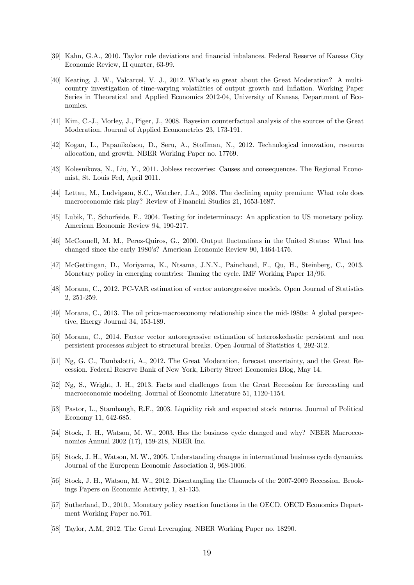- [39] Kahn, G.A., 2010. Taylor rule deviations and financial inbalances. Federal Reserve of Kansas City Economic Review, II quarter, 63-99.
- [40] Keating, J. W., Valcarcel, V. J., 2012. What's so great about the Great Moderation? A multicountry investigation of time-varying volatilities of output growth and Inflation. Working Paper Series in Theoretical and Applied Economics 2012-04, University of Kansas, Department of Economics.
- [41] Kim, C.-J., Morley, J., Piger, J., 2008. Bayesian counterfactual analysis of the sources of the Great Moderation. Journal of Applied Econometrics 23, 173-191.
- [42] Kogan, L., Papanikolaou, D., Seru, A., Stoffman, N., 2012. Technological innovation, resource allocation, and growth. NBER Working Paper no. 17769.
- [43] Kolesnikova, N., Liu, Y., 2011. Jobless recoveries: Causes and consequences. The Regional Economist, St. Louis Fed, April 2011.
- [44] Lettau, M., Ludvigson, S.C., Watcher, J.A., 2008. The declining equity premium: What role does macroeconomic risk play? Review of Financial Studies 21, 1653-1687.
- [45] Lubik, T., Schorfeide, F., 2004. Testing for indeterminacy: An application to US monetary policy. American Economic Review 94, 190-217.
- [46] McConnell, M. M., Perez-Quiros, G., 2000. Output fluctuations in the United States: What has changed since the early 1980's? American Economic Review 90, 1464-1476.
- [47] McGettingan, D., Moriyama, K., Ntsama, J.N.N., Painchaud, F., Qu, H., Steinberg, C., 2013. Monetary policy in emerging countries: Taming the cycle. IMF Working Paper 13/96.
- [48] Morana, C., 2012. PC-VAR estimation of vector autoregressive models. Open Journal of Statistics 2, 251-259.
- [49] Morana, C., 2013. The oil price-macroeconomy relationship since the mid-1980s: A global perspective, Energy Journal 34, 153-189.
- [50] Morana, C., 2014. Factor vector autoregressive estimation of heteroskedastic persistent and non persistent processes subject to structural breaks. Open Journal of Statistics 4, 292-312.
- [51] Ng, G. C., Tambalotti, A., 2012. The Great Moderation, forecast uncertainty, and the Great Recession. Federal Reserve Bank of New York, Liberty Street Economics Blog, May 14.
- [52] Ng, S., Wright, J. H., 2013. Facts and challenges from the Great Recession for forecasting and macroeconomic modeling. Journal of Economic Literature 51, 1120-1154.
- [53] Pastor, L., Stambaugh, R.F., 2003. Liquidity risk and expected stock returns. Journal of Political Economy 11, 642-685.
- [54] Stock, J. H., Watson, M. W., 2003. Has the business cycle changed and why? NBER Macroeconomics Annual 2002 (17), 159-218, NBER Inc.
- [55] Stock, J. H., Watson, M. W., 2005. Understanding changes in international business cycle dynamics. Journal of the European Economic Association 3, 968-1006.
- [56] Stock, J. H., Watson, M. W., 2012. Disentangling the Channels of the 2007-2009 Recession. Brookings Papers on Economic Activity, 1, 81-135.
- [57] Sutherland, D., 2010., Monetary policy reaction functions in the OECD. OECD Economics Department Working Paper no.761.
- [58] Taylor, A.M, 2012. The Great Leveraging. NBER Working Paper no. 18290.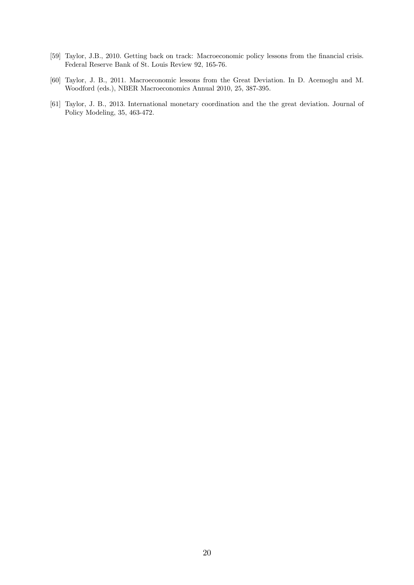- [59] Taylor, J.B., 2010. Getting back on track: Macroeconomic policy lessons from the financial crisis. Federal Reserve Bank of St. Louis Review 92, 165-76.
- [60] Taylor, J. B., 2011. Macroeconomic lessons from the Great Deviation. In D. Acemoglu and M. Woodford (eds.), NBER Macroeconomics Annual 2010, 25, 387-395.
- [61] Taylor, J. B., 2013. International monetary coordination and the the great deviation. Journal of Policy Modeling, 35, 463-472.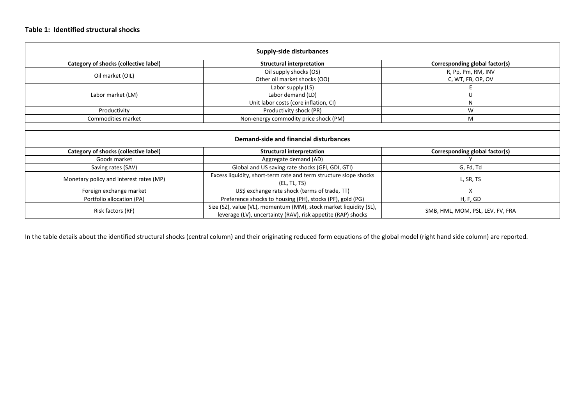#### **Table 1: Identified structural shocks**

|                                         | <b>Supply-side disturbances</b>                                                                                                    |                                  |
|-----------------------------------------|------------------------------------------------------------------------------------------------------------------------------------|----------------------------------|
| Category of shocks (collective label)   | <b>Structural interpretation</b>                                                                                                   | Corresponding global factor(s)   |
| Oil market (OIL)                        | Oil supply shocks (OS)                                                                                                             | R, Pp, Pm, RM, INV               |
|                                         | Other oil market shocks (OO)                                                                                                       | C, WT, FB, OP, OV                |
|                                         | Labor supply (LS)                                                                                                                  |                                  |
| Labor market (LM)                       | Labor demand (LD)                                                                                                                  |                                  |
|                                         | Unit labor costs (core inflation, CI)                                                                                              | N                                |
| Productivity                            | Productivity shock (PR)                                                                                                            | W                                |
| Commodities market                      | Non-energy commodity price shock (PM)                                                                                              | M                                |
|                                         | Demand-side and financial disturbances                                                                                             |                                  |
| Category of shocks (collective label)   | <b>Structural interpretation</b>                                                                                                   | Corresponding global factor(s)   |
| Goods market                            | Aggregate demand (AD)                                                                                                              |                                  |
| Saving rates (SAV)                      | Global and US saving rate shocks (GFI, GDI, GTI)                                                                                   | G, Fd, Td                        |
| Monetary policy and interest rates (MP) | Excess liquidity, short-term rate and term structure slope shocks<br>(EL, TL, TS)                                                  | L, SR, TS                        |
| Foreign exchange market                 | US\$ exchange rate shock (terms of trade, TT)                                                                                      | X                                |
| Portfolio allocation (PA)               | Preference shocks to housing (PH), stocks (PF), gold (PG)                                                                          | H, F, GD                         |
| Risk factors (RF)                       | Size (SZ), value (VL), momentum (MM), stock market liquidity (SL),<br>leverage (LV), uncertainty (RAV), risk appetite (RAP) shocks | SMB, HML, MOM, PSL, LEV, FV, FRA |

In the table details about the identified structural shocks (central column) and their originating reduced form equations of the global model (right hand side column) are reported.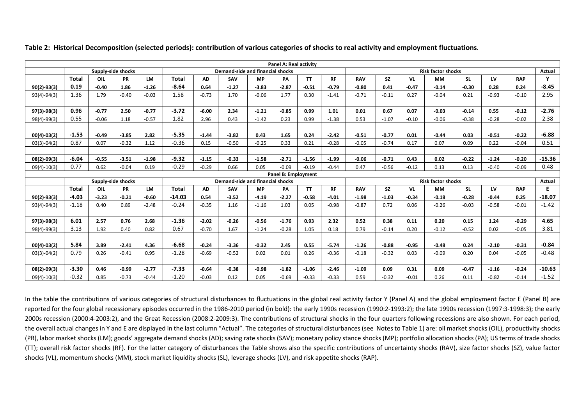|                 |              |         |                    |           |              |           |                                  |           | Panel A: Real activity |           |           |            |           |         |                           |           |         |            |               |
|-----------------|--------------|---------|--------------------|-----------|--------------|-----------|----------------------------------|-----------|------------------------|-----------|-----------|------------|-----------|---------|---------------------------|-----------|---------|------------|---------------|
|                 |              |         | Supply-side shocks |           |              |           | Demand-side and financial shocks |           |                        |           |           |            |           |         | <b>Risk factor shocks</b> |           |         |            | <b>Actual</b> |
|                 | <b>Total</b> | OIL     | <b>PR</b>          | <b>LM</b> | <b>Total</b> | <b>AD</b> | SAV                              | <b>MP</b> | PА                     | <b>TT</b> | <b>RF</b> | <b>RAV</b> | <b>SZ</b> | VL      | <b>MM</b>                 | <b>SL</b> | LV      | <b>RAP</b> | $\mathbf{v}$  |
| $90(2) - 93(3)$ | 0.19         | $-0.40$ | 1.86               | $-1.26$   | $-8.64$      | 0.64      | $-1.27$                          | $-3.83$   | $-2.87$                | $-0.51$   | $-0.79$   | $-0.80$    | 0.41      | $-0.47$ | $-0.14$                   | $-0.30$   | 0.28    | 0.24       | $-8.45$       |
| $93(4)-94(3)$   | 1.36         | 1.79    | $-0.40$            | $-0.03$   | 1.58         | $-0.73$   | 1.70                             | $-0.06$   | 1.77                   | 0.30      | $-1.41$   | $-0.71$    | $-0.11$   | 0.27    | $-0.04$                   | 0.21      | $-0.93$ | $-0.10$    | 2.95          |
|                 |              |         |                    |           |              |           |                                  |           |                        |           |           |            |           |         |                           |           |         |            |               |
| $97(3) - 98(3)$ | 0.96         | $-0.77$ | 2.50               | $-0.77$   | $-3.72$      | $-6.00$   | 2.34                             | $-1.21$   | $-0.85$                | 0.99      | 1.01      | 0.01       | 0.67      | 0.07    | $-0.03$                   | $-0.14$   | 0.55    | $-0.12$    | $-2.76$       |
| $98(4)-99(3)$   | 0.55         | $-0.06$ | 1.18               | $-0.57$   | 1.82         | 2.96      | 0.43                             | $-1.42$   | 0.23                   | 0.99      | $-1.38$   | 0.53       | $-1.07$   | $-0.10$ | $-0.06$                   | $-0.38$   | $-0.28$ | $-0.02$    | 2.38          |
|                 |              |         |                    |           |              |           |                                  |           |                        |           |           |            |           |         |                           |           |         |            |               |
| $00(4) - 03(2)$ | $-1.53$      | $-0.49$ | $-3.85$            | 2.82      | $-5.35$      | $-1.44$   | $-3.82$                          | 0.43      | 1.65                   | 0.24      | $-2.42$   | $-0.51$    | $-0.77$   | 0.01    | $-0.44$                   | 0.03      | $-0.51$ | $-0.22$    | $-6.88$       |
| $03(3)-04(2)$   | 0.87         | 0.07    | $-0.32$            | 1.12      | $-0.36$      | 0.15      | $-0.50$                          | $-0.25$   | 0.33                   | 0.21      | $-0.28$   | $-0.05$    | $-0.74$   | 0.17    | 0.07                      | 0.09      | 0.22    | $-0.04$    | 0.51          |
|                 |              |         |                    |           |              |           |                                  |           |                        |           |           |            |           |         |                           |           |         |            |               |
| $08(2) - 09(3)$ | $-6.04$      | $-0.55$ | $-3.51$            | $-1.98$   | $-9.32$      | $-1.15$   | $-0.33$                          | $-1.58$   | $-2.71$                | $-1.56$   | $-1.99$   | $-0.06$    | $-0.71$   | 0.43    | 0.02                      | $-0.22$   | $-1.24$ | $-0.20$    | $-15.36$      |
| $09(4)-10(3)$   | 0.77         | 0.62    | $-0.04$            | 0.19      | $-0.29$      | $-0.29$   | 0.66                             | 0.05      | $-0.09$                | $-0.19$   | $-0.44$   | 0.47       | $-0.56$   | $-0.12$ | 0.13                      | 0.13      | $-0.40$ | $-0.09$    | 0.48          |
|                 |              |         |                    |           |              |           |                                  |           | Panel B: Employment    |           |           |            |           |         |                           |           |         |            |               |
|                 |              |         | Supply-side shocks |           |              |           | Demand-side and financial shocks |           |                        |           |           |            |           |         | <b>Risk factor shocks</b> |           |         |            | Actual        |
|                 | <b>Total</b> | OIL     | <b>PR</b>          | <b>LM</b> | <b>Total</b> | <b>AD</b> | SAV                              | <b>MP</b> | PA                     | <b>TT</b> | <b>RF</b> | <b>RAV</b> | <b>SZ</b> | VL      | <b>MM</b>                 | <b>SL</b> | LV      | <b>RAP</b> | E.            |
| $90(2) - 93(3)$ | $-4.03$      | $-3.23$ | $-0.21$            | $-0.60$   | $-14.03$     | 0.54      | $-3.52$                          | $-4.19$   | $-2.27$                | $-0.58$   | $-4.01$   | $-1.98$    | $-1.03$   | $-0.34$ | $-0.18$                   | $-0.28$   | $-0.44$ | 0.25       | $-18.07$      |
| $93(4)-94(3)$   | $-1.18$      | 0.40    | 0.89               | $-2.48$   | $-0.24$      | $-0.35$   | 1.16                             | $-1.16$   | 1.03                   | 0.05      | $-0.98$   | $-0.87$    | 0.72      | 0.06    | $-0.26$                   | $-0.03$   | $-0.58$ | $-0.01$    | $-1.42$       |
|                 |              |         |                    |           |              |           |                                  |           |                        |           |           |            |           |         |                           |           |         |            |               |
| $97(3) - 98(3)$ | 6.01         | 2.57    | 0.76               | 2.68      | $-1.36$      | $-2.02$   | $-0.26$                          | $-0.56$   | $-1.76$                | 0.93      | 2.32      | 0.52       | 0.38      | 0.11    | 0.20                      | 0.15      | 1.24    | $-0.29$    | 4.65          |
| $98(4)-99(3)$   | 3.13         | 1.92    | 0.40               | 0.82      | 0.67         | $-0.70$   | 1.67                             | $-1.24$   | $-0.28$                | 1.05      | 0.18      | 0.79       | $-0.14$   | 0.20    | $-0.12$                   | $-0.52$   | 0.02    | $-0.05$    | 3.81          |
|                 |              |         |                    |           |              |           |                                  |           |                        |           |           |            |           |         |                           |           |         |            |               |
| $00(4) - 03(2)$ | 5.84         | 3.89    | $-2.41$            | 4.36      | $-6.68$      | $-0.24$   | $-3.36$                          | $-0.32$   | 2.45                   | 0.55      | $-5.74$   | $-1.26$    | $-0.88$   | $-0.95$ | $-0.48$                   | 0.24      | $-2.10$ | $-0.31$    | $-0.84$       |
| $03(3)-04(2)$   | 0.79         | 0.26    | $-0.41$            | 0.95      | $-1.28$      | $-0.69$   | $-0.52$                          | 0.02      | 0.01                   | 0.26      | $-0.36$   | $-0.18$    | $-0.32$   | 0.03    | $-0.09$                   | 0.20      | 0.04    | $-0.05$    | $-0.48$       |
|                 |              |         |                    |           |              |           |                                  |           |                        |           |           |            |           |         |                           |           |         |            |               |
| $08(2) - 09(3)$ | $-3.30$      | 0.46    | $-0.99$            | $-2.77$   | $-7.33$      | $-0.64$   | $-0.38$                          | $-0.98$   | $-1.82$                | $-1.06$   | $-2.46$   | $-1.09$    | 0.09      | 0.31    | 0.09                      | $-0.47$   | $-1.16$ | $-0.24$    | $-10.63$      |
| $09(4)-10(3)$   | $-0.32$      | 0.85    | $-0.73$            | $-0.44$   | $-1.20$      | $-0.03$   | 0.12                             | 0.05      | $-0.69$                | $-0.33$   | $-0.33$   | 0.59       | $-0.32$   | $-0.01$ | 0.26                      | 0.11      | $-0.82$ | $-0.14$    | $-1.52$       |

**Table 2: Historical Decomposition (selected periods): contribution of various categories of shocks to real activity and employment fluctuations.** 

In the table the contributions of various categories of structural disturbances to fluctuations in the global real activity factor Y (Panel A) and the global employment factor E (Panel B) are reported for the four global recessionary episodes occurred in the 1986‐2010 period (in bold): the early 1990s recession (1990:2‐1993:2); the late 1990s recession (1997:3‐1998:3); the early 2000s recession (2000:4‐2003:2), and the Great Recession (2008:2‐2009:3). The contributions of structural shocks in the four quarters following recessions are also shown. For each period, the overall actual changes in Y and E are displayed in the last column "Actual". The categories of structural disturbances (see Notes to Table 1) are: oil market shocks (OIL), productivity shocks (PR), labor market shocks (LM); goods' aggregate demand shocks (AD); saving rate shocks (SAV); monetary policy stance shocks (MP); portfolio allocation shocks (PA); US terms of trade shocks (TT); overall risk factor shocks (RF). For the latter category of disturbances the Table shows also the specific contributions of uncertainty shocks (RAV), size factor shocks (SZ), value factor shocks (VL), momentum shocks (MM), stock market liquidity shocks (SL), leverage shocks (LV), and risk appetite shocks (RAP).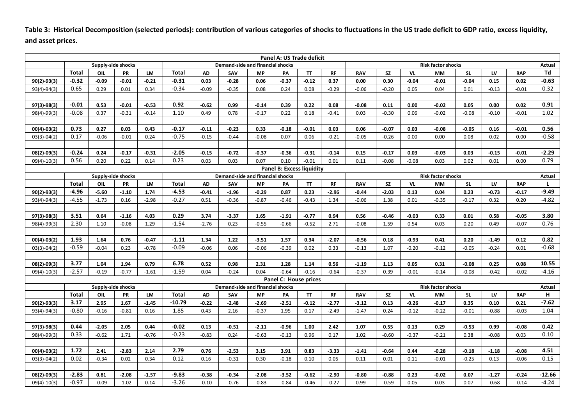**Table 3: Historical Decomposition (selected periods): contribution of various categories of shocks to fluctuations in the US trade deficit to GDP ratio, excess liquidity, and asset prices.** 

|                 |                 |                    |           |           |                 |           |                                  |           | Panel A: US Trade deficit        |           |           |            |           |                           |                           |           |         |            |                  |
|-----------------|-----------------|--------------------|-----------|-----------|-----------------|-----------|----------------------------------|-----------|----------------------------------|-----------|-----------|------------|-----------|---------------------------|---------------------------|-----------|---------|------------|------------------|
|                 |                 | Supply-side shocks |           |           |                 |           | Demand-side and financial shocks |           |                                  |           |           |            |           | <b>Risk factor shocks</b> |                           |           |         | Actual     |                  |
|                 | <b>Total</b>    | OIL                | PR        | LM        | <b>Total</b>    | <b>AD</b> | SAV                              | <b>MP</b> | PA                               | <b>TT</b> | <b>RF</b> | <b>RAV</b> | <b>SZ</b> | VL                        | <b>MM</b>                 | <b>SL</b> | LV      | <b>RAP</b> | Td               |
| $90(2)-93(3)$   | $-0.32$         | $-0.09$            | $-0.01$   | $-0.21$   | $-0.31$         | 0.03      | $-0.28$                          | 0.06      | $-0.37$                          | $-0.12$   | 0.37      | 0.00       | 0.30      | $-0.04$                   | $-0.01$                   | $-0.04$   | 0.15    | 0.02       | $-0.63$          |
| 93(4)-94(3)     | 0.65            | 0.29               | 0.01      | 0.34      | $-0.34$         | $-0.09$   | $-0.35$                          | 0.08      | 0.24                             | 0.08      | $-0.29$   | $-0.06$    | $-0.20$   | 0.05                      | 0.04                      | 0.01      | $-0.13$ | $-0.01$    | 0.32             |
|                 |                 |                    |           |           |                 |           |                                  |           |                                  |           |           |            |           |                           |                           |           |         |            |                  |
| 97(3)-98(3)     | $-0.01$         | 0.53               | $-0.01$   | $-0.53$   | 0.92            | $-0.62$   | 0.99                             | $-0.14$   | 0.39                             | 0.22      | 0.08      | $-0.08$    | 0.11      | 0.00                      | $-0.02$                   | 0.05      | 0.00    | 0.02       | 0.91             |
| 98(4)-99(3)     | $-0.08$         | 0.37               | $-0.31$   | $-0.14$   | 1.10            | 0.49      | 0.78                             | $-0.17$   | 0.22                             | 0.18      | $-0.41$   | 0.03       | $-0.30$   | 0.06                      | $-0.02$                   | $-0.08$   | $-0.10$ | $-0.01$    | 1.02             |
|                 |                 |                    |           |           |                 |           |                                  |           |                                  |           |           |            |           |                           |                           |           |         |            |                  |
| $00(4) - 03(2)$ | 0.73            | 0.27               | 0.03      | 0.43      | $-0.17$         | $-0.11$   | $-0.23$                          | 0.33      | $-0.18$                          | $-0.01$   | 0.03      | 0.06       | $-0.07$   | 0.03                      | $-0.08$                   | $-0.05$   | 0.16    | $-0.01$    | 0.56             |
| $03(3)-04(2)$   | 0.17            | $-0.06$            | $-0.01$   | 0.24      | $-0.75$         | $-0.15$   | $-0.44$                          | $-0.08$   | 0.07                             | 0.06      | $-0.21$   | $-0.05$    | $-0.26$   | 0.00                      | 0.00                      | 0.08      | 0.02    | 0.00       | $-0.58$          |
|                 |                 |                    |           |           |                 |           |                                  |           |                                  |           |           |            |           |                           |                           |           |         |            |                  |
| 08(2)-09(3)     | $-0.24$         | 0.24               | $-0.17$   | $-0.31$   | $-2.05$         | $-0.15$   | $-0.72$                          | $-0.37$   | $-0.36$                          | $-0.31$   | $-0.14$   | 0.15       | $-0.17$   | 0.03                      | $-0.03$                   | 0.03      | $-0.15$ | $-0.01$    | $-2.29$          |
| $09(4)-10(3)$   | 0.56            | 0.20               | 0.22      | 0.14      | 0.23            | 0.03      | 0.03                             | 0.07      | 0.10                             | $-0.01$   | 0.01      | 0.11       | $-0.08$   | $-0.08$                   | 0.03                      | 0.02      | 0.01    | 0.00       | 0.79             |
|                 |                 |                    |           |           |                 |           |                                  |           | <b>Panel B: Excess liquidity</b> |           |           |            |           |                           |                           |           |         |            |                  |
|                 |                 | Supply-side shocks |           |           |                 |           | Demand-side and financial shocks |           |                                  |           |           |            |           |                           | <b>Risk factor shocks</b> |           |         |            | Actual           |
|                 | <b>Total</b>    | OIL                | <b>PR</b> | LM        | <b>Total</b>    | <b>AD</b> | SAV                              | <b>MP</b> | PA                               | <b>TT</b> | <b>RF</b> | <b>RAV</b> | <b>SZ</b> | VL                        | <b>MM</b>                 | <b>SL</b> | LV      | <b>RAP</b> | L                |
| $90(2)-93(3)$   | $-4.96$         | $-5.60$            | $-1.10$   | 1.74      | $-4.53$         | $-0.41$   | $-1.96$                          | $-0.29$   | 0.87                             | 0.23      | $-2.96$   | $-0.44$    | $-2.03$   | 0.13                      | 0.04                      | 0.23      | $-0.73$ | $-0.17$    | $-9.49$          |
| 93(4)-94(3)     | $-4.55$         | $-1.73$            | 0.16      | $-2.98$   | $-0.27$         | 0.51      | $-0.36$                          | $-0.87$   | $-0.46$                          | $-0.43$   | 1.34      | $-0.06$    | 1.38      | 0.01                      | $-0.35$                   | $-0.17$   | 0.32    | 0.20       | $-4.82$          |
|                 |                 |                    |           |           |                 |           |                                  |           |                                  |           |           |            |           |                           |                           |           |         |            |                  |
| 97(3)-98(3)     | 3.51            | 0.64               | $-1.16$   | 4.03      | 0.29            | 3.74      | $-3.37$                          | 1.65      | $-1.91$                          | $-0.77$   | 0.94      | 0.56       | $-0.46$   | $-0.03$                   | 0.33                      | 0.01      | 0.58    | $-0.05$    | 3.80             |
| 98(4)-99(3)     | 2.30            | 1.10               | $-0.08$   | 1.29      | $-1.54$         | $-2.76$   | 0.23                             | $-0.55$   | $-0.66$                          | $-0.52$   | 2.71      | $-0.08$    | 1.59      | 0.54                      | 0.03                      | 0.20      | 0.49    | $-0.07$    | 0.76             |
|                 |                 |                    |           |           |                 |           |                                  |           |                                  |           |           |            |           |                           |                           |           |         |            |                  |
| $00(4)-03(2)$   | 1.93            | 1.64               | 0.76      | $-0.47$   | $-1.11$         | 1.34      | 1.22                             | $-3.51$   | 1.57                             | 0.34      | $-2.07$   | $-0.56$    | 0.18      | $-0.93$                   | 0.41                      | 0.20      | $-1.49$ | 0.12       | 0.82             |
| $03(3)-04(2)$   | $-0.59$         | $-0.04$            | 0.23      | $-0.78$   | $-0.09$         | $-0.06$   | 0.06                             | $-0.06$   | $-0.39$                          | 0.02      | 0.33      | $-0.13$    | 1.07      | $-0.20$                   | $-0.12$                   | $-0.05$   | $-0.24$ | 0.01       | $-0.68$          |
|                 |                 |                    |           |           |                 |           |                                  |           |                                  |           |           |            |           |                           |                           |           |         |            |                  |
| 08(2)-09(3)     | 3.77<br>$-2.57$ | 1.04               | 1.94      | 0.79      | 6.78<br>$-1.59$ | 0.52      | 0.98                             | 2.31      | 1.28                             | 1.14      | 0.56      | $-1.19$    | 1.13      | 0.05                      | 0.31                      | $-0.08$   | 0.25    | 0.08       | 10.55<br>$-4.16$ |
| $09(4)-10(3)$   |                 | $-0.19$            | $-0.77$   | $-1.61$   |                 | 0.04      | $-0.24$                          | 0.04      | $-0.64$                          | $-0.16$   | $-0.64$   | $-0.37$    | 0.39      | $-0.01$                   | $-0.14$                   | $-0.08$   | $-0.42$ | $-0.02$    |                  |
|                 |                 | Supply-side shocks |           |           |                 |           | Demand-side and financial shocks |           | Panel C: House prices            |           |           |            |           |                           | <b>Risk factor shocks</b> |           |         |            | Actual           |
|                 | <b>Total</b>    | OIL                | PR        | <b>LM</b> | <b>Total</b>    | <b>AD</b> | SAV                              | <b>MP</b> | PA                               | <b>TT</b> | <b>RF</b> | <b>RAV</b> | <b>SZ</b> | VL                        | <b>MM</b>                 | <b>SL</b> | LV      | <b>RAP</b> | H                |
| $90(2)-93(3)$   | 3.17            | 2.95               | 1.67      | $-1.45$   | $-10.79$        | $-0.22$   | $-2.48$                          | $-2.69$   | $-2.51$                          | $-0.12$   | $-2.77$   | $-3.12$    | 0.13      | $-0.26$                   | $-0.17$                   | 0.35      | 0.10    | 0.21       | $-7.62$          |
| 93(4)-94(3)     | $-0.80$         | $-0.16$            | $-0.81$   | 0.16      | 1.85            | 0.43      | 2.16                             | $-0.37$   | 1.95                             | 0.17      | $-2.49$   | $-1.47$    | 0.24      | $-0.12$                   | $-0.22$                   | $-0.01$   | $-0.88$ | $-0.03$    | 1.04             |
|                 |                 |                    |           |           |                 |           |                                  |           |                                  |           |           |            |           |                           |                           |           |         |            |                  |
| 97(3)-98(3)     | 0.44            | $-2.05$            | 2.05      | 0.44      | $-0.02$         | 0.13      | $-0.51$                          | $-2.11$   | $-0.96$                          | 1.00      | 2.42      | 1.07       | 0.55      | 0.13                      | 0.29                      | $-0.53$   | 0.99    | $-0.08$    | 0.42             |
| 98(4)-99(3)     | 0.33            | $-0.62$            | 1.71      | $-0.76$   | $-0.23$         | $-0.83$   | 0.24                             | $-0.63$   | $-0.13$                          | 0.96      | 0.17      | 1.02       | $-0.60$   | $-0.37$                   | $-0.21$                   | 0.38      | $-0.08$ | 0.03       | 0.10             |
|                 |                 |                    |           |           |                 |           |                                  |           |                                  |           |           |            |           |                           |                           |           |         |            |                  |
| $00(4)-03(2)$   | 1.72            | 2.41               | $-2.83$   | 2.14      | 2.79            | 0.76      | $-2.53$                          | 3.15      | 3.91                             | 0.83      | $-3.33$   | $-1.41$    | $-0.64$   | 0.44                      | $-0.28$                   | $-0.18$   | $-1.18$ | $-0.08$    | 4.51             |
| $03(3)-04(2)$   | 0.02            | $-0.34$            | 0.02      | 0.34      | 0.12            | 0.16      | $-0.31$                          | 0.30      | $-0.18$                          | 0.10      | 0.05      | 0.11       | 0.01      | 0.11                      | $-0.01$                   | $-0.25$   | 0.13    | $-0.06$    | 0.15             |
|                 |                 |                    |           |           |                 |           |                                  |           |                                  |           |           |            |           |                           |                           |           |         |            |                  |
| 08(2)-09(3)     | $-2.83$         | 0.81               | $-2.08$   | $-1.57$   | $-9.83$         | $-0.38$   | $-0.34$                          | $-2.08$   | $-3.52$                          | $-0.62$   | $-2.90$   | $-0.80$    | $-0.88$   | 0.23                      | $-0.02$                   | 0.07      | $-1.27$ | $-0.24$    | $-12.66$         |
| $09(4)-10(3)$   | $-0.97$         | $-0.09$            | $-1.02$   | 0.14      | $-3.26$         | $-0.10$   | $-0.76$                          | $-0.83$   | $-0.84$                          | $-0.46$   | $-0.27$   | 0.99       | $-0.59$   | 0.05                      | 0.03                      | 0.07      | $-0.68$ | $-0.14$    | $-4.24$          |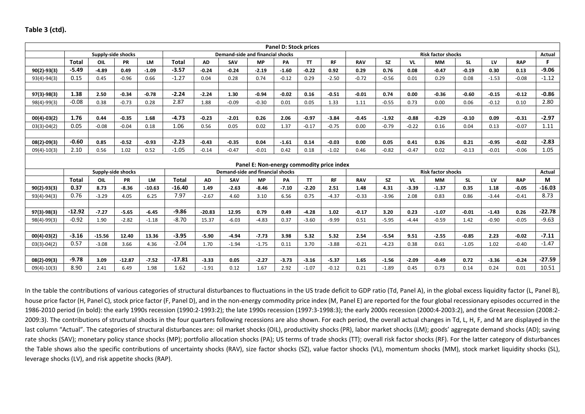### **Table 3 (ctd).**

|                 |              |          |                    |           |              |           |                                         |                                           | <b>Panel D: Stock prices</b> |           |           |            |           |         |                           |           |         |            |          |
|-----------------|--------------|----------|--------------------|-----------|--------------|-----------|-----------------------------------------|-------------------------------------------|------------------------------|-----------|-----------|------------|-----------|---------|---------------------------|-----------|---------|------------|----------|
|                 |              |          | Supply-side shocks |           |              |           | Demand-side and financial shocks        |                                           |                              |           |           |            |           |         | <b>Risk factor shocks</b> |           |         |            | Actual   |
|                 | <b>Total</b> | OIL      | PR                 | LM        | <b>Total</b> | <b>AD</b> | SAV                                     | <b>MP</b>                                 | PA                           | <b>TT</b> | <b>RF</b> | <b>RAV</b> | <b>SZ</b> | VL      | <b>MM</b>                 | <b>SL</b> | LV      | <b>RAP</b> | F.       |
| $90(2) - 93(3)$ | $-5.49$      | $-4.89$  | 0.49               | $-1.09$   | $-3.57$      | $-0.24$   | $-0.24$                                 | $-2.19$                                   | $-1.60$                      | $-0.22$   | 0.92      | 0.29       | 0.76      | 0.08    | $-0.47$                   | $-0.19$   | 0.30    | 0.13       | $-9.06$  |
| $93(4)-94(3)$   | 0.15         | 0.45     | $-0.96$            | 0.66      | $-1.27$      | 0.04      | 0.28                                    | 0.74                                      | $-0.12$                      | 0.29      | $-2.50$   | $-0.72$    | $-0.56$   | 0.01    | 0.29                      | 0.08      | $-1.53$ | $-0.08$    | $-1.12$  |
|                 |              |          |                    |           |              |           |                                         |                                           |                              |           |           |            |           |         |                           |           |         |            |          |
| $97(3) - 98(3)$ | 1.38         | 2.50     | $-0.34$            | $-0.78$   | $-2.24$      | $-2.24$   | 1.30                                    | $-0.94$                                   | $-0.02$                      | 0.16      | $-0.51$   | $-0.01$    | 0.74      | 0.00    | $-0.36$                   | $-0.60$   | $-0.15$ | $-0.12$    | $-0.86$  |
| $98(4)-99(3)$   | $-0.08$      | 0.38     | $-0.73$            | 0.28      | 2.87         | 1.88      | $-0.09$                                 | $-0.30$                                   | 0.01                         | 0.05      | 1.33      | 1.11       | $-0.55$   | 0.73    | 0.00                      | 0.06      | $-0.12$ | 0.10       | 2.80     |
|                 |              |          |                    |           |              |           |                                         |                                           |                              |           |           |            |           |         |                           |           |         |            |          |
| $00(4) - 03(2)$ | 1.76         | 0.44     | $-0.35$            | 1.68      | $-4.73$      | $-0.23$   | $-2.01$                                 | 0.26                                      | 2.06                         | $-0.97$   | $-3.84$   | $-0.45$    | $-1.92$   | $-0.88$ | $-0.29$                   | $-0.10$   | 0.09    | $-0.31$    | $-2.97$  |
| $03(3)-04(2)$   | 0.05         | $-0.08$  | $-0.04$            | 0.18      | 1.06         | 0.56      | 0.05                                    | 0.02                                      | 1.37                         | $-0.17$   | $-0.75$   | 0.00       | $-0.79$   | $-0.22$ | 0.16                      | 0.04      | 0.13    | $-0.07$    | 1.11     |
|                 |              |          |                    |           |              |           |                                         |                                           |                              |           |           |            |           |         |                           |           |         |            |          |
| $08(2)-09(3)$   | $-0.60$      | 0.85     | $-0.52$            | $-0.93$   | $-2.23$      | $-0.43$   | $-0.35$                                 | 0.04                                      | $-1.61$                      | 0.14      | $-0.03$   | 0.00       | 0.05      | 0.41    | 0.26                      | 0.21      | $-0.95$ | $-0.02$    | $-2.83$  |
| $09(4)-10(3)$   | 2.10         | 0.56     | 1.02               | 0.52      | $-1.05$      | $-0.14$   | $-0.47$                                 | $-0.01$                                   | 0.42                         | 0.18      | $-1.02$   | 0.46       | $-0.82$   | $-0.47$ | 0.02                      | $-0.13$   | $-0.01$ | $-0.06$    | 1.05     |
|                 |              |          |                    |           |              |           |                                         |                                           |                              |           |           |            |           |         |                           |           |         |            |          |
|                 |              |          |                    |           |              |           |                                         | Panel E: Non-energy commodity price index |                              |           |           |            |           |         |                           |           |         |            |          |
|                 |              |          | Supply-side shocks |           |              |           | <b>Demand-side and financial shocks</b> |                                           |                              |           |           |            |           |         | <b>Risk factor shocks</b> |           |         |            | Actual   |
|                 | <b>Total</b> | OIL      | <b>PR</b>          | <b>LM</b> | <b>Total</b> | <b>AD</b> | SAV                                     | <b>MP</b>                                 | PA                           | <b>TT</b> | <b>RF</b> | <b>RAV</b> | <b>SZ</b> | VL      | <b>MM</b>                 | <b>SL</b> | LV      | <b>RAP</b> | М        |
| $90(2) - 93(3)$ | 0.37         | 8.73     | $-8.36$            | $-10.63$  | $-16.40$     | 1.49      | $-2.63$                                 | $-8.46$                                   | $-7.10$                      | $-2.20$   | 2.51      | 1.48       | 4.31      | $-3.39$ | $-1.37$                   | 0.35      | 1.18    | $-0.05$    | $-16.03$ |
| $93(4)-94(3)$   | 0.76         | $-3.29$  | 4.05               | 6.25      | 7.97         | $-2.67$   | 4.60                                    | 3.10                                      | 6.56                         | 0.75      | $-4.37$   | $-0.33$    | $-3.96$   | 2.08    | 0.83                      | 0.86      | $-3.44$ | $-0.41$    | 8.73     |
|                 |              |          |                    |           |              |           |                                         |                                           |                              |           |           |            |           |         |                           |           |         |            |          |
| $97(3) - 98(3)$ | $-12.92$     | $-7.27$  | $-5.65$            | $-6.45$   | $-9.86$      | $-20.83$  | 12.95                                   | 0.79                                      | 0.49                         | $-4.28$   | 1.02      | $-0.17$    | 3.20      | 0.23    | $-1.07$                   | $-0.01$   | $-1.43$ | 0.26       | $-22.78$ |
| $98(4)-99(3)$   | $-0.92$      | 1.90     | $-2.82$            | $-1.18$   | $-8.70$      | 15.37     | $-6.03$                                 | $-4.83$                                   | 0.37                         | $-3.60$   | $-9.99$   | 0.51       | $-5.95$   | $-4.44$ | $-0.59$                   | 1.42      | $-0.90$ | $-0.05$    | $-9.63$  |
|                 |              |          |                    |           |              |           |                                         |                                           |                              |           |           |            |           |         |                           |           |         |            |          |
| $00(4) - 03(2)$ | $-3.16$      | $-15.56$ | 12.40              | 13.36     | $-3.95$      | $-5.90$   | $-4.94$                                 | $-7.73$                                   | 3.98                         | 5.32      | 5.32      | 2.54       | $-5.54$   | 9.51    | $-2.55$                   | $-0.85$   | 2.23    | $-0.02$    | $-7.11$  |
| $03(3)-04(2)$   | 0.57         | $-3.08$  | 3.66               | 4.36      | $-2.04$      | 1.70      | $-1.94$                                 | $-1.75$                                   | 0.11                         | 3.70      | $-3.88$   | $-0.21$    | $-4.23$   | 0.38    | 0.61                      | $-1.05$   | 1.02    | $-0.40$    | $-1.47$  |
|                 |              |          |                    |           |              |           |                                         |                                           |                              |           |           |            |           |         |                           |           |         |            |          |
| $08(2) - 09(3)$ | $-9.78$      | 3.09     | $-12.87$           | $-7.52$   | $-17.81$     | $-3.33$   | 0.05                                    | $-2.27$                                   | $-3.73$                      | $-3.16$   | $-5.37$   | 1.65       | $-1.56$   | $-2.09$ | $-0.49$                   | 0.72      | $-3.36$ | $-0.24$    | $-27.59$ |
| $09(4)-10(3)$   | 8.90         | 2.41     | 6.49               | 1.98      | 1.62         | $-1.91$   | 0.12                                    | 1.67                                      | 2.92                         | $-1.07$   | $-0.12$   | 0.21       | $-1.89$   | 0.45    | 0.73                      | 0.14      | 0.24    | 0.01       | 10.51    |

In the table the contributions of various categories of structural disturbances to fluctuations in the US trade deficit to GDP ratio (Td, Panel A), in the global excess liquidity factor (L, Panel B), house price factor (H, Panel C), stock price factor (F, Panel D), and in the non-energy commodity price index (M, Panel E) are reported for the four global recessionary episodes occurred in the 1986‐2010 period (in bold): the early 1990s recession (1990:2‐1993:2); the late 1990s recession (1997:3‐1998:3); the early 2000s recession (2000:4‐2003:2), and the Great Recession (2008:2‐ 2009:3). The contributions of structural shocks in the four quarters following recessions are also shown. For each period, the overall actual changes in Td, L, H, F, and M are displayed in the last column "Actual". The categories of structural disturbances are: oil market shocks (OIL), productivity shocks (PR), labor market shocks (LM); goods' aggregate demand shocks (AD); saving rate shocks (SAV); monetary policy stance shocks (MP); portfolio allocation shocks (PA); US terms of trade shocks (TT); overall risk factor shocks (RF). For the latter category of disturbances the Table shows also the specific contributions of uncertainty shocks (RAV), size factor shocks (SZ), value factor shocks (VL), momentum shocks (MM), stock market liquidity shocks (SL), leverage shocks (LV), and risk appetite shocks (RAP).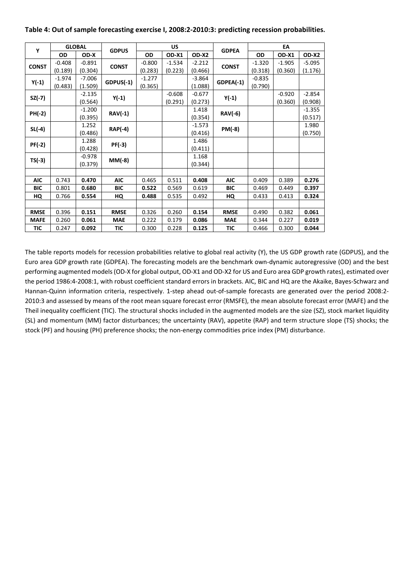#### **Table 4: Out of sample forecasting exercise I, 2008:2‐2010:3: predicting recession probabilities.**

| Υ             | <b>GLOBAL</b> |          |                |          | US       |          |                |           | EA       |          |
|---------------|---------------|----------|----------------|----------|----------|----------|----------------|-----------|----------|----------|
|               | <b>OD</b>     | OD-X     | <b>GDPUS</b>   | OD       | OD-X1    | OD-X2    | <b>GDPEA</b>   | <b>OD</b> | OD-X1    | OD-X2    |
| <b>CONST</b>  | $-0.408$      | $-0.891$ | <b>CONST</b>   | $-0.800$ | $-1.534$ | $-2.212$ | <b>CONST</b>   | $-1.320$  | $-1.905$ | $-5.095$ |
|               | (0.189)       | (0.304)  |                | (0.283)  | (0.223)  | (0.466)  |                | (0.318)   | (0.360)  | (1.176)  |
| $Y(-1)$       | $-1.974$      | $-7.006$ | $GDPUS(-1)$    | $-1.277$ |          | $-3.864$ | GDPEA(-1)      | $-0.835$  |          |          |
|               | (0.483)       | (1.509)  |                | (0.365)  |          | (1.088)  |                | (0.790)   |          |          |
| SZ(-7)        |               | $-2.135$ | Y(-1)          |          | $-0.608$ | $-0.677$ | Y(-1)          |           | $-0.920$ | $-2.854$ |
|               |               | (0.564)  |                |          | (0.291)  | (0.273)  |                |           | (0.360)  | (0.908)  |
| PH(-2)        |               | $-1.200$ | $RAV(-1)$      |          |          | 1.418    | <b>RAV(-6)</b> |           |          | $-1.355$ |
|               |               | (0.395)  |                |          |          | (0.354)  |                |           |          | (0.517)  |
| SL(-4)        |               | 1.252    | <b>RAP(-4)</b> |          |          | $-1.573$ | PM(-8)         |           |          | 1.980    |
|               |               | (0.486)  |                |          |          | (0.416)  |                |           |          | (0.750)  |
| <b>PF(-2)</b> |               | 1.288    | PF(-3)         |          |          | 1.486    |                |           |          |          |
|               |               | (0.428)  |                |          |          | (0.411)  |                |           |          |          |
| TS(-3)        |               | $-0.978$ | MM(-8)         |          |          | 1.168    |                |           |          |          |
|               |               | (0.379)  |                |          |          | (0.344)  |                |           |          |          |
|               |               |          |                |          |          |          |                |           |          |          |
| <b>AIC</b>    | 0.743         | 0.470    | <b>AIC</b>     | 0.465    | 0.511    | 0.408    | <b>AIC</b>     | 0.409     | 0.389    | 0.276    |
| <b>BIC</b>    | 0.801         | 0.680    | <b>BIC</b>     | 0.522    | 0.569    | 0.619    | <b>BIC</b>     | 0.469     | 0.449    | 0.397    |
| HQ            | 0.766         | 0.554    | HQ             | 0.488    | 0.535    | 0.492    | HQ             | 0.433     | 0.413    | 0.324    |
|               |               |          |                |          |          |          |                |           |          |          |
| <b>RMSE</b>   | 0.396         | 0.151    | <b>RMSE</b>    | 0.326    | 0.260    | 0.154    | <b>RMSE</b>    | 0.490     | 0.382    | 0.061    |
| <b>MAFE</b>   | 0.260         | 0.061    | <b>MAE</b>     | 0.222    | 0.179    | 0.086    | <b>MAE</b>     | 0.344     | 0.227    | 0.019    |
| TIC           | 0.247         | 0.092    | TIC            | 0.300    | 0.228    | 0.125    | TIC            | 0.466     | 0.300    | 0.044    |

The table reports models for recession probabilities relative to global real activity (Y), the US GDP growth rate (GDPUS), and the Euro area GDP growth rate (GDPEA). The forecasting models are the benchmark own‐dynamic autoregressive (OD) and the best performing augmented models (OD‐X for global output, OD‐X1 and OD‐X2 for US and Euro area GDP growth rates), estimated over the period 1986:4‐2008:1, with robust coefficient standard errors in brackets. AIC, BIC and HQ are the Akaike, Bayes‐Schwarz and Hannan‐Quinn information criteria, respectively. 1‐step ahead out‐of‐sample forecasts are generated over the period 2008:2‐ 2010:3 and assessed by means of the root mean square forecast error (RMSFE), the mean absolute forecast error (MAFE) and the Theil inequality coefficient (TIC). The structural shocks included in the augmented models are the size (SZ), stock market liquidity (SL) and momentum (MM) factor disturbances; the uncertainty (RAV), appetite (RAP) and term structure slope (TS) shocks; the stock (PF) and housing (PH) preference shocks; the non-energy commodities price index (PM) disturbance.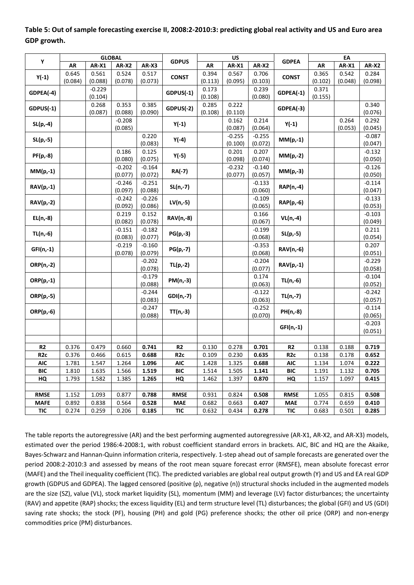|                  |         |              | <b>GLOBAL</b>    |                     |                 |         | US               |                     |                  |         | EA           |                     |
|------------------|---------|--------------|------------------|---------------------|-----------------|---------|------------------|---------------------|------------------|---------|--------------|---------------------|
| Υ                | AR      | <b>AR-X1</b> | AR-X2            | AR-X3               | <b>GDPUS</b>    | AR      | <b>AR-X1</b>     | <b>AR-X2</b>        | <b>GDPEA</b>     | AR      | <b>AR-X1</b> | <b>AR-X2</b>        |
|                  | 0.645   | 0.561        | 0.524            | 0.517               | <b>CONST</b>    | 0.394   | 0.567            | 0.706               | <b>CONST</b>     | 0.365   | 0.542        | 0.284               |
| $Y(-1)$          | (0.084) | (0.088)      | (0.078)          | (0.073)             |                 | (0.113) | (0.095)          | (0.103)             |                  | (0.102) | (0.048)      | (0.098)             |
| GDPEA(-4)        |         | $-0.229$     |                  |                     | GDPUS(-1)       | 0.173   |                  | 0.239               | GDPEA(-1)        | 0.371   |              |                     |
|                  |         | (0.104)      |                  |                     |                 | (0.108) |                  | (0.080)             |                  | (0.155) |              |                     |
| $GDPUS(-1)$      |         | 0.268        | 0.353            | 0.385               | $GDPUS(-2)$     | 0.285   | 0.222            |                     | GDPEA(-3)        |         |              | 0.340               |
|                  |         | (0.087)      | (0.088)          | (0.090)             |                 | (0.108) | (0.110)          |                     |                  |         |              | (0.076)             |
| $SL(p,-4)$       |         |              | $-0.208$         |                     | $Y(-1)$         |         | 0.162            | 0.214               | $Y(-1)$          |         | 0.264        | 0.292               |
|                  |         |              | (0.085)          |                     |                 |         | (0.087)          | (0.064)             |                  |         | (0.053)      | (0.045)             |
| $SL(p,-5)$       |         |              |                  | 0.220               | $Y(-4)$         |         | $-0.255$         | $-0.255$            | $MM(p,-1)$       |         |              | $-0.087$            |
|                  |         |              |                  | (0.083)             |                 |         | (0.100)          | (0.072)             |                  |         |              | (0.047)             |
| PF(p,-8)         |         |              | 0.186<br>(0.080) | 0.125<br>(0.075)    | $Y(-5)$         |         | 0.201<br>(0.098) | 0.207<br>(0.074)    | $MM(p,-2)$       |         |              | $-0.132$<br>(0.050) |
|                  |         |              | $-0.202$         | $-0.164$            |                 |         | $-0.232$         | $-0.140$            |                  |         |              | $-0.126$            |
| $MM(p,-1)$       |         |              | (0.077)          | (0.072)             | RA(-7)          |         | (0.077)          | (0.057)             | $MM(p,-3)$       |         |              | (0.050)             |
|                  |         |              | $-0.246$         | $-0.251$            |                 |         |                  | $-0.133$            |                  |         |              | $-0.114$            |
| <b>RAV(p,-1)</b> |         |              | (0.097)          | (0.088)             | $SL(n,-7)$      |         |                  | (0.060)             | RAP(n,-4)        |         |              | (0.047)             |
|                  |         |              | $-0.242$         | $-0.226$            |                 |         |                  | $-0.109$            |                  |         |              | $-0.133$            |
| $RAV(p,-2)$      |         |              | (0.092)          | (0.086)             | $LV(n,-5)$      |         |                  | (0.065)             | RAP(p,-6)        |         |              | (0.053)             |
|                  |         |              | 0.219            | 0.152               |                 |         |                  | 0.166               |                  |         |              | $-0.103$            |
| $EL(n,-8)$       |         |              | (0.082)          | (0.078)             | RAV(n,-8)       |         |                  | (0.067)             | $VL(n,-4)$       |         |              | (0.049)             |
| $TL(n,-6)$       |         |              | $-0.151$         | $-0.182$            | $PG(p,-3)$      |         |                  | $-0.199$            | $SL(p,-5)$       |         |              | 0.211               |
|                  |         |              | (0.083)          | (0.077)             |                 |         |                  | (0.068)             |                  |         |              | (0.054)             |
| GFI(n,-1)        |         |              | $-0.219$         | $-0.160$            | $PG(p,-7)$      |         |                  | $-0.353$            | RAV(n,-6)        |         |              | 0.207               |
|                  |         |              | (0.078)          | (0.079)             |                 |         |                  | (0.068)             |                  |         |              | (0.051)             |
| ORP(n,-2)        |         |              |                  | $-0.202$            | $TL(p,-2)$      |         |                  | $-0.204$            | <b>RAV(p,-1)</b> |         |              | $-0.229$            |
|                  |         |              |                  | (0.078)             |                 |         |                  | (0.077)             |                  |         |              | (0.058)             |
| $ORP(p,-1)$      |         |              |                  | $-0.179$            | PM(n,-3)        |         |                  | 0.174               | TL(n,-6)         |         |              | $-0.104$            |
|                  |         |              |                  | (0.088)             |                 |         |                  | (0.063)             |                  |         |              | (0.052)<br>$-0.242$ |
| $ORP(p,-5)$      |         |              |                  | $-0.244$<br>(0.083) | $GDI(n,-7)$     |         |                  | $-0.122$<br>(0.063) | $TL(n,-7)$       |         |              | (0.057)             |
|                  |         |              |                  | $-0.247$            |                 |         |                  | $-0.252$            |                  |         |              | $-0.114$            |
| ORP(p,-6)        |         |              |                  | (0.088)             | TT(n,-3)        |         |                  | (0.070)             | PH(n,-8)         |         |              | (0.065)             |
|                  |         |              |                  |                     |                 |         |                  |                     |                  |         |              | $-0.203$            |
|                  |         |              |                  |                     |                 |         |                  |                     | $GF(n,-1)$       |         |              | (0.051)             |
|                  |         |              |                  |                     |                 |         |                  |                     |                  |         |              |                     |
| R <sub>2</sub>   | 0.376   | 0.479        | 0.660            | 0.741               | R <sub>2</sub>  | 0.130   | 0.278            | 0.701               | R2               | 0.138   | 0.188        | 0.719               |
| R <sub>2c</sub>  | 0.376   | 0.466        | 0.615            | 0.688               | R <sub>2c</sub> | 0.109   | 0.230            | 0.635               | R <sub>2c</sub>  | 0.138   | 0.178        | 0.652               |
| <b>AIC</b>       | 1.781   | 1.547        | 1.264            | 1.096               | <b>AIC</b>      | 1.428   | 1.325            | 0.688               | <b>AIC</b>       | 1.134   | 1.074        | 0.222               |
| <b>BIC</b>       | 1.810   | 1.635        | 1.566            | 1.519               | <b>BIC</b>      | 1.514   | 1.505            | 1.141               | <b>BIC</b>       | 1.191   | 1.132        | 0.705               |
| HQ               | 1.793   | 1.582        | 1.385            | 1.265               | HQ              | 1.462   | 1.397            | 0.870               | HQ               | 1.157   | 1.097        | 0.415               |
|                  |         |              |                  |                     |                 |         |                  |                     |                  |         |              |                     |
| <b>RMSE</b>      | 1.152   | 1.093        | 0.877            | 0.788               | <b>RMSE</b>     | 0.931   | 0.824            | 0.508               | <b>RMSE</b>      | 1.055   | 0.815        | 0.508               |
| <b>MAFE</b>      | 0.892   | 0.838        | 0.564            | 0.528               | <b>MAE</b>      | 0.682   | 0.663            | 0.407               | <b>MAE</b>       | 0.774   | 0.659        | 0.410               |
| <b>TIC</b>       | 0.274   | 0.259        | 0.206            | 0.185               | <b>TIC</b>      | 0.632   | 0.434            | 0.278               | <b>TIC</b>       | 0.683   | 0.501        | 0.285               |

**Table 5: Out of sample forecasting exercise II, 2008:2‐2010:3: predicting global real activity and US and Euro area GDP growth.** 

The table reports the autoregressive (AR) and the best performing augmented autoregressive (AR‐X1, AR‐X2, and AR‐X3) models, estimated over the period 1986:4‐2008:1, with robust coefficient standard errors in brackets. AIC, BIC and HQ are the Akaike, Bayes‐Schwarz and Hannan‐Quinn information criteria, respectively. 1‐step ahead out of sample forecasts are generated over the period 2008:2-2010:3 and assessed by means of the root mean square forecast error (RMSFE), mean absolute forecast error (MAFE) and the Theil inequality coefficient (TIC). The predicted variables are global real output growth (Y) and US and EA real GDP growth (GDPUS and GDPEA). The lagged censored (positive (p), negative (n)) structural shocks included in the augmented models are the size (SZ), value (VL), stock market liquidity (SL), momentum (MM) and leverage (LV) factor disturbances; the uncertainty (RAV) and appetite (RAP) shocks; the excess liquidity (EL) and term structure level (TL) disturbances; the global (GFI) and US (GDI) saving rate shocks; the stock (PF), housing (PH) and gold (PG) preference shocks; the other oil price (ORP) and non-energy commodities price (PM) disturbances.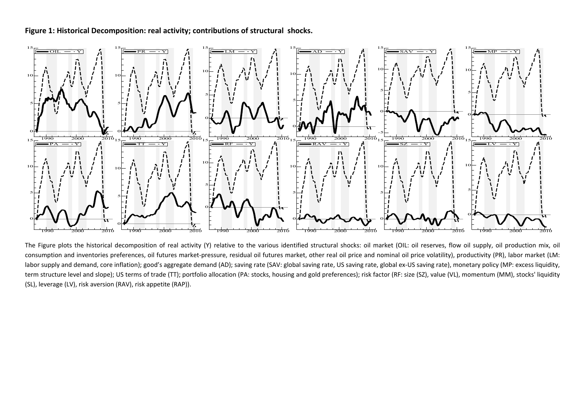#### **Figure 1: Historical Decomposition: real activity; contributions of structural shocks.**



The Figure plots the historical decomposition of real activity (Y) relative to the various identified structural shocks: oil market (OIL: oil reserves, flow oil supply, oil production mix, oil consumption and inventories preferences, oil futures market-pressure, residual oil futures market, other real oil price and nominal oil price volatility), productivity (PR), labor market (LM: labor supply and demand, core inflation); good's aggregate demand (AD); saving rate (SAV: global saving rate, US saving rate, global ex-US saving rate), monetary policy (MP: excess liquidity, term structure level and slope); US terms of trade (TT); portfolio allocation (PA: stocks, housing and gold preferences); risk factor (RF: size (SZ), value (VL), momentum (MM), stocks' liquidity (SL), leverage (LV), risk aversion (RAV), risk appetite (RAP)).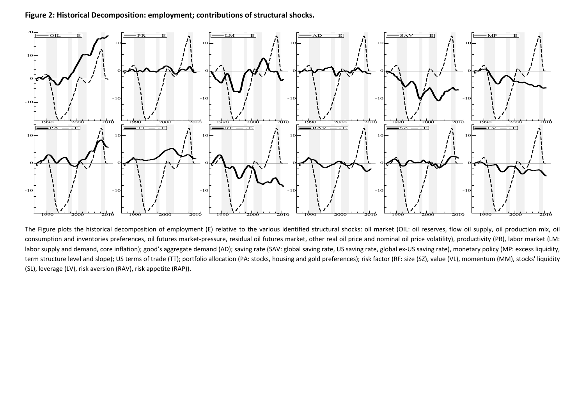**Figure 2: Historical Decomposition: employment; contributions of structural shocks.** 



The Figure plots the historical decomposition of employment (E) relative to the various identified structural shocks: oil market (OIL: oil reserves, flow oil supply, oil production mix, oil consumption and inventories preferences, oil futures market-pressure, residual oil futures market, other real oil price and nominal oil price volatility), productivity (PR), labor market (LM: labor supply and demand, core inflation); good's aggregate demand (AD); saving rate (SAV: global saving rate, US saving rate, global ex-US saving rate), monetary policy (MP: excess liquidity, term structure level and slope); US terms of trade (TT); portfolio allocation (PA: stocks, housing and gold preferences); risk factor (RF: size (SZ), value (VL), momentum (MM), stocks' liquidity (SL), leverage (LV), risk aversion (RAV), risk appetite (RAP)).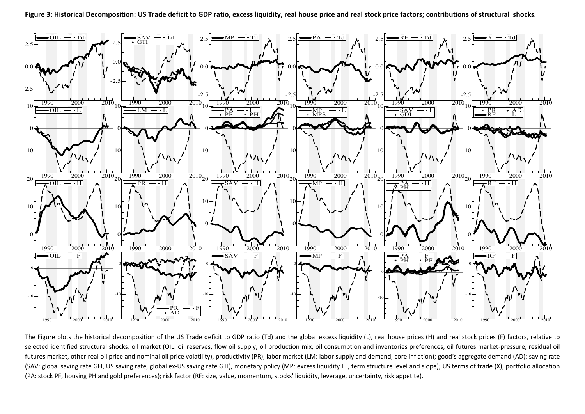

The Figure plots the historical decomposition of the US Trade deficit to GDP ratio (Td) and the global excess liquidity (L), real house prices (H) and real stock prices (F) factors, relative to selected identified structural shocks: oil market (OIL: oil reserves, flow oil supply, oil production mix, oil consumption and inventories preferences, oil futures market-pressure, residual oil futures market, other real oil price and nominal oil price volatility), productivity (PR), labor market (LM: labor supply and demand, core inflation); good's aggregate demand (AD); saving rate (SAV: global saving rate GFI, US saving rate, global ex-US saving rate GTI), monetary policy (MP: excess liquidity EL, term structure level and slope); US terms of trade (X); portfolio allocation (PA: stock PF, housing PH and gold preferences); risk factor (RF: size, value, momentum, stocks' liquidity, leverage, uncertainty, risk appetite).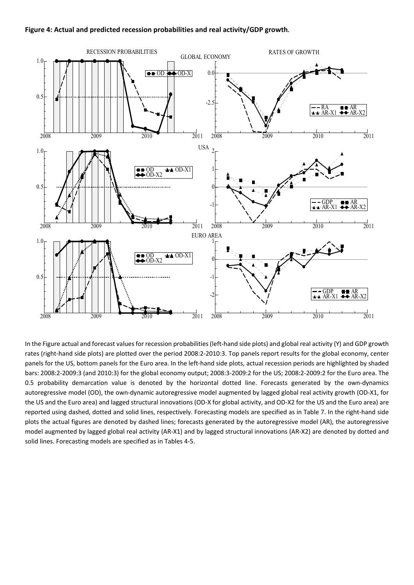#### **Figure 4: Actual and predicted recession probabilities and real activity/GDP growth.**



In the Figure actual and forecast values for recession probabilities (left-hand side plots) and global real activity (Y) and GDP growth rates (right‐hand side plots) are plotted over the period 2008:2‐2010:3. Top panels report results for the global economy, center panels for the US, bottom panels for the Euro area. In the left-hand side plots, actual recession periods are highlighted by shaded bars: 2008:2‐2009:3 (and 2010:3) for the global economy output; 2008:3‐2009:2 for the US; 2008:2‐2009:2 for the Euro area. The 0.5 probability demarcation value is denoted by the horizontal dotted line. Forecasts generated by the own-dynamics autoregressive model (OD), the own‐dynamic autoregressive model augmented by lagged global real activity growth (OD‐X1, for the US and the Euro area) and lagged structural innovations (OD-X for global activity, and OD-X2 for the US and the Euro area) are reported using dashed, dotted and solid lines, respectively. Forecasting models are specified as in Table 7. In the right-hand side plots the actual figures are denoted by dashed lines; forecasts generated by the autoregressive model (AR), the autoregressive model augmented by lagged global real activity (AR‐X1) and by lagged structural innovations (AR‐X2) are denoted by dotted and solid lines. Forecasting models are specified as in Tables 4‐5.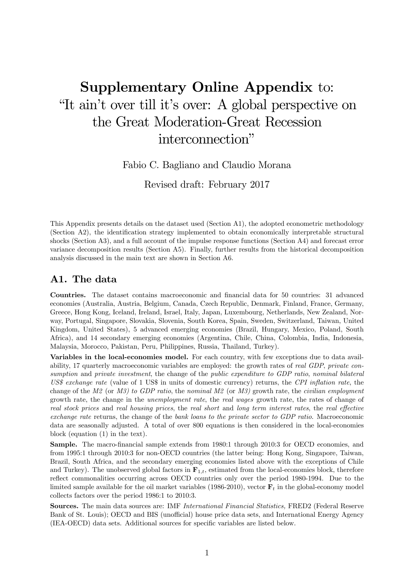# Supplementary Online Appendix to: "It ain't over till it's over: A global perspective on the Great Moderation-Great Recession interconnection"

Fabio C. Bagliano and Claudio Morana

Revised draft: February 2017

This Appendix presents details on the dataset used (Section A1), the adopted econometric methodology (Section A2), the identification strategy implemented to obtain economically interpretable structural shocks (Section A3), and a full account of the impulse response functions (Section A4) and forecast error variance decomposition results (Section A5). Finally, further results from the historical decomposition analysis discussed in the main text are shown in Section A6.

# A1. The data

Countries. The dataset contains macroeconomic and financial data for 50 countries: 31 advanced economies (Australia, Austria, Belgium, Canada, Czech Republic, Denmark, Finland, France, Germany, Greece, Hong Kong, Iceland, Ireland, Israel, Italy, Japan, Luxembourg, Netherlands, New Zealand, Norway, Portugal, Singapore, Slovakia, Slovenia, South Korea, Spain, Sweden, Switzerland, Taiwan, United Kingdom, United States), 5 advanced emerging economies (Brazil, Hungary, Mexico, Poland, South Africa), and 14 secondary emerging economies (Argentina, Chile, China, Colombia, India, Indonesia, Malaysia, Morocco, Pakistan, Peru, Philippines, Russia, Thailand, Turkey).

Variables in the local-economies model. For each country, with few exceptions due to data availability, 17 quarterly macroeconomic variables are employed: the growth rates of real GDP, private consumption and private investment, the change of the public expenditure to GDP ratio, nominal bilateral US\$ exchange rate (value of 1 US\$ in units of domestic currency) returns, the CPI inflation rate, the change of the  $M2$  (or  $M3$ ) to GDP ratio, the nominal  $M2$  (or  $M3$ ) growth rate, the *civilian employment* growth rate, the change in the unemployment rate, the real wages growth rate, the rates of change of real stock prices and real housing prices, the real short and long term interest rates, the real effective exchange rate returns, the change of the bank loans to the private sector to GDP ratio. Macroeconomic data are seasonally adjusted. A total of over 800 equations is then considered in the local-economies block (equation (1) in the text).

Sample. The macro-financial sample extends from 1980:1 through 2010:3 for OECD economies, and from 1995:1 through 2010:3 for non-OECD countries (the latter being: Hong Kong, Singapore, Taiwan, Brazil, South Africa, and the secondary emerging economies listed above with the exceptions of Chile and Turkey). The unobserved global factors in  $\mathbf{F}_{1,t}$ , estimated from the local-economies block, therefore reflect commonalities occurring across OECD countries only over the period 1980-1994. Due to the limited sample available for the oil market variables (1986-2010), vector  $\mathbf{F}_t$  in the global-economy model collects factors over the period 1986:1 to 2010:3.

Sources. The main data sources are: IMF International Financial Statistics, FRED2 (Federal Reserve Bank of St. Louis); OECD and BIS (unofficial) house price data sets, and International Energy Agency (IEA-OECD) data sets. Additional sources for specific variables are listed below.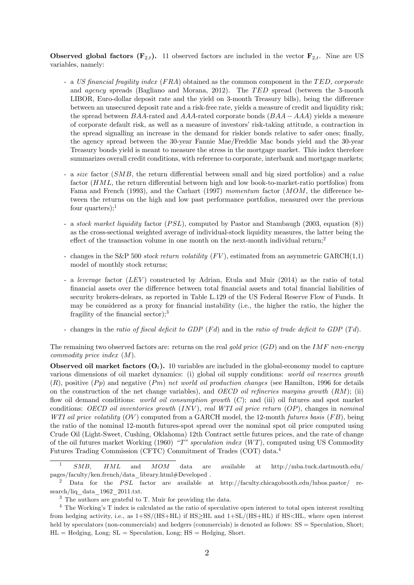**Observed global factors (F<sub>2,t</sub>).** 11 observed factors are included in the vector  $\mathbf{F}_{2,t}$ . Nine are US variables, namely:

- a US financial fragility index  $(FRA)$  obtained as the common component in the TED, corporate and  $agency$  spreads (Bagliano and Morana, 2012). The  $TED$  spread (between the 3-month LIBOR, Euro-dollar deposit rate and the yield on 3-month Treasury bills), being the difference between an unsecured deposit rate and a risk-free rate, yields a measure of credit and liquidity risk; the spread between  $BAA$ -rated and  $AAA$ -rated corporate bonds  $(BAA - AAA)$  yields a measure of corporate default risk, as well as a measure of investors' risk-taking attitude, a contraction in the spread signalling an increase in the demand for riskier bonds relative to safer ones; finally, the agency spread between the 30-year Fannie Mae/Freddie Mac bonds yield and the 30-year Treasury bonds yield is meant to measure the stress in the mortgage market. This index therefore summarizes overall credit conditions, with reference to corporate, interbank and mortgage markets;
- a size factor  $(SMB)$ , the return differential between small and big sized portfolios) and a value factor  $(HML)$ , the return differential between high and low book-to-market-ratio portfolios) from Fama and French (1993), and the Carhart (1997) momentum factor  $(MOM, t)$  the difference between the returns on the high and low past performance portfolios, measured over the previous four quarters); $<sup>1</sup>$ </sup>
- a stock market liquidity factor  $(PSL)$ , computed by Pastor and Stambaugh (2003, equation  $(8)$ ) as the cross-sectional weighted average of individual-stock liquidity measures, the latter being the effect of the transaction volume in one month on the next-month individual return;<sup>2</sup>
- changes in the S&P 500 stock return volatility  $(FV)$ , estimated from an asymmetric GARCH $(1,1)$ model of monthly stock returns;
- a leverage factor  $(LEV)$  constructed by Adrian, Etula and Muir (2014) as the ratio of total financial assets over the difference between total financial assets and total financial liabilities of security brokers-delears, as reported in Table L.129 of the US Federal Reserve Flow of Funds. It may be considered as a proxy for financial instability (i.e., the higher the ratio, the higher the fragility of the financial sector); $3$
- changes in the ratio of fiscal deficit to GDP  $(Fd)$  and in the ratio of trade deficit to GDP  $(Td)$ .

The remaining two observed factors are: returns on the real gold price  $(GD)$  and on the IMF non-energy commodity price index  $(M)$ .

Observed oil market factors  $(O_t)$ . 10 variables are included in the global-economy model to capture various dimensions of oil market dynamics: (i) global oil supply conditions: world oil reserves growth  $(R)$ , positive  $(Pp)$  and negative  $(Pm)$  net world oil production changes (see Hamilton, 1996 for details on the construction of the net change variables), and OECD oil refineries margins growth  $(RM)$ ; (ii) flow oil demand conditions: *world oil consumption growth*  $(C)$ ; and (iii) oil futures and spot market conditions: OECD oil inventories growth  $(INV)$ , real WTI oil price return  $(OP)$ , changes in nominal WTI oil price volatility  $(OV)$  computed from a GARCH model, the 12-month futures basis  $(FB)$ , being the ratio of the nominal 12-month futures-spot spread over the nominal spot oil price computed using Crude Oil (Light-Sweet, Cushing, Oklahoma) 12th Contract settle futures prices, and the rate of change of the oil futures market Working (1960) "T" speculation index  $(WT)$ , computed using US Commodity Futures Trading Commission (CFTC) Commitment of Trades (COT) data.<sup>4</sup>

 $SMB$ ,  $HML$  and  $MOM$  data are available at http://mba.tuck.dartmouth.edu/ pages/faculty/ken.french/data\_library.html#Developed .

Data for the PSL factor are available at http://faculty.chicagobooth.edu/lubos.pastor/ research/liq\_data\_1962\_2011.txt.

<sup>3</sup> The authors are grateful to T. Muir for providing the data.

<sup>&</sup>lt;sup>4</sup> The Working's T index is calculated as the ratio of speculative open interest to total open interest resulting from hedging activity, i.e., as  $1+SS/(HS+HL)$  if  $HS\geq H$  and  $1+SL/(HS+HL)$  if  $HS, where open interest$ held by speculators (non-commercials) and hedgers (commercials) is denoted as follows:  $SS =$  Speculation, Short;  $HL = H$ edging, Long;  $SL =$  Speculation, Long;  $HS = H$ edging, Short.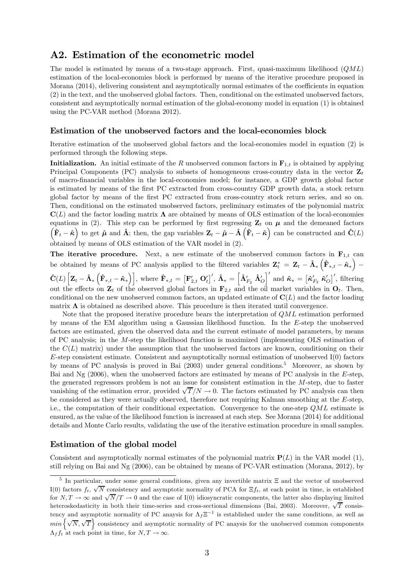# A2. Estimation of the econometric model

The model is estimated by means of a two-stage approach. First, quasi-maximum likelihood  $(QML)$ estimation of the local-economies block is performed by means of the iterative procedure proposed in Morana (2014), delivering consistent and asymptotically normal estimates of the coefficients in equation (2) in the text, and the unobserved global factors. Then, conditional on the estimated unobserved factors, consistent and asymptotically normal estimation of the global-economy model in equation (1) is obtained using the PC-VAR method (Morana 2012).

#### Estimation of the unobserved factors and the local-economies block

Iterative estimation of the unobserved global factors and the local-economies model in equation (2) is performed through the following steps.

**Initialization.** An initial estimate of the R unobserved common factors in  $\mathbf{F}_{1,t}$  is obtained by applying Principal Components (PC) analysis to subsets of homogeneous cross-country data in the vector  $\mathbf{Z}_t$ of macro-financial variables in the local-economies model; for instance, a GDP growth global factor is estimated by means of the first PC extracted from cross-country GDP growth data, a stock return global factor by means of the first PC extracted from cross-country stock return series, and so on. Then, conditional on the estimated unobserved factors, preliminary estimates of the polynomial matrix  $\mathbf{C}(L)$  and the factor loading matrix  $\mathbf{\Lambda}$  are obtained by means of OLS estimation of the local-economies equations in (2). This step can be performed by first regressing  $\mathbf{Z}_t$  on  $\boldsymbol{\mu}$  and the demeaned factors  $\left(\hat{\mathbf{F}}_t - \hat{\boldsymbol{\kappa}}\right)$  to get  $\hat{\boldsymbol{\mu}}$  and  $\hat{\boldsymbol{\Lambda}}$ ; then, the gap variables  $\mathbf{Z}_t - \hat{\boldsymbol{\mu}} - \hat{\boldsymbol{\Lambda}}\left(\hat{\mathbf{F}}_t - \hat{\boldsymbol{\kappa}}\right)$  can be constructed and  $\hat{\mathbf{C}}(L)$ obtained by means of OLS estimation of the VAR model in (2).

The iterative procedure. Next, a new estimate of the unobserved common factors in  $\mathbf{F}_{1,t}$  can be obtained by means of PC analysis applied to the filtered variables  $\mathbf{Z}_{t}^{*} = \mathbf{Z}_{t} - \hat{\mathbf{\Lambda}}_{*} \left( \hat{\mathbf{F}}_{*,t} - \hat{\mathbf{\kappa}}_{*} \right)$ −

 $\hat{\mathbf{C}}(L)\left[\mathbf{Z}_t - \hat{\mathbf{\Lambda}}_*\left(\hat{\mathbf{F}}_{*,t} - \hat{\mathbf{\kappa}}_*\right)\right],$  where  $\hat{\mathbf{F}}_{*,t} = \left[\mathbf{F}_{2,t}' \ \mathbf{O}_t'\right]', \, \hat{\mathbf{\Lambda}}_* = \left[\hat{\mathbf{\Lambda}}'_{F_2} \ \hat{\mathbf{\Lambda}}'_0\right]'$  and  $\hat{\mathbf{\kappa}}_* = \left[\hat{\mathbf{\kappa}}'_{F_2} \ \hat{\mathbf{\kappa}}'_0\right]',$  filtering out the effects on  $\mathbf{Z}_t$  of the observed global factors in  $\mathbf{F}_{2,t}$  and the oil market variables in  $\mathbf{O}_t$ . Then, conditional on the new unobserved common factors, an updated estimate of  $\mathbf{C}(L)$  and the factor loading matrix  $\Lambda$  is obtained as described above. This procedure is then iterated until convergence.

Note that the proposed iterative procedure bears the interpretation of  $QML$  estimation performed by means of the EM algorithm using a Gaussian likelihood function. In the  $E$ -step the unobserved factors are estimated, given the observed data and the current estimate of model parameters, by means of PC analysis; in the  $M$ -step the likelihood function is maximized (implementing OLS estimation of the  $C(L)$  matrix) under the assumption that the unobserved factors are known, conditioning on their  $E$ -step consistent estimate. Consistent and asymptotically normal estimation of unobserved I(0) factors by means of PC analysis is proved in Bai (2003) under general conditions.<sup>5</sup> Moreover, as shown by Bai and Ng  $(2006)$ , when the unobserved factors are estimated by means of PC analysis in the E-step, the generated regressors problem is not an issue for consistent estimation in the  $M$ -step, due to faster vanishing of the estimation error, provided  $\sqrt{T}/N \to 0$ . The factors estimated by PC analysis can then be considered as they were actually observed, therefore not requiring Kalman smoothing at the  $E$ -step, i.e., the computation of their conditional expectation. Convergence to the one-step  $QML$  estimate is ensured, as the value of the likelihood function is increased at each step. See Morana (2014) for additional details and Monte Carlo results, validating the use of the iterative estimation procedure in small samples.

#### Estimation of the global model

Consistent and asymptotically normal estimates of the polynomial matrix  $P(L)$  in the VAR model (1), still relying on Bai and Ng (2006), can be obtained by means of PC-VAR estimation (Morana, 2012), by

<sup>5</sup> In particular, under some general conditions, given any invertible matrix Ξ and the vector of unobserved I(0) factors  $f_t$ ,  $\sqrt{N}$  consistency and asymptotic normality of PCA for  $\Xi f_t$ , at each point in time, is established for  $N, T \to \infty$  and  $\sqrt{N}/T \to 0$  and the case of I(0) idiosyncratic components, the latter also displaying limited heteroskedasticity in both their time-series and cross-sectional dimensions (Bai, 2003). Moreover,  $\sqrt{T}$  consistency and asymptotic normality of PC anaysis for  $\Lambda_f \Xi^{-1}$  is established under the same conditions, as well as  $min\left\{\sqrt{N},\sqrt{T}\right\}$  consistency and asymptotic normality of PC anaysis for the unobserved common components  $\Lambda_f f_t$  at each point in time, for  $N, T \to \infty$ .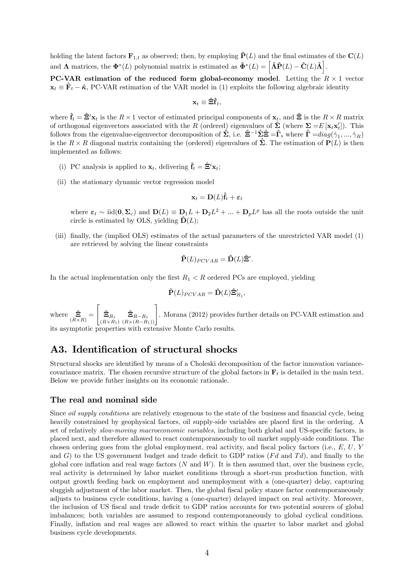holding the latent factors  $\mathbf{F}_{1,t}$  as observed; then, by employing  $\hat{\mathbf{P}}(L)$  and the final estimates of the  $\mathbf{C}(L)$ and  $\Lambda$  matrices, the  $\mathbf{\Phi}^*(L)$  polynomial matrix is estimated as  $\mathbf{\hat{\Phi}}^*(L) = \left[ \hat{\Lambda} \hat{P}(L) - \hat{C}(L) \hat{\Lambda} \right]$ .

PC-VAR estimation of the reduced form global-economy model. Letting the  $R \times 1$  vector  $\mathbf{x}_t \equiv \hat{\mathbf{F}}_t - \hat{\mathbf{\kappa}}, \text{PC-VAR estimation of the VAR model in (1) exploits the following algebraic identity.}$ 

$$
\mathbf{x}_t \equiv \hat{\mathbf{\Xi}} \hat{\mathbf{f}}_t,
$$

where  $\hat{\mathbf{f}}_t = \hat{\mathbf{\Xi}}' \mathbf{x}_t$  is the  $R \times 1$  vector of estimated principal components of  $\mathbf{x}_t$ , and  $\hat{\mathbf{\Xi}}$  is the  $R \times R$  matrix of orthogonal eigenvectors associated with the R (ordered) eigenvalues of  $\hat{\Sigma}$  (where  $\Sigma = E[\mathbf{x}_t \mathbf{x}_t']$ ). This follows from the eigenvalue-eigenvector decomposition of  $\hat{\Sigma}$ , i.e.  $\hat{\Xi}^{-1}\hat{\Sigma}\hat{\Xi}=\hat{\Gamma}$ , where  $\hat{\Gamma}=diag(\hat{\gamma}_1,...,\hat{\gamma}_R)$ is the  $R \times R$  diagonal matrix containing the (ordered) eigenvalues of  $\hat{\Sigma}$ . The estimation of  $P(L)$  is then implemented as follows:

- (i) PC analysis is applied to  $\mathbf{x}_t$ , delivering  $\hat{\mathbf{f}}_t = \hat{\mathbf{\Xi}}' \mathbf{x}_t$ ;
- (ii) the stationary dynamic vector regression model

$$
\mathbf{x}_t = \mathbf{D}(L)\mathbf{\hat{f}}_t + \boldsymbol{\varepsilon}_t
$$

where  $\varepsilon_t \sim \text{iid}(0, \Sigma_{\varepsilon})$  and  $D(L) \equiv D_1 L + D_2 L^2 + ... + D_p L^p$  has all the roots outside the unit circle is estimated by OLS, yielding  $\hat{\mathbf{D}}(L)$ ;

(iii) finally, the (implied OLS) estimates of the actual parameters of the unrestricted VAR model (1) are retrieved by solving the linear constraints

$$
\hat{\mathbf{P}}(L)_{PCVAR} = \hat{\mathbf{D}}(L)\hat{\mathbf{\Xi}}'.
$$

In the actual implementation only the first  $R_1 < R$  ordered PCs are employed, yielding

$$
\hat{\mathbf{P}}(L)_{PCVAR} = \hat{\mathbf{D}}(L) \hat{\mathbf{\Xi}}'_{R_1},
$$

where  $\hat{\Xi}_{(R\times R)}$  =  $\sqrt{ }$  $\hat{\mathbf{\Xi}}_{R_1}$  $\left[\begin{matrix} \hat{\Xi}_{R_1} & \hat{\Xi}_{R-R_1} \\ (R \times R_1) & (R \times (R-R_1)) \end{matrix} \right]$ . Morana (2012) provides further details on PC-VAR estimation and

its asymptotic properties with extensive Monte Carlo results.

# A3. Identification of structural shocks

Structural shocks are identified by means of a Choleski decomposition of the factor innovation variancecovariance matrix. The chosen recursive structure of the global factors in  $\mathbf{F}_t$  is detailed in the main text. Below we provide futher insights on its economic rationale.

#### The real and nominal side

Since *oil supply conditions* are relatively exogenous to the state of the business and financial cycle, being heavily constrained by geophysical factors, oil supply-side variables are placed first in the ordering. A set of relatively slow-moving macroeconomic variables, including both global and US-specific factors, is placed next, and therefore allowed to react contemporaneously to oil market supply-side conditions. The chosen ordering goes from the global employment, real activity, and fiscal policy factors (i.e.,  $E, U, Y$ and  $G$ ) to the US government budget and trade deficit to GDP ratios ( $Fd$  and  $Td$ ), and finally to the global core inflation and real wage factors  $(N \text{ and } W)$ . It is then assumed that, over the business cycle, real activity is determined by labor market conditions through a short-run production function, with output growth feeding back on employment and unemployment with a (one-quarter) delay, capturing sluggish adjustment of the labor market. Then, the global fiscal policy stance factor contemporaneously adjusts to business cycle conditions, having a (one-quarter) delayed impact on real activity. Moreover, the inclusion of US fiscal and trade deficit to GDP ratios accounts for two potential sources of global imbalances; both variables are assumed to respond contemporaneously to global cyclical conditions. Finally, inflation and real wages are allowed to react within the quarter to labor market and global business cycle developments.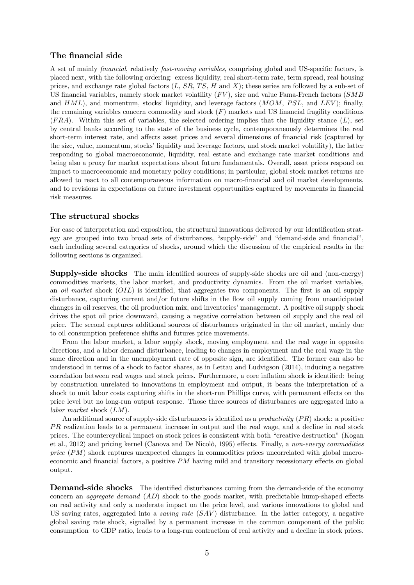#### The financial side

A set of mainly financial, relatively fast-moving variables, comprising global and US-specific factors, is placed next, with the following ordering: excess liquidity, real short-term rate, term spread, real housing prices, and exchange rate global factors  $(L, SR, TS, H \text{ and } X)$ ; these series are followed by a sub-set of US financial variables, namely stock market volatility  $(FV)$ , size and value Fama-French factors  $(SMB)$ and  $HML$ ), and momentum, stocks' liquidity, and leverage factors  $(MOM, PSL,$  and  $LEV$ ); finally, the remaining variables concern commodity and stock  $(F)$  markets and US financial fragility conditions  $(FRA)$ . Within this set of variables, the selected ordering implies that the liquidity stance  $(L)$ , set by central banks according to the state of the business cycle, contemporaneously determines the real short-term interest rate, and affects asset prices and several dimensions of financial risk (captured by the size, value, momentum, stocks' liquidity and leverage factors, and stock market volatility), the latter responding to global macroeconomic, liquidity, real estate and exchange rate market conditions and being also a proxy for market expectations about future fundamentals. Overall, asset prices respond on impact to macroeconomic and monetary policy conditions; in particular, global stock market returns are allowed to react to all contemporaneous information on macro-financial and oil market developments, and to revisions in expectations on future investment opportunities captured by movements in financial risk measures.

#### The structural shocks

For ease of interpretation and exposition, the structural innovations delivered by our identification strategy are grouped into two broad sets of disturbances, "supply-side" and "demand-side and financial", each including several categories of shocks, around which the discussion of the empirical results in the following sections is organized.

Supply-side shocks The main identified sources of supply-side shocks are oil and (non-energy) commodities markets, the labor market, and productivity dynamics. From the oil market variables, an *oil market* shock  $(OL)$  is identified, that aggregates two components. The first is an oil supply disturbance, capturing current and/or future shifts in the flow oil supply coming from unanticipated changes in oil reserves, the oil production mix, and inventories' management. A positive oil supply shock drives the spot oil price downward, causing a negative correlation between oil supply and the real oil price. The second captures additional sources of disturbances originated in the oil market, mainly due to oil consumption preference shifts and futures price movements.

From the labor market, a labor supply shock, moving employment and the real wage in opposite directions, and a labor demand disturbance, leading to changes in employment and the real wage in the same direction and in the unemployment rate of opposite sign, are identified. The former can also be understood in terms of a shock to factor shares, as in Lettau and Ludvigson (2014), inducing a negative correlation between real wages and stock prices. Furthermore, a core inflation shock is identified: being by construction unrelated to innovations in employment and output, it bears the interpretation of a shock to unit labor costs capturing shifts in the short-run Phillips curve, with permanent effects on the price level but no long-run output response. Those three sources of disturbances are aggregated into a labor market shock  $(LM)$ .

An additional source of supply-side disturbances is identified as a *productivity*  $(PR)$  shock: a positive  $PR$  realization leads to a permanent increase in output and the real wage, and a decline in real stock prices. The countercyclical impact on stock prices is consistent with both "creative destruction" (Kogan et al., 2012) and pricing kernel (Canova and De Nicolò, 1995) effects. Finally, a non-energy commodities price  $(PM)$  shock captures unexpected changes in commodities prices uncorrelated with global macroeconomic and financial factors, a positive  $PM$  having mild and transitory recessionary effects on global output.

**Demand-side shocks** The identified disturbances coming from the demand-side of the economy concern an *aggregate demand*  $(AD)$  shock to the goods market, with predictable hump-shaped effects on real activity and only a moderate impact on the price level, and various innovations to global and US saving rates, aggregated into a *saving rate*  $(SAV)$  disturbance. In the latter category, a negative global saving rate shock, signalled by a permanent increase in the common component of the public consumption to GDP ratio, leads to a long-run contraction of real activity and a decline in stock prices.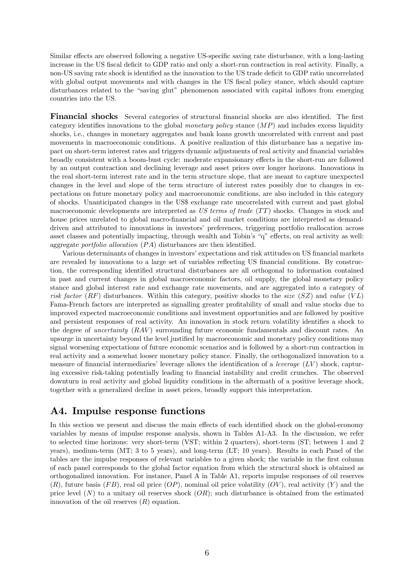Similar effects are observed following a negative US-specific saving rate disturbance, with a long-lasting increase in the US fiscal deficit to GDP ratio and only a short-run contraction in real activity. Finally, a non-US saving rate shock is identified as the innovation to the US trade deficit to GDP ratio uncorrelated with global output movements and with changes in the US fiscal policy stance, which should capture disturbances related to the "saving glut" phenomenon associated with capital inflows from emerging countries into the US.

Financial shocks Several categories of structural financial shocks are also identified. The first category identifies innovations to the global monetary policy stance  $(MP)$  and includes excess liquidity shocks, i.e., changes in monetary aggregates and bank loans growth uncorrelated with current and past movements in macroeconomic conditions. A positive realization of this disturbance has a negative impact on short-term interest rates and triggers dynamic adjustments of real activity and financial variables broadly consistent with a boom-bust cycle: moderate expansionary effects in the short-run are followed by an output contraction and declining leverage and asset prices over longer horizons. Innovations in the real short-term interest rate and in the term structure slope, that are meant to capture unexpected changes in the level and slope of the term structure of interest rates possibly due to changes in expectations on future monetary policy and macroeconomic conditions, are also included in this category of shocks. Unanticipated changes in the US\$ exchange rate uncorrelated with current and past global macroeconomic developments are interpreted as  $US \, terms \, of \, trade \, (TT) \, shocks. \, Changes \, in \, stock \, and \,$ house prices unrelated to global macro-financial and oil market conditions are interpreted as demanddriven and attributed to innovations in investors' preferences, triggering portfolio reallocation across asset classes and potentially impacting, through wealth and Tobin's "q" effects, on real activity as well: aggregate portfolio allocation  $(PA)$  disturbances are then identified.

Various determinants of changes in investors' expectations and risk attitudes on US financial markets are revealed by innovations to a large set of variables reflecting US financial conditions. By construction, the corresponding identified structural disturbances are all orthogonal to information contained in past and current changes in global macroeconomic factors, oil supply, the global monetary policy stance and global interest rate and exchange rate movements, and are aggregated into a category of risk factor (RF) disturbances. Within this category, positive shocks to the size (SZ) and value (VL) Fama-French factors are interpreted as signalling greater profitability of small and value stocks due to improved expected macroeconomic conditions and investment opportunities and are followed by positive and persistent responses of real activity. An innovation in stock return volatility identifies a shock to the degree of *uncertainty*  $(RAV)$  surrounding future economic fundamentals and discount rates. An upsurge in uncertainty beyond the level justified by macroeconomic and monetary policy conditions may signal worsening expectations of future economic scenarios and is followed by a short-run contraction in real activity and a somewhat looser monetary policy stance. Finally, the orthogonalized innovation to a measure of financial intermediaries' leverage allows the identification of a *leverage*  $(LV)$  shock, capturing excessive risk-taking potentially leading to financial instability and credit crunches. The observed downturn in real activity and global liquidity conditions in the aftermath of a positive leverage shock, together with a generalized decline in asset prices, broadly support this interpretation.

# A4. Impulse response functions

In this section we present and discuss the main effects of each identified shock on the global-economy variables by means of impulse response analysis, shown in Tables A1-A3. In the discussion, we refer to selected time horizons: very short-term (VST; within 2 quarters), short-term (ST; between 1 and 2 years), medium-term (MT; 3 to 5 years), and long-term (LT; 10 years). Results in each Panel of the tables are the impulse responses of relevant variables to a given shock; the variable in the first column of each panel corresponds to the global factor equation from which the structural shock is obtained as orthogonalized innovation. For instance, Panel A in Table A1, reports impulse responses of oil reserves  $(R)$ , future basis  $(FB)$ , real oil price  $(OP)$ , nominal oil price volatility  $(OV)$ , real activity  $(Y)$  and the price level  $(N)$  to a unitary oil reserves shock  $(OR)$ ; such disturbance is obtained from the estimated innovation of the oil reserves  $(R)$  equation.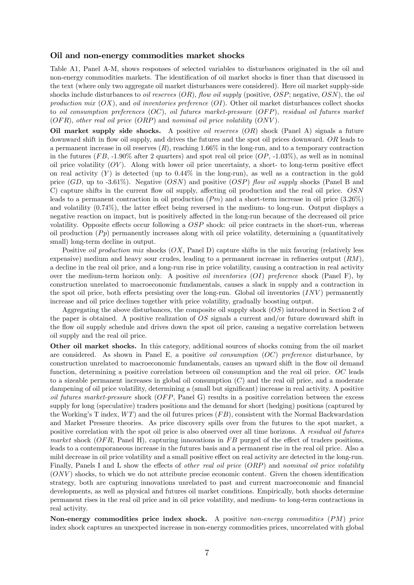#### Oil and non-energy commodities market shocks

Table A1, Panel A-M, shows responses of selected variables to disturbances originated in the oil and non-energy commodities markets. The identification of oil market shocks is finer than that discussed in the text (where only two aggregate oil market disturbances were considered). Here oil market supply-side shocks include disturbances to *oil reserves*  $(OR)$ , flow *oil supply* (positive,  $OSP$ ; negative,  $OSN$ ), the *oil* production mix  $(OX)$ , and *oil inventories preference*  $(OI)$ . Other oil market disturbances collect shocks to oil consumption preferences  $(OC)$ , oil futures market-pressure  $(OFP)$ , residual oil futures market  $(OFR)$ , other real oil price  $(ORP)$  and nominal oil price volatility  $(ONV)$ .

Oil market supply side shocks. A positive *oil reserves*  $(OR)$  shock (Panel A) signals a future downward shift in flow oil supply, and drives the futures and the spot oil prices downward.  $OR$  leads to a permanent increase in oil reserves  $(R)$ , reaching 1.66% in the long-run, and to a temporary contraction in the futures  $(FB, -1.90\%$  after 2 quarters) and spot real oil price  $(OP, -1.03\%)$ , as well as in nominal oil price volatility  $(OV)$ . Along with lower oil price uncertainty, a short- to long-term positive effect on real activity  $(Y)$  is detected (up to 0.44% in the long-run), as well as a contraction in the gold price  $(GD, \text{ up to } -3.61\%)$ . Negative  $(OSN)$  and positive  $(OSP)$  flow oil supply shocks (Panel B and C) capture shifts in the current flow oil supply, affecting oil production and the real oil price. OSN leads to a permanent contraction in oil production  $(Pm)$  and a short-term increase in oil price  $(3.26\%)$ and volatility (0.74%), the latter effect being reversed in the medium- to long-run. Output displays a negative reaction on impact, but is positively affected in the long-run because of the decreased oil price volatility. Opposite effects occur following a  $OSP$  shock: oil price contracts in the short-run, whereas oil production  $(Pp)$  permanently increases along with oil price volatility, determining a (quantitatively small) long-term decline in output.

Positive *oil production mix* shocks  $(X, \text{ Panel D})$  capture shifts in the mix favoring (relatively less expensive) medium and heavy sour crudes, leading to a permanent increase in refineries output  $(RM)$ , a decline in the real oil price, and a long-run rise in price volatility, causing a contraction in real activity over the medium-term horizon only. A positive *oil inventories (OI) preference* shock (Panel F), by construction unrelated to macroeconomic fundamentals, causes a slack in supply and a contraction in the spot oil price, both effects persisting over the long-run. Global oil inventories  $(INV)$  permanently increase and oil price declines together with price volatility, gradually boosting output.

Aggregating the above disturbances, the composite oil supply shock  $(OS)$  introduced in Section 2 of the paper is obtained. A positive realization of  $OS$  signals a current and/or future downward shift in the flow oil supply schedule and drives down the spot oil price, causing a negative correlation between oil supply and the real oil price.

Other oil market shocks. In this category, additional sources of shocks coming from the oil market are considered. As shown in Panel E, a positive *oil consumption*  $(OC)$  *preference* disturbance, by construction unrelated to macroeconomic fundamentals, causes an upward shift in the flow oil demand function, determining a positive correlation between oil consumption and the real oil price.  $OC$  leads to a sizeable permanent increases in global oil consumption  $(C)$  and the real oil price, and a moderate dampening of oil price volatility, determining a (small but significant) increase in real activity. A positive oil futures market-pressure shock  $(OFP,$  Panel G) results in a positive correlation between the excess supply for long (speculative) traders positions and the demand for short (hedging) positions (captured by the Working's T index,  $WT$ ) and the oil futures prices  $(FB)$ , consistent with the Normal Backwardation and Market Pressure theories. As price discovery spills over from the futures to the spot market, a positive correlation with the spot oil price is also observed over all time horizons. A residual oil futures market shock ( $OFR$ , Panel H), capturing innovations in  $FB$  purged of the effect of traders positions, leads to a contemporaneous increase in the futures basis and a permanent rise in the real oil price. Also a mild decrease in oil price volatility and a small positive effect on real activity are detected in the long-run. Finally, Panels I and L show the effects of *other real oil price (ORP)* and nominal oil price volatility  $(ONV)$  shocks, to which we do not attribute precise economic content. Given the chosen identification strategy, both are capturing innovations unrelated to past and current macroeconomic and financial developments, as well as physical and futures oil market conditions. Empirically, both shocks determine permanent rises in the real oil price and in oil price volatility, and medium- to long-term contractions in real activity.

Non-energy commodities price index shock. A positive non-energy commodities  $(PM)$  price index shock captures an unexpected increase in non-energy commodities prices, uncorrelated with global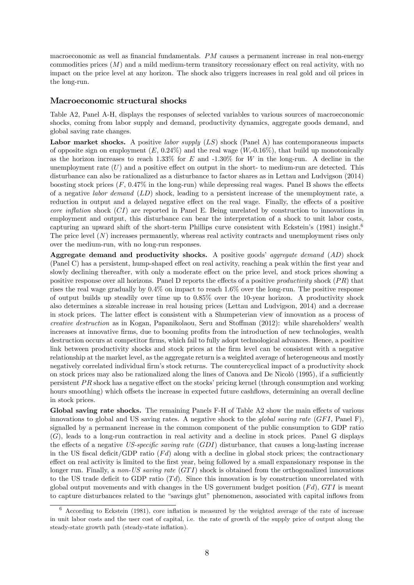macroeconomic as well as financial fundamentals.  $PM$  causes a permanent increase in real non-energy commodities prices  $(M)$  and a mild medium-term transitory recessionary effect on real activity, with no impact on the price level at any horizon. The shock also triggers increases in real gold and oil prices in the long-run.

#### Macroeconomic structural shocks

Table A2, Panel A-H, displays the responses of selected variables to various sources of macroeconomic shocks, coming from labor supply and demand, productivity dynamics, aggregate goods demand, and global saving rate changes.

Labor market shocks. A positive labor supply  $(LS)$  shock (Panel A) has contemporaneous impacts of opposite sign on employment  $(E, 0.24\%)$  and the real wage  $(W, -0.16\%)$ , that build up monotonically as the horizon increases to reach 1.33% for  $E$  and  $-1.30\%$  for  $W$  in the long-run. A decline in the unemployment rate  $(U)$  and a positive effect on output in the short- to medium-run are detected. This disturbance can also be rationalized as a disturbance to factor shares as in Lettau and Ludvigson (2014) boosting stock prices  $(F, 0.47\%)$  in the long-run) while depressing real wages. Panel B shows the effects of a negative *labor demand*  $(LD)$  shock, leading to a persistent increase of the unemployment rate, a reduction in output and a delayed negative effect on the real wage. Finally, the effects of a positive core inflation shock  $(CI)$  are reported in Panel E. Being unrelated by construction to innovations in employment and output, this disturbance can bear the interpretation of a shock to unit labor costs, capturing an upward shift of the short-term Phillips curve consistent with Eckstein's  $(1981)$  insight.<sup>6</sup> The price level  $(N)$  increases permanently, whereas real activity contracts and unemployment rises only over the medium-run, with no long-run responses.

Aggregate demand and productivity shocks. A positive goods' aggregate demand  $(AD)$  shock (Panel C) has a persistent, hump-shaped effect on real activity, reaching a peak within the first year and slowly declining thereafter, with only a moderate effect on the price level, and stock prices showing a positive response over all horizons. Panel D reports the effects of a positive productivity shock  $(PR)$  that rises the real wage gradually by 0.4% on impact to reach 1.6% over the long-run. The positive response of output builds up steadily over time up to 0.85% over the 10-year horizon. A productivity shock also determines a sizeable increase in real housing prices (Lettau and Ludvigson, 2014) and a decrease in stock prices. The latter effect is consistent with a Shumpeterian view of innovation as a process of creative destruction as in Kogan, Papanikolaou, Seru and Stoffman (2012): while shareholders' wealth increases at innovative firms, due to booming profits from the introduction of new technologies, wealth destruction occurs at competitor firms, which fail to fully adopt technological advances. Hence, a positive link between productivity shocks and stock prices at the firm level can be consistent with a negative relationship at the market level, as the aggregate return is a weighted average of heterogeneous and mostly negatively correlated individual firm's stock returns. The countercyclical impact of a productivity shock on stock prices may also be rationalized along the lines of Canova and De Nicolò (1995), if a sufficiently persistent  $PR$  shock has a negative effect on the stocks' pricing kernel (through consumption and working hours smoothing) which offsets the increase in expected future cashflows, determining an overall decline in stock prices.

Global saving rate shocks. The remaining Panels F-H of Table A2 show the main effects of various innovations to global and US saving rates. A negative shock to the global saving rate  $(GFI,$  Panel F), signalled by a permanent increase in the common component of the public consumption to GDP ratio  $(G)$ , leads to a long-run contraction in real activity and a decline in stock prices. Panel G displays the effects of a negative US-specific saving rate  $(GDI)$  disturbance, that causes a long-lasting increase in the US fiscal deficit/GDP ratio  $(Fd)$  along with a decline in global stock prices; the contractionary effect on real activity is limited to the first year, being followed by a small expansionary response in the longer run. Finally, a non-US saving rate  $(GTI)$  shock is obtained from the orthogonalized innovations to the US trade deficit to GDP ratio  $(Td)$ . Since this innovation is by construction uncorrelated with global output movements and with changes in the US government budget position  $(Fd)$ ,  $GTI$  is meant to capture disturbances related to the "savings glut" phenomenon, associated with capital inflows from

<sup>6</sup> According to Eckstein (1981), core inflation is measured by the weighted average of the rate of increase in unit labor costs and the user cost of capital, i.e. the rate of growth of the supply price of output along the steady-state growth path (steady-state inflation).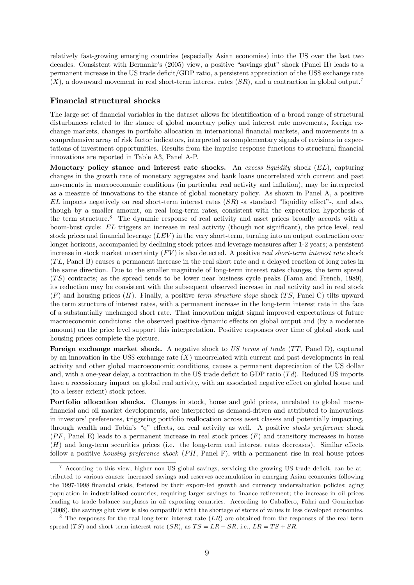relatively fast-growing emerging countries (especially Asian economies) into the US over the last two decades. Consistent with Bernanke's (2005) view, a positive "savings glut" shock (Panel H) leads to a permanent increase in the US trade deficit/GDP ratio, a persistent appreciation of the US\$ exchange rate  $(X)$ , a downward movement in real short-term interest rates  $(SR)$ , and a contraction in global output.<sup>7</sup>

#### Financial structural shocks

The large set of financial variables in the dataset allows for identification of a broad range of structural disturbances related to the stance of global monetary policy and interest rate movements, foreign exchange markets, changes in portfolio allocation in international financial markets, and movements in a comprehensive array of risk factor indicators, interpreted as complementary signals of revisions in expectations of investment opportunities. Results from the impulse response functions to structural financial innovations are reported in Table A3, Panel A-P.

Monetary policy stance and interest rate shocks. An excess liquidity shock  $(EL)$ , capturing changes in the growth rate of monetary aggregates and bank loans uncorrelated with current and past movements in macroeconomic conditions (in particular real activity and inflation), may be interpreted as a measure of innovations to the stance of global monetary policy. As shown in Panel A, a positive  $EL$  impacts negatively on real short-term interest rates  $(SR)$  -a standard "liquidity effect"-, and also, though by a smaller amount, on real long-term rates, consistent with the expectation hypothesis of the term structure.<sup>8</sup> The dynamic response of real activity and asset prices broadly accords with a boom-bust cycle: EL triggers an increase in real activity (though not significant), the price level, real stock prices and financial leverage  $(LEV)$  in the very short-term, turning into an output contraction over longer horizons, accompanied by declining stock prices and leverage measures after 1-2 years; a persistent increase in stock market uncertainty  $(FV)$  is also detected. A positive real short-term interest rate shock  $(T<sub>L</sub>, Panel B)$  causes a permanent increase in the real short rate and a delayed reaction of long rates in the same direction. Due to the smaller magnitude of long-term interest rates changes, the term spread  $(TS)$  contracts; as the spread tends to be lower near business cycle peaks (Fama and French, 1989), its reduction may be consistent with the subsequent observed increase in real activity and in real stock  $(F)$  and housing prices  $(H)$ . Finally, a positive term structure slope shock  $(TS)$ , Panel C) tilts upward the term structure of interest rates, with a permanent increase in the long-term interest rate in the face of a substantially unchanged short rate. That innovation might signal improved expectations of future macroeconomic conditions: the observed positive dynamic effects on global output and (by a moderate amount) on the price level support this interpretation. Positive responses over time of global stock and housing prices complete the picture.

Foreign exchange market shock. A negative shock to US terms of trade  $(TT, Panel D)$ , captured by an innovation in the US\$ exchange rate  $(X)$  uncorrelated with current and past developments in real activity and other global macroeconomic conditions, causes a permanent depreciation of the US dollar and, with a one-year delay, a contraction in the US trade deficit to GDP ratio  $(Td)$ . Reduced US imports have a recessionary impact on global real activity, with an associated negative effect on global house and (to a lesser extent) stock prices.

Portfolio allocation shocks. Changes in stock, house and gold prices, unrelated to global macrofinancial and oil market developments, are interpreted as demand-driven and attributed to innovations in investors' preferences, triggering portfolio reallocation across asset classes and potentially impacting, through wealth and Tobin's "q" effects, on real activity as well. A positive stocks preference shock  $(PF, Panel E)$  leads to a permanent increase in real stock prices  $(F)$  and transitory increases in house  $(H)$  and long-term securities prices (i.e. the long-term real interest rates decreases). Similar effects follow a positive housing preference shock  $(PH,$  Panel F), with a permanent rise in real house prices

<sup>7</sup> According to this view, higher non-US global savings, servicing the growing US trade deficit, can be attributed to various causes: increased savings and reserves accumulation in emerging Asian economies following the 1997-1998 financial crisis, fostered by their export-led growth and currency undervaluation policies; aging population in industrialized countries, requiring larger savings to finance retirement; the increase in oil prices leading to trade balance surpluses in oil exporting countries. According to Caballero, Fahri and Gourinchas (2008), the savings glut view is also compatibile with the shortage of stores of values in less developed economies.

 $8$  The responses for the real long-term interest rate  $(LR)$  are obtained from the responses of the real term spread (TS) and short-term interest rate  $(SR)$ , as  $TS = LR - SR$ , i.e.,  $LR = TS + SR$ .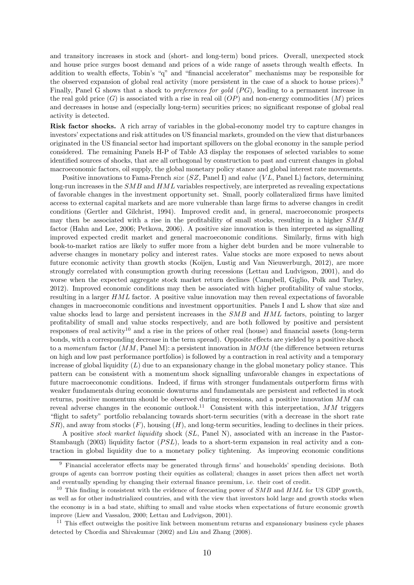and transitory increases in stock and (short- and long-term) bond prices. Overall, unexpected stock and house price surges boost demand and prices of a wide range of assets through wealth effects. In addition to wealth effects, Tobin's "q" and "financial accelerator" mechanisms may be responsible for the observed expansion of global real activity (more persistent in the case of a shock to house prices).9 Finally, Panel G shows that a shock to *preferences for gold*  $(PG)$ , leading to a permanent increase in the real gold price  $(G)$  is associated with a rise in real oil  $(OP)$  and non-energy commodities  $(M)$  prices and decreases in house and (especially long-term) securities prices; no significant response of global real activity is detected.

Risk factor shocks. A rich array of variables in the global-economy model try to capture changes in investors' expectations and risk attitudes on US financial markets, grounded on the view that disturbances originated in the US financial sector had important spillovers on the global economy in the sample period considered. The remaining Panels H-P of Table A3 display the responses of selected variables to some identified sources of shocks, that are all orthogonal by construction to past and current changes in global macroeconomic factors, oil supply, the global monetary policy stance and global interest rate movements.

Positive innovations to Fama-French size  $(SZ, Panel I)$  and value  $(VL, Panel I)$  factors, determining long-run increases in the  $SMB$  and  $HML$  variables respectively, are interpreted as revealing expectations of favorable changes in the investment opportunity set. Small, poorly collateralized firms have limited access to external capital markets and are more vulnerable than large firms to adverse changes in credit conditions (Gertler and Gilchrist, 1994). Improved credit and, in general, macroeconomic prospects may then be associated with a rise in the profitability of small stocks, resulting in a higher  $SMB$ factor (Hahn and Lee, 2006; Petkova, 2006). A positive size innovation is then interpreted as signalling improved expected credit market and general macroeconomic conditions. Similarly, firms with high book-to-market ratios are likely to suffer more from a higher debt burden and be more vulnerable to adverse changes in monetary policy and interest rates. Value stocks are more exposed to news about future economic activity than growth stocks (Koijen, Lustig and Van Nieuwerburgh, 2012), are more strongly correlated with consumption growth during recessions (Lettau and Ludvigson, 2001), and do worse when the expected aggregate stock market return declines (Campbell, Giglio, Polk and Turley, 2012). Improved economic conditions may then be associated with higher profitability of value stocks, resulting in a larger  $HML$  factor. A positive value innovation may then reveal expectations of favorable changes in macroeconomic conditions and investment opportunities. Panels I and L show that size and value shocks lead to large and persistent increases in the  $SMB$  and  $HML$  factors, pointing to larger profitability of small and value stocks respectively, and are both followed by positive and persistent responses of real activity<sup>10</sup> and a rise in the prices of other real (house) and financial assets (long-term bonds, with a corresponding decrease in the term spread). Opposite effects are yielded by a positive shock to a momentum factor  $(MM,$  Panel M): a persistent innovation in  $MOM$  (the difference between returns on high and low past performance portfolios) is followed by a contraction in real activity and a temporary increase of global liquidity  $(L)$  due to an expansionary change in the global monetary policy stance. This pattern can be consistent with a momentum shock signalling unfavorable changes in expectations of future macroeconomic conditions. Indeed, if firms with stronger fundamentals outperform firms with weaker fundamentals during economic downturns and fundamentals are persistent and reflected in stock returns, positive momentum should be observed during recessions, and a positive innovation  $MM$  can reveal adverse changes in the economic outlook.<sup>11</sup> Consistent with this interpretation,  $MM$  triggers "flight to safety" portfolio rebalancing towards short-term securities (with a decrease in the short rate  $SR$ ), and away from stocks  $(F)$ , housing  $(H)$ , and long-term securities, leading to declines in their prices.

A positive *stock market liquidity* shock  $(S<sub>L</sub>,$  Panel N), associated with an increase in the Pastor-Stambaugh (2003) liquidity factor  $(PSL)$ , leads to a short-term expansion in real activity and a contraction in global liquidity due to a monetary policy tightening. As improving economic conditions

<sup>9</sup> Financial accelerator effects may be generated through firms' and households' spending decisions. Both groups of agents can borrrow posting their equities as collateral; changes in asset prices then affect net worth and eventually spending by changing their external finance premium, i.e. their cost of credit.

<sup>&</sup>lt;sup>10</sup> This finding is consistent with the evidence of forecasting power of  $SMB$  and  $HML$  for US GDP growth, as well as for other industrialized countries, and with the view that investors hold large and growth stocks when the economy is in a bad state, shifting to small and value stocks when expectations of future economic growth improve (Liew and Vassalou, 2000; Lettau and Ludvigson, 2001).

<sup>&</sup>lt;sup>11</sup> This effect outweighs the positive link between momentum returns and expansionary business cycle phases detected by Chordia and Shivakumar (2002) and Liu and Zhang (2008).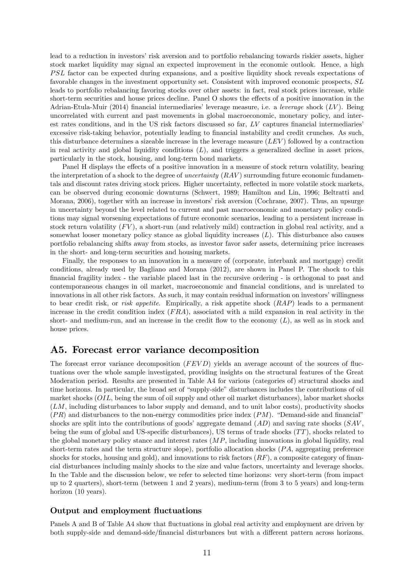lead to a reduction in investors' risk aversion and to portfolio rebalancing towards riskier assets, higher stock market liquidity may signal an expected improvement in the economic outlook. Hence, a high FSL factor can be expected during expansions, and a positive liquidity shock reveals expectations of favorable changes in the investment opportunity set. Consistent with improved economic prospects,  $SL$ leads to portfolio rebalancing favoring stocks over other assets: in fact, real stock prices increase, while short-term securities and house prices decline. Panel O shows the effects of a positive innovation in the Adrian-Etula-Muir (2014) financial intermediaries' leverage measure, i.e. a leverage shock  $(LV)$ . Being uncorrelated with current and past movements in global macroeconomic, monetary policy, and interest rates conditions, and in the US risk factors discussed so far,  $LV$  captures financial intermediaries' excessive risk-taking behavior, potentially leading to financial instability and credit crunches. As such, this disturbance determines a sizeable increase in the leverage measure  $(LEV)$  followed by a contraction in real activity and global liquidity conditions  $(L)$ , and triggers a generalized decline in asset prices, particularly in the stock, housing, and long-term bond markets.

Panel H displays the effects of a positive innovation in a measure of stock return volatility, bearing the interpretation of a shock to the degree of *uncertainty*  $(RAV)$  surrounding future economic fundamentals and discount rates driving stock prices. Higher uncertainty, reflected in more volatile stock markets, can be observed during economic downturns (Schwert, 1989; Hamilton and Lin, 1996; Beltratti and Morana, 2006), together with an increase in investors' risk aversion (Cochrane, 2007). Thus, an upsurge in uncertainty beyond the level related to current and past macroeconomic and monetary policy conditions may signal worsening expectations of future economic scenarios, leading to a persistent increase in stock return volatility  $(FV)$ , a short-run (and relatively mild) contraction in global real activity, and a somewhat looser monetary policy stance as global liquidity increases  $(L)$ . This disturbance also causes portfolio rebalancing shifts away from stocks, as investor favor safer assets, determining price increases in the short- and long-term securities and housing markets.

Finally, the responses to an innovation in a measure of (corporate, interbank and mortgage) credit conditions, already used by Bagliano and Morana (2012), are shown in Panel P. The shock to this financial fragility index - the variable placed last in the recursive ordering - is orthogonal to past and contemporaneous changes in oil market, macroeconomic and financial conditions, and is unrelated to innovations in all other risk factors. As such, it may contain residual information on investors' willingness to bear credit risk, or risk appetite. Empirically, a risk appetite shock  $(RAP)$  leads to a permanent increase in the credit condition index  $(FRA)$ , associated with a mild expansion in real activity in the short- and medium-run, and an increase in the credit flow to the economy  $(L)$ , as well as in stock and house prices.

# A5. Forecast error variance decomposition

The forecast error variance decomposition  $(FEVD)$  yields an average account of the sources of fluctuations over the whole sample investigated, providing insights on the structural features of the Great Moderation period. Results are presented in Table A4 for various (categories of) structural shocks and time horizons. In particular, the broad set of "supply-side" disturbances includes the contributions of oil market shocks  $(OIL,$  being the sum of oil supply and other oil market disturbances), labor market shocks  $(LM, \text{ including disturbances to labor supply and demand, and to unit labor costs}),$  productivity shocks  $(PR)$  and disturbances to the non-energy commodities price index  $(PM)$ . "Demand-side and financial" shocks are split into the contributions of goods' aggregate demand  $(AD)$  and saving rate shocks  $(SAV, \mathcal{L})$ being the sum of global and US-specific disturbances), US terms of trade shocks  $(TT)$ , shocks related to the global monetary policy stance and interest rates  $(MP)$ , including innovations in global liquidity, real short-term rates and the term structure slope), portfolio allocation shocks  $(PA,$  aggregating preference shocks for stocks, housing and gold), and innovations to risk factors  $(RF)$ , a composite category of financial disturbances including mainly shocks to the size and value factors, uncertainty and leverage shocks. In the Table and the discussion below, we refer to selected time horizons: very short-term (from impact up to 2 quarters), short-term (between 1 and 2 years), medium-term (from 3 to 5 years) and long-term horizon (10 years).

#### Output and employment fluctuations

Panels A and B of Table A4 show that fluctuations in global real activity and employment are driven by both supply-side and demand-side/financial disturbances but with a different pattern across horizons.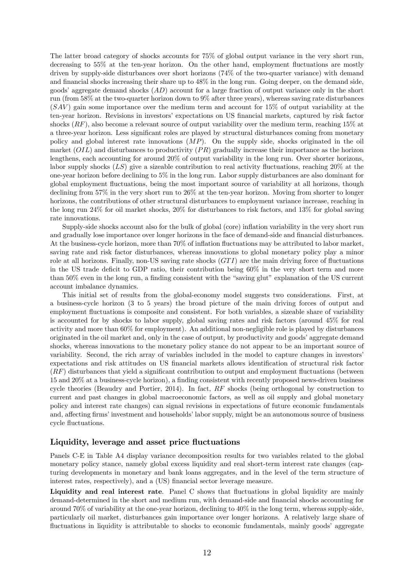The latter broad category of shocks accounts for 75% of global output variance in the very short run, decreasing to 55% at the ten-year horizon. On the other hand, employment fluctuations are mostly driven by supply-side disturbances over short horizons (74% of the two-quarter variance) with demand and financial shocks increasing their share up to 48% in the long run. Going deeper, on the demand side, goods' aggregate demand shocks  $(AD)$  account for a large fraction of output variance only in the short run (from 58% at the two-quarter horizon down to 9% after three years), whereas saving rate disturbances  $(SAV)$  gain some importance over the medium term and account for 15% of output variability at the ten-year horizon. Revisions in investors' expectations on US financial markets, captured by risk factor shocks  $(RF)$ , also become a relevant source of output variability over the medium term, reaching 15% at a three-year horizon. Less significant roles are played by structural disturbances coming from monetary policy and global interest rate innovations  $(MP)$ . On the supply side, shocks originated in the oil market  $(OIL)$  and disturbances to productivity  $(PR)$  gradually increase their importance as the horizon lengthens, each accounting for around 20% of output variability in the long run. Over shorter horizons, labor supply shocks  $(LS)$  give a sizeable contribution to real activity fluctuations, reaching 20% at the one-year horizon before declining to 5% in the long run. Labor supply disturbances are also dominant for global employment fluctuations, being the most important source of variability at all horizons, though declining from 57% in the very short run to 26% at the ten-year horizon. Moving from shorter to longer horizons, the contributions of other structural disturbances to employment variance increase, reaching in the long run 24% for oil market shocks, 20% for disturbances to risk factors, and 13% for global saving rate innovations.

Supply-side shocks account also for the bulk of global (core) inflation variability in the very short run and gradually lose importance over longer horizons in the face of demand-side and financial disturbances. At the business-cycle horizon, more than 70% of inflation fluctuations may be attributed to labor market, saving rate and risk factor disturbances, whereas innovations to global monetary policy play a minor role at all horizons. Finally, non-US saving rate shocks  $(GTI)$  are the main driving force of fluctuations in the US trade deficit to GDP ratio, their contribution being 60% in the very short term and more than 50% even in the long run, a finding consistent with the "saving glut" explanation of the US current account imbalance dynamics.

This initial set of results from the global-economy model suggests two considerations. First, at a business-cycle horizon (3 to 5 years) the broad picture of the main driving forces of output and employment fluctuations is composite and consistent. For both variables, a sizeable share of variability is accounted for by shocks to labor supply, global saving rates and risk factors (around 45% for real activity and more than 60% for employment). An additional non-negligible role is played by disturbances originated in the oil market and, only in the case of output, by productivity and goods' aggregate demand shocks, whereas innovations to the monetary policy stance do not appear to be an important source of variability. Second, the rich array of variables included in the model to capture changes in investors' expectations and risk attitudes on US financial markets allows identification of structural risk factor  $(RF)$  disturbances that yield a significant contribution to output and employment fluctuations (between 15 and 20% at a business-cycle horizon), a finding consistent with recently proposed news-driven business cycle theories (Beaudry and Portier, 2014). In fact,  $RF$  shocks (being orthogonal by construction to current and past changes in global macroeconomic factors, as well as oil supply and global monetary policy and interest rate changes) can signal revisions in expectations of future economic fundamentals and, affecting firms' investment and households' labor supply, might be an autonomous source of business cycle fluctuations.

#### Liquidity, leverage and asset price fluctuations

Panels C-E in Table A4 display variance decomposition results for two variables related to the global monetary policy stance, namely global excess liquidity and real short-term interest rate changes (capturing developments in monetary and bank loans aggregates, and in the level of the term structure of interest rates, respectively), and a (US) financial sector leverage measure.

Liquidity and real interest rate. Panel C shows that fluctuations in global liquidity are mainly demand-determined in the short and medium run, with demand-side and financial shocks accounting for around 70% of variability at the one-year horizon, declining to 40% in the long term, whereas supply-side, particularly oil market, disturbances gain importance over longer horizons. A relatively large share of fluctuations in liquidity is attributable to shocks to economic fundamentals, mainly goods' aggregate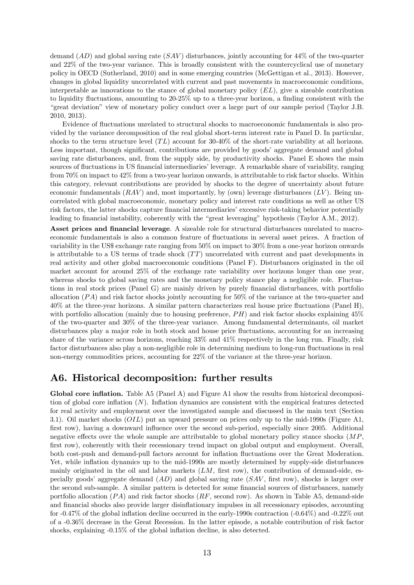demand  $(AD)$  and global saving rate  $(SAV)$  disturbances, jointly accounting for 44% of the two-quarter and 22% of the two-year variance. This is broadly consistent with the countercyclical use of monetary policy in OECD (Sutherland, 2010) and in some emerging countries (McGettigan et al., 2013). However, changes in global liquidity uncorrelated with current and past movements in macroeconomic conditions, interpretable as innovations to the stance of global monetary policy  $(EL)$ , give a sizeable contribution to liquidity fluctuations, amounting to 20-25% up to a three-year horizon, a finding consistent with the "great deviation" view of monetary policy conduct over a large part of our sample period (Taylor J.B. 2010, 2013).

Evidence of fluctuations unrelated to structural shocks to macroeconomic fundamentals is also provided by the variance decomposition of the real global short-term interest rate in Panel D. In particular, shocks to the term structure level  $(TL)$  account for 30-40% of the short-rate variability at all horizons. Less important, though significant, contributions are provided by goods' aggregate demand and global saving rate disturbances, and, from the supply side, by productivity shocks. Panel E shows the main sources of fluctuations in US financial intermediaries' leverage. A remarkable share of variability, ranging from 70% on impact to 42% from a two-year horizon onwards, is attributable to risk factor shocks. Within this category, relevant contributions are provided by shocks to the degree of uncertainty about future economic fundamentals  $(RAV)$  and, most importantly, by (own) leverage disturbances  $(LV)$ . Being uncorrelated with global macroeconomic, monetary policy and interest rate conditions as well as other US risk factors, the latter shocks capture financial intermediaries' excessive risk-taking behavior potentially leading to financial instability, coherently with the "great leveraging" hypothesis (Taylor A.M., 2012).

Asset prices and financial leverage. A sizeable role for structural disturbances unrelated to macroeconomic fundamentals is also a common feature of fluctuations in several asset prices. A fraction of variability in the US\$ exchange rate ranging from 50% on impact to 30% from a one-year horizon onwards is attributable to a US terms of trade shock  $(TT)$  uncorrelated with current and past developments in real activity and other global macroeconomic conditions (Panel F). Disturbances originated in the oil market account for around 25% of the exchange rate variability over horizons longer than one year, whereas shocks to global saving rates and the monetary policy stance play a negligible role. Fluctuations in real stock prices (Panel G) are mainly driven by purely financial disturbances, with portfolio allocation  $(PA)$  and risk factor shocks jointly accounting for 50% of the variance at the two-quarter and 40% at the three-year horizons. A similar pattern characterizes real house price fluctuations (Panel H), with portfolio allocation (mainly due to housing preference,  $PH$ ) and risk factor shocks explaining 45% of the two-quarter and 30% of the three-year variance. Among fundamental determinants, oil market disturbances play a major role in both stock and house price fluctuations, accounting for an increasing share of the variance across horizons, reaching 33% and 41% respectively in the long run. Finally, risk factor disturbances also play a non-negligible role in determining medium to long-run fluctuations in real non-energy commodities prices, accounting for 22% of the variance at the three-year horizon.

# A6. Historical decomposition: further results

Global core inflation. Table A5 (Panel A) and Figure A1 show the results from historical decomposition of global core inflation  $(N)$ . Inflation dynamics are consistent with the empirical features detected for real activity and employment over the investigated sample and discussed in the main text (Section 3.1). Oil market shocks  $(OIL)$  put an upward pressure on prices only up to the mid-1990s (Figure A1, first row), having a downward influence over the second sub-period, especially since 2005. Additional negative effects over the whole sample are attributable to global monetary policy stance shocks  $(MP, \mathcal{L})$ first row), coherently with their recessionary trend impact on global output and employment. Overall, both cost-push and demand-pull factors account for inflation fluctuations over the Great Moderation. Yet, while inflation dynamics up to the mid-1990s are mostly determined by supply-side disturbances mainly originated in the oil and labor markets  $(LM, \text{ first row})$ , the contribution of demand-side, especially goods' aggregate demand  $(AD)$  and global saving rate  $(SAV, \text{first row})$ , shocks is larger over the second sub-sample. A similar pattern is detected for some financial sources of disturbances, namely portfolio allocation  $( PA)$  and risk factor shocks  $(RF,$  second row). As shown in Table A5, demand-side and financial shocks also provide larger disinflationary impulses in all recessionary episodes, accounting for -0.47% of the global inflation decline occurred in the early-1990s contraction (-0.64%) and -0.22% out of a -0.36% decrease in the Great Recession. In the latter episode, a notable contribution of risk factor shocks, explaining -0.15% of the global inflation decline, is also detected.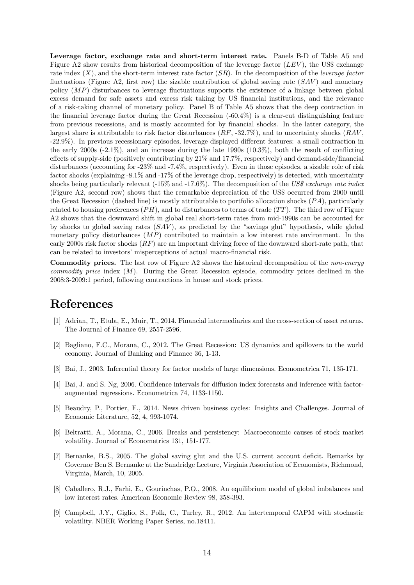Leverage factor, exchange rate and short-term interest rate. Panels B-D of Table A5 and Figure A2 show results from historical decomposition of the leverage factor  $(LEV)$ , the US\$ exchange rate index  $(X)$ , and the short-term interest rate factor  $(SR)$ . In the decomposition of the *leverage factor* fluctuations (Figure A2, first row) the sizable contribution of global saving rate  $(SAV)$  and monetary policy  $(MP)$  disturbances to leverage fluctuations supports the existence of a linkage between global excess demand for safe assets and excess risk taking by US financial institutions, and the relevance of a risk-taking channel of monetary policy. Panel B of Table A5 shows that the deep contraction in the financial leverage factor during the Great Recession (-60.4%) is a clear-cut distinguishing feature from previous recessions, and is mostly accounted for by financial shocks. In the latter category, the largest share is attributable to risk factor disturbances  $(RF, -32.7\%)$ , and to uncertainty shocks  $(RAV,$ -22.9%). In previous recessionary episodes, leverage displayed different features: a small contraction in the early 2000s  $(-2.1\%)$ , and an increase during the late 1990s  $(10.3\%)$ , both the result of conflicting effects of supply-side (positively contributing by 21% and 17.7%, respectively) and demand-side/financial disturbances (accounting for -23% and -7.4%, respectively). Even in those episodes, a sizable role of risk factor shocks (explaining -8.1% and -17% of the leverage drop, respectively) is detected, with uncertainty shocks being particularly relevant (-15% and -17.6%). The decomposition of the US\$ exchange rate index (Figure A2, second row) shows that the remarkable depreciation of the US\$ occurred from 2000 until the Great Recession (dashed line) is mostly attributable to portfolio allocation shocks  $(PA)$ , particularly related to housing preferences  $(PH)$ , and to disturbances to terms of trade  $(TT)$ . The third row of Figure A2 shows that the downward shift in global real short-term rates from mid-1990s can be accounted for by shocks to global saving rates  $(SAV)$ , as predicted by the "savings glut" hypothesis, while global monetary policy disturbances  $(MP)$  contributed to maintain a low interest rate environment. In the early 2000s risk factor shocks  $(RF)$  are an important driving force of the downward short-rate path, that can be related to investors' misperceptions of actual macro-financial risk.

Commodity prices. The last row of Figure A2 shows the historical decomposition of the non-energy commodity price index  $(M)$ . During the Great Recession episode, commodity prices declined in the 2008:3-2009:1 period, following contractions in house and stock prices.

# References

- [1] Adrian, T., Etula, E., Muir, T., 2014. Financial intermediaries and the cross-section of asset returns. The Journal of Finance 69, 2557-2596.
- [2] Bagliano, F.C., Morana, C., 2012. The Great Recession: US dynamics and spillovers to the world economy. Journal of Banking and Finance 36, 1-13.
- [3] Bai, J., 2003. Inferential theory for factor models of large dimensions. Econometrica 71, 135-171.
- [4] Bai, J. and S. Ng, 2006. Confidence intervals for diffusion index forecasts and inference with factoraugmented regressions. Econometrica 74, 1133-1150.
- [5] Beaudry, P., Portier, F., 2014. News driven business cycles: Insights and Challenges. Journal of Economic Literature, 52, 4, 993-1074.
- [6] Beltratti, A., Morana, C., 2006. Breaks and persistency: Macroeconomic causes of stock market volatility. Journal of Econometrics 131, 151-177.
- [7] Bernanke, B.S., 2005. The global saving glut and the U.S. current account deficit. Remarks by Governor Ben S. Bernanke at the Sandridge Lecture, Virginia Association of Economists, Richmond, Virginia, March, 10, 2005.
- [8] Caballero, R.J., Farhi, E., Gourinchas, P.O., 2008. An equilibrium model of global imbalances and low interest rates. American Economic Review 98, 358-393.
- [9] Campbell, J.Y., Giglio, S., Polk, C., Turley, R., 2012. An intertemporal CAPM with stochastic volatility. NBER Working Paper Series, no.18411.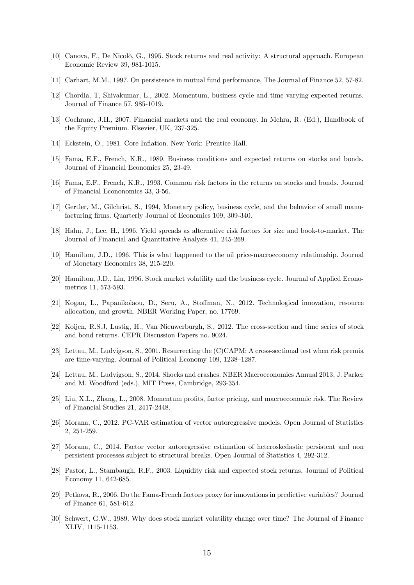- [10] Canova, F., De Nicolò, G., 1995. Stock returns and real activity: A structural approach. European Economic Review 39, 981-1015.
- [11] Carhart, M.M., 1997. On persistence in mutual fund performance, The Journal of Finance 52, 57-82.
- [12] Chordia, T, Shivakumar, L., 2002. Momentum, business cycle and time varying expected returns. Journal of Finance 57, 985-1019.
- [13] Cochrane, J.H., 2007. Financial markets and the real economy. In Mehra, R. (Ed.), Handbook of the Equity Premium. Elsevier, UK, 237-325.
- [14] Eckstein, O., 1981. Core Inflation. New York: Prentice Hall.
- [15] Fama, E.F., French, K.R., 1989. Business conditions and expected returns on stocks and bonds. Journal of Financial Economics 25, 23-49.
- [16] Fama, E.F., French, K.R., 1993. Common risk factors in the returns on stocks and bonds. Journal of Financial Econonomics 33, 3-56.
- [17] Gertler, M., Gilchrist, S., 1994, Monetary policy, business cycle, and the behavior of small manufacturing firms. Quarterly Journal of Economics 109, 309-340.
- [18] Hahn, J., Lee, H., 1996. Yield spreads as alternative risk factors for size and book-to-market. The Journal of Financial and Quantitative Analysis 41, 245-269.
- [19] Hamilton, J.D., 1996. This is what happened to the oil price-macroeconomy relationship. Journal of Monetary Economics 38, 215-220.
- [20] Hamilton, J.D., Lin, 1996. Stock market volatility and the business cycle. Journal of Applied Econometrics 11, 573-593.
- [21] Kogan, L., Papanikolaou, D., Seru, A., Stoffman, N., 2012. Technological innovation, resource allocation, and growth. NBER Working Paper, no. 17769.
- [22] Koijen, R.S.J, Lustig, H., Van Nieuwerburgh, S., 2012. The cross-section and time series of stock and bond returns. CEPR Discussion Papers no. 9024.
- [23] Lettau, M., Ludvigson, S., 2001. Resurrecting the (C)CAPM: A cross-sectional test when risk premia are time-varying. Journal of Political Economy 109, 1238—1287.
- [24] Lettau, M., Ludvigson, S., 2014. Shocks and crashes. NBER Macroeconomics Annual 2013, J. Parker and M. Woodford (eds.), MIT Press, Cambridge, 293-354.
- [25] Liu, X.L., Zhang, L., 2008. Momentum profits, factor pricing, and macroeconomic risk. The Review of Financial Studies 21, 2417-2448.
- [26] Morana, C., 2012. PC-VAR estimation of vector autoregressive models. Open Journal of Statistics 2, 251-259.
- [27] Morana, C., 2014. Factor vector autoregressive estimation of heteroskedastic persistent and non persistent processes subject to structural breaks. Open Journal of Statistics 4, 292-312.
- [28] Pastor, L., Stambaugh, R.F., 2003. Liquidity risk and expected stock returns. Journal of Political Economy 11, 642-685.
- [29] Petkova, R., 2006. Do the Fama-French factors proxy for innovations in predictive variables? Journal of Finance 61, 581-612.
- [30] Schwert, G.W., 1989. Why does stock market volatility change over time? The Journal of Finance XLIV, 1115-1153.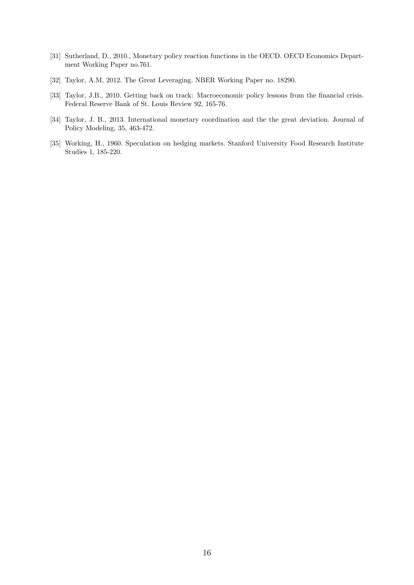- [31] Sutherland, D., 2010., Monetary policy reaction functions in the OECD. OECD Economics Department Working Paper no.761.
- [32] Taylor, A.M, 2012. The Great Leveraging. NBER Working Paper no. 18290.
- [33] Taylor, J.B., 2010. Getting back on track: Macroeconomic policy lessons from the financial crisis. Federal Reserve Bank of St. Louis Review 92, 165-76.
- [34] Taylor, J. B., 2013. International monetary coordination and the the great deviation. Journal of Policy Modeling, 35, 463-472.
- [35] Working, H., 1960. Speculation on hedging markets. Stanford University Food Research Institute Studies 1, 185-220.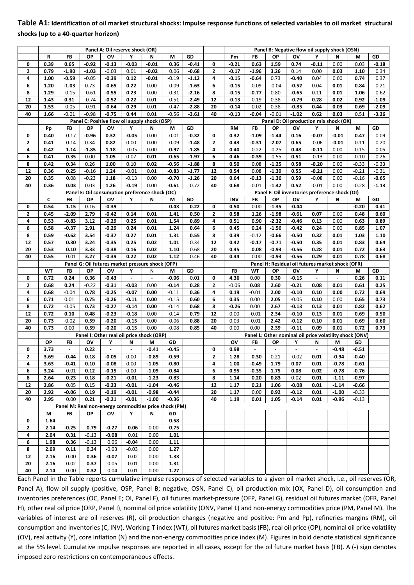# **Table A1: Identification of oil market structural shocks: Impulse response functions of selected variables to oil market structural shocks (up to a 40‐quarter horizon)**

|              |      |                |                    | Panel A: Oil reserve shock (OR)                       |                          |                          |         |         |                |            |                                                         |                |                    | Panel B: Negative flow oil supply shock (OSN)    |                |         |         |
|--------------|------|----------------|--------------------|-------------------------------------------------------|--------------------------|--------------------------|---------|---------|----------------|------------|---------------------------------------------------------|----------------|--------------------|--------------------------------------------------|----------------|---------|---------|
|              | R    | FB             | OP                 | ov                                                    | Υ                        | N                        | М       | GD      |                | Pm         | <b>FB</b>                                               | ΟP             | OV                 |                                                  | N              | M       | GD      |
| 0            | 0.39 | 0.65           | $-0.92$            | $-0.13$                                               | $-0.03$                  | $-0.01$                  | 0.36    | $-0.41$ | 0              | $-0.21$    | 0.63                                                    | 1.59           | 0.74               | $-0.11$                                          | 0.00           | 0.03    | $-0.18$ |
| 2            | 0.79 | $-1.90$        | $-1.03$            | $-0.03$                                               | 0.01                     | $-0.02$                  | 0.06    | $-0.68$ | $\mathbf{2}$   | $-0.17$    | $-1.96$                                                 | 3.26           | 0.14               | 0.00                                             | 0.03           | 1.10    | 0.34    |
| 4            | 1.00 | $-0.59$        | $-0.05$            | $-0.39$                                               | 0.12                     | $-0.01$                  | $-0.19$ | $-1.12$ | 4              | $-0.15$    | $-0.64$                                                 | 0.73           | $-0.40$            | 0.04                                             | 0.00           | 0.74    | 0.37    |
| 6            | 1.20 | $-1.03$        | 0.73               | $-0.65$                                               | 0.22                     | 0.00                     | 0.09    | $-1.63$ | 6              | $-0.15$    | $-0.09$                                                 | $-0.04$        | $-0.52$            | 0.04                                             | 0.01           | 0.84    | $-0.21$ |
| 8            | 1.29 | $-0.15$        | $-0.61$            | $-0.55$                                               | 0.23                     | 0.00                     | $-0.31$ | $-2.16$ | 8              | $-0.15$    | $-0.77$                                                 | 0.80           | $-0.65$            | 0.11                                             | 0.01           | 1.06    | $-0.62$ |
| 12           | 1.43 | 0.31           | $-0.74$            | $-0.52$                                               | 0.22                     | 0.01                     | $-0.51$ | $-2.49$ | 12             | $-0.13$    | $-0.19$                                                 | 0.38           | $-0.79$            | 0.28                                             | 0.02           | 0.92    | $-1.09$ |
| 20           | 1.53 |                |                    |                                                       |                          |                          | $-0.47$ | $-2.88$ |                |            |                                                         |                |                    |                                                  |                |         | $-2.09$ |
| 40           | 1.66 | $-0.05$        | $-0.91$<br>$-0.98$ | $-0.64$                                               | 0.29                     | 0.01                     | $-0.56$ |         | 20<br>40       | $-0.14$    | $-0.02$                                                 | 0.38           | $-0.85$<br>$-1.02$ | 0.44<br>0.62                                     | 0.03           | 0.69    |         |
|              |      | $-0.01$        |                    | $-0.75$                                               | 0.44                     | 0.01                     |         | $-3.61$ |                | $-0.13$    | -0.04                                                   | $-0.01$        |                    | Panel D: Oil production mix shock (OX)           | 0.03           | 0.51    | $-3.26$ |
|              | Pp   | FB             | OP                 | Panel C: Positive flow oil supply shock (OSP)<br>ov   | Υ                        | N                        | M       | GD      |                | RM         | FB                                                      | OP             | ov                 | Υ                                                | Ν              | M       | GD      |
| 0            | 0.40 | $-0.17$        | -0.96              | 0.32                                                  | $-0.05$                  | 0.00                     | 0.01    | $-0.32$ | 0              | 0.32       | $-1.09$                                                 | $-1.44$        | 0.16               | $-0.07$                                          | $-0.01$        | 0.47    | 0.09    |
| $\mathbf{z}$ |      |                |                    |                                                       |                          |                          |         |         | $\mathbf{2}$   |            |                                                         |                |                    |                                                  |                |         |         |
|              | 0.41 | $-0.14$        | 0.34               | 0.82                                                  | 0.00                     | 0.00                     | $-0.09$ | $-1.48$ |                | 0.43       | $-0.31$                                                 | $-2.07$        | 0.65               | $-0.06$                                          | $-0.01$        | $-0.11$ | 0.20    |
| 4            | 0.42 | 1.14           | $-1.85$            | 1.18                                                  | $-0.05$                  | 0.00                     | $-0.97$ | $-1.85$ | 4              | 0.40       | $-0.22$                                                 | $-0.25$        | 0.48               | $-0.11$                                          | 0.00           | 0.15    | $-0.05$ |
| 6            | 0.41 | 0.35           | 0.00               | 1.05                                                  | 0.07                     | 0.01                     | $-0.65$ | $-1.97$ | 6              | 0.46       | $-0.39$                                                 | $-0.55$        | 0.51               | $-0.13$                                          | 0.00           | $-0.10$ | $-0.26$ |
| 8            | 0.42 | 0.34           | 0.26               | 1.00                                                  | 0.10                     | 0.02                     | $-0.56$ | $-1.88$ | 8              | 0.50       | 0.08                                                    | $-1.25$        | 0.58               | $-0.20$                                          | 0.00           | $-0.33$ | $-0.33$ |
| 12           | 0.36 | 0.25           | $-0.16$            | 1.24                                                  | $-0.01$                  | 0.01                     | $-0.83$ | $-1.77$ | 12             | 0.54       | 0.08                                                    | $-1.39$        | 0.55               | $-0.21$                                          | 0.00           | $-0.21$ | $-0.31$ |
| 20           | 0.35 | 0.08           | $-0.23$            | 1.18                                                  | $-0.13$                  | 0.00                     | $-0.70$ | $-1.26$ | 20             | 0.64       | $-0.13$                                                 | $-1.36$        | 0.59               | $-0.08$                                          | 0.00           | $-0.16$ | $-0.65$ |
| 40           | 0.36 | 0.03           | 0.03               | 1.26                                                  | $-0.19$                  | 0.00                     | $-0.61$ | $-0.72$ | 40             | 0.68       | $-0.01$                                                 | $-1.42$        | 0.52               | $-0.01$                                          | 0.00           | $-0.28$ | $-1.13$ |
|              |      |                |                    | Panel E: Oil consumption preference shock (OC)        |                          |                          |         |         |                |            |                                                         |                |                    | Panel F: Oil inventories preference shock (OI)   |                |         |         |
|              | C    | FB             | OP                 | ov                                                    | Υ                        | N                        | М       | GD      |                | <b>INV</b> | FB                                                      | OP             | ov                 | Υ                                                | Ν              | M       | GD      |
| 0            | 0.54 | 1.15           | 0.16               | $-0.39$                                               | $\overline{\phantom{a}}$ | $\overline{\phantom{a}}$ | 0.43    | 0.22    | 0              | 0.50       | 0.00                                                    | $-1.35$        | $-0.44$            | $\overline{\phantom{a}}$                         | $\blacksquare$ | $-0.20$ | 0.41    |
| $\mathbf{2}$ | 0.45 | $-2.09$        | 2.79               | $-0.42$                                               | 0.14                     | 0.01                     | 1.41    | 0.50    | $\mathbf{2}$   | 0.58       | 1.26                                                    | $-1.98$        | $-0.61$            | 0.07                                             | 0.00           | 0.48    | 0.60    |
| 4            | 0.53 | $-0.83$        | 3.12               | $-0.29$                                               | 0.25                     | 0.01                     | 1.54    | 0.89    | 4              | 0.51       | 0.90                                                    | $-2.32$        | $-0.46$            | 0.13                                             | 0.00           | 0.63    | 0.89    |
| 6            | 0.58 | $-0.37$        | 2.91               | $-0.29$                                               | 0.24                     | 0.01                     | 1.24    | 0.64    | 6              | 0.45       | 0.24                                                    | $-1.56$        | $-0.42$            | 0.24                                             | 0.00           | 0.85    | 1.07    |
| 8            | 0.59 | $-0.62$        | 3.54               | $-0.37$                                               | 0.27                     | 0.01                     | 1.31    | 0.55    | 8              | 0.39       | $-0.12$                                                 | $-0.66$        | $-0.50$            | 0.32                                             | 0.01           | 1.03    | 1.10    |
| 12           | 0.57 | 0.30           | 3.24               | $-0.35$                                               | 0.25                     | 0.02                     | 1.01    | 0.34    | 12             | 0.42       | $-0.17$                                                 | $-0.71$        | $-0.50$            | 0.35                                             | 0.01           | 0.83    | 0.64    |
| 20           | 0.53 | 0.10           | 3.33               | $-0.38$                                               | 0.16                     | 0.02                     | 1.10    | 0.68    | 20             | 0.45       | 0.08                                                    | $-0.93$        | $-0.56$            | 0.28                                             | 0.01           | 0.72    | 0.63    |
| 40           | 0.55 | 0.01           | 3.27               | $-0.39$                                               | 0.22                     | 0.02                     | 1.12    | 0.46    | 40             | 0.44       | 0.00                                                    | -0.93          | $-0.56$            | 0.29                                             | 0.01           | 0.78    | 0.68    |
|              |      |                |                    | Panel G: Oil futures market pressure shock (OFP)      |                          |                          |         |         |                |            |                                                         |                |                    | Panel H: Residual oil futures market shock (OFR) |                |         |         |
|              | WT   | FB             | ΟP                 | ov                                                    | Υ                        | N                        | М       | GD      |                | FB         | WT                                                      | OP             | ov                 | Υ                                                | Ν              | M       | GD      |
| 0            | 0.72 | 0.24           | 0.36               | $-0.43$                                               | $\overline{\phantom{a}}$ | $\overline{\phantom{a}}$ | $-0.06$ | 0.01    | 0              | 4.36       | 0.00                                                    | 0.30           | $-0.15$            | $\overline{\phantom{a}}$                         | $\blacksquare$ | 0.26    | 0.11    |
| 2            | 0.68 | 0.24           | $-0.22$            | $-0.31$                                               | $-0.03$                  | 0.00                     | $-0.14$ | 0.28    | $\overline{2}$ | $-0.06$    | 0.08                                                    | 2.60           | $-0.21$            | 0.08                                             | 0.01           | 0.61    | 0.25    |
| 4            | 0.68 | $-0.04$        | 0.78               | $-0.25$                                               | $-0.07$                  | 0.00                     | $-0.11$ | 0.36    | 4              | 0.19       | $-0.01$                                                 | 2.00           | $-0.10$            | 0.10                                             | 0.00           | 0.72    | 0.69    |
| 6            | 0.71 | 0.01           | 0.75               | $-0.26$                                               | $-0.11$                  | 0.00                     | $-0.15$ | 0.60    | 6              | 0.35       | 0.00                                                    | 2.05           | $-0.05$            | 0.10                                             | 0.00           | 0.65    | 0.73    |
| 8            | 0.72 | $-0.05$        | 0.73               | $-0.27$                                               | $-0.14$                  | 0.00                     | $-0.14$ | 0.68    | 8              | $-0.26$    | 0.00                                                    | 2.67           | $-0.13$            | 0.13                                             | 0.01           | 0.82    | 0.62    |
| 12           | 0.72 | 0.10           | 0.48               | $-0.23$                                               | $-0.18$                  | 0.00                     | $-0.14$ | 0.79    | 12             | 0.00       | $-0.01$                                                 | 2.34           | $-0.10$            | 0.13                                             | 0.01           | 0.69    | 0.50    |
| 20           | 0.73 | $-0.02$        | 0.59               | $-0.20$                                               | $-0.15$                  | 0.00                     | $-0.06$ | 0.88    | 20             | 0.03       | $-0.01$                                                 | 2.42           | $-0.12$            | 0.10                                             | 0.01           | 0.69    | 0.60    |
| 40           | 0.73 | 0.00           | 0.59               | $-0.20$                                               | $-0.15$                  | 0.00                     | $-0.08$ | 0.85    | 40             | 0.00       | 0.00                                                    | 2.39           | $-0.11$            | 0.09                                             | 0.01           | 0.72    | 0.73    |
|              |      |                |                    | Panel I: Other real oil price shock (ORP)             |                          |                          |         |         |                |            | Panel L: Other nominal oil price volatility shock (ONV) |                |                    |                                                  |                |         |         |
|              | OP   | <b>FB</b>      | О۷                 | Υ                                                     | N                        | М                        | GD      |         |                | ov         | FB                                                      | OP             | Υ                  | N                                                | M              | GD      |         |
| 0            | 3.73 | $\overline{a}$ | 0.22               | $\Box$                                                | $\blacksquare$           | $-0.41$                  | $-0.45$ |         | 0              | 0.98       | $\overline{a}$                                          | $\blacksquare$ | $\blacksquare$     | $\blacksquare$                                   | $-0.48$        | $-0.51$ |         |
| 2            | 3.69 | -0.44          | 0.18               | $-0.05$                                               | 0.00                     | $-0.89$                  | $-0.59$ |         | 2              | 1.28       | 0.30                                                    | 0.21           | $-0.02$            | 0.01                                             | $-0.94$        | $-0.40$ |         |
| 4            | 3.63 | $-0.41$        | 0.10               | $-0.08$                                               | 0.00                     | $-1.05$                  | $-0.80$ |         | 4              | 1.00       | $-0.49$                                                 | 1.79           | 0.07               | 0.01                                             | $-0.78$        | $-0.61$ |         |
| 6            | 3.24 | 0.01           | 0.12               | $-0.15$                                               | 0.00                     | $-1.09$                  | $-0.84$ |         | 6              | 0.95       | $-0.35$                                                 | 1.75           | 0.08               | 0.02                                             | $-0.78$        | $-0.76$ |         |
| 8            | 2.64 | 0.23           | 0.18               | $-0.21$                                               | $-0.01$                  | $-1.23$                  | $-0.83$ |         | 8              | 1.14       | 0.20                                                    | 0.83           | 0.02               | 0.01                                             | $-1.11$        | -0.97   |         |
| 12           | 2.86 | 0.05           | 0.15               | $-0.23$                                               | $-0.01$                  | $-1.04$                  | $-0.46$ |         | 12             | 1.17       | 0.21                                                    | 1.06           | $-0.08$            | 0.01                                             | $-1.14$        | $-0.66$ |         |
| 20           | 2.92 | -0.06          | 0.19               | $-0.19$                                               | $-0.01$                  | $-0.98$                  | $-0.44$ |         | 20             | 1.17       | 0.00                                                    | 0.92           | $-0.12$            | 0.01                                             | $-1.00$        | $-0.33$ |         |
| 40           | 2.95 | 0.00           | 0.21               | $-0.21$                                               | $-0.01$                  | $-1.00$                  | $-0.36$ |         | 40             | 1.19       | 0.01                                                    | 1.05           | $-0.14$            | 0.01                                             | $-0.96$        | $-0.13$ |         |
|              |      |                |                    | Panel M: Real non-energy commodities price shock (PM) |                          |                          |         |         |                |            |                                                         |                |                    |                                                  |                |         |         |
|              | М    | <b>FB</b>      | ΟP                 | OV                                                    | Υ                        | N                        | GD      |         |                |            |                                                         |                |                    |                                                  |                |         |         |
| 0            | 1.64 | $\equiv$       | $\omega$           | $\blacksquare$                                        | $\sim$                   | $\omega$ .               | 0.58    |         |                |            |                                                         |                |                    |                                                  |                |         |         |
| 2            | 2.14 | $-0.25$        | 0.79               | $-0.27$                                               | 0.06                     | 0.00                     | 0.75    |         |                |            |                                                         |                |                    |                                                  |                |         |         |
| 4            | 2.04 | 0.31           | $-0.13$            | $-0.08$                                               | 0.01                     | 0.00                     | 1.01    |         |                |            |                                                         |                |                    |                                                  |                |         |         |
| 6            | 1.98 | 0.36           | $-0.13$            | 0.06                                                  | $-0.04$                  | 0.00                     | 1.11    |         |                |            |                                                         |                |                    |                                                  |                |         |         |
| 8            | 2.09 | 0.11           | 0.34               | $-0.03$                                               | $-0.03$                  | 0.00                     | 1.27    |         |                |            |                                                         |                |                    |                                                  |                |         |         |
| 12           | 2.16 | 0.00           | 0.36               | $-0.07$                                               | $-0.02$                  | 0.00                     | 1.33    |         |                |            |                                                         |                |                    |                                                  |                |         |         |
| 20           | 2.16 | $-0.02$        | 0.37               | $-0.05$                                               | $-0.01$                  | 0.00                     | 1.31    |         |                |            |                                                         |                |                    |                                                  |                |         |         |
| 40           | 2.14 | 0.00           | 0.32               | $-0.04$                                               | $-0.01$                  | 0.00                     | 1.27    |         |                |            |                                                         |                |                    |                                                  |                |         |         |

Each Panel in the Table reports cumulative impulse responses of selected variables to a given oil market shock, i.e., oil reserves (OR, Panel A), flow oil supply (positive, OSP, Panel B; negative, OSN, Panel C), oil production mix (OX, Panel D), oil consumption and inventories preferences (OC, Panel E; OI, Panel F), oil futures market‐pressure (OFP, Panel G), residual oil futures market (OFR, Panel H), other real oil price (ORP, Panel I), nominal oil price volatility (ONV, Panel L) and non-energy commodities price (PM, Panel M). The variables of interest are oil reserves (R), oil production changes (negative and positive: Pm and Pp), refineries margins (RM), oil consumption and inventories (C, INV), Working‐T index (WT), oil futures market basis (FB), real oil price (OP), nominal oil price volatility (OV), real activity (Y), core inflation (N) and the non‐energy commodities price index (M). Figures in bold denote statistical significance at the 5% level. Cumulative impulse responses are reported in all cases, except for the oil future market basis (FB). A (‐) sign denotes imposed zero restrictions on contemporaneous effects.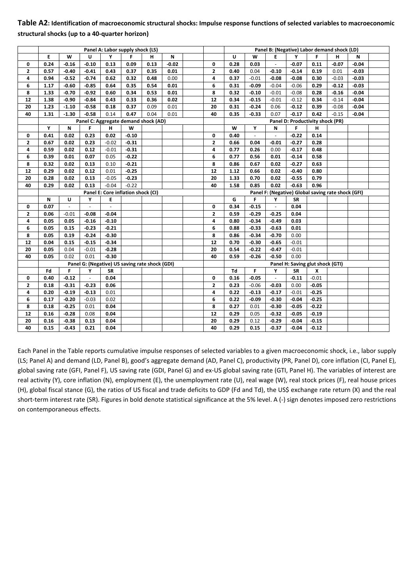# **Table A2: Identification of macroeconomic structural shocks: Impulse response functions of selected variables to macroeconomic structural shocks (up to a 40‐quarter horizon)**

|    |      |          |                                                | Panel A: Labor supply shock (LS)   |         |      |         |                |      |          |                             |           | Panel B: (Negative) Labor demand shock (LD)        |         |         |  |
|----|------|----------|------------------------------------------------|------------------------------------|---------|------|---------|----------------|------|----------|-----------------------------|-----------|----------------------------------------------------|---------|---------|--|
|    | E    | W        | U                                              | Y                                  | F.      | н    | N       |                | U    | W        | E                           | Υ         | F.                                                 | н       | N       |  |
| 0  | 0.24 | $-0.16$  | $-0.10$                                        | 0.13                               | 0.09    | 0.13 | $-0.02$ | 0              | 0.28 | 0.03     | $\omega_{\rm c}$            | $-0.07$   | 0.11                                               | $-0.07$ | $-0.04$ |  |
| 2  | 0.57 | $-0.40$  | $-0.41$                                        | 0.43                               | 0.37    | 0.35 | 0.01    | $\overline{2}$ | 0.40 | 0.04     | $-0.10$                     | $-0.14$   | 0.19                                               | 0.01    | $-0.03$ |  |
| 4  | 0.94 | $-0.52$  | $-0.74$                                        | 0.62                               | 0.32    | 0.48 | 0.00    | 4              | 0.37 | $-0.01$  | $-0.08$                     | $-0.08$   | 0.30                                               | $-0.03$ | $-0.03$ |  |
| 6  | 1.17 | $-0.60$  | $-0.85$                                        | 0.64                               | 0.35    | 0.54 | 0.01    | 6              | 0.31 | $-0.09$  | $-0.04$                     | $-0.06$   | 0.29                                               | $-0.12$ | $-0.03$ |  |
| 8  | 1.33 | $-0.70$  | $-0.92$                                        | 0.60                               | 0.34    | 0.53 | 0.01    | 8              | 0.32 | $-0.10$  | $-0.01$                     | $-0.08$   | 0.28                                               | $-0.16$ | $-0.04$ |  |
| 12 | 1.38 | $-0.90$  | $-0.84$                                        | 0.43                               | 0.33    | 0.36 | 0.02    | 12             | 0.34 | $-0.15$  | $-0.01$                     | $-0.12$   | 0.34                                               | $-0.14$ | $-0.04$ |  |
| 20 | 1.23 | $-1.10$  | $-0.58$                                        | 0.18                               | 0.37    | 0.09 | 0.01    | 20             | 0.31 | $-0.24$  | 0.06                        | $-0.12$   | 0.39                                               | $-0.08$ | $-0.04$ |  |
| 40 | 1.31 | $-1.30$  | $-0.58$                                        | 0.14                               | 0.47    | 0.04 | 0.01    | 40             | 0.35 | $-0.33$  | 0.07                        | $-0.17$   | 0.42                                               | $-0.15$ | $-0.04$ |  |
|    |      |          | Panel C: Aggregate demand shock (AD)           |                                    |         |      |         |                |      |          |                             |           | Panel D: Productivity shock (PR)                   |         |         |  |
|    | Y    | N        | F                                              | н                                  | W       |      |         |                | W    | Υ        | N                           | F         | н                                                  |         |         |  |
| 0  | 0.41 | 0.02     | 0.23                                           | 0.02                               | $-0.10$ |      |         | 0              | 0.40 | $\omega$ | $\omega$                    | $-0.22$   | 0.14                                               |         |         |  |
| 2  | 0.67 | 0.02     | 0.23                                           | $-0.02$                            | $-0.31$ |      |         | 2              | 0.66 | 0.04     | $-0.01$                     | $-0.27$   | 0.28                                               |         |         |  |
| 4  | 0.59 | 0.02     | 0.12                                           | $-0.01$                            | $-0.31$ |      |         | 4              | 0.77 | 0.26     | 0.00                        | $-0.17$   | 0.48                                               |         |         |  |
| 6  | 0.39 | 0.01     | 0.07                                           | 0.05                               | $-0.22$ |      |         | 6              | 0.77 | 0.56     | 0.01                        | $-0.14$   | 0.58                                               |         |         |  |
| 8  | 0.32 | 0.02     | 0.13                                           | 0.10                               | $-0.21$ |      |         | 8              | 0.86 | 0.67     | 0.02                        | $-0.27$   | 0.63                                               |         |         |  |
| 12 | 0.29 | 0.02     | 0.12                                           | 0.01                               | $-0.25$ |      |         | 12             | 1.12 | 0.66     | 0.02                        | $-0.40$   | 0.80                                               |         |         |  |
| 20 | 0.28 | 0.02     | 0.13                                           | $-0.05$                            | $-0.23$ |      |         | 20             | 1.33 | 0.70     | 0.02                        | $-0.55$   | 0.79                                               |         |         |  |
| 40 | 0.29 | 0.02     | 0.13                                           | $-0.04$                            | $-0.22$ |      |         | 40             | 1.58 | 0.85     | 0.02                        | $-0.63$   | 0.96                                               |         |         |  |
|    |      |          |                                                | Panel E: Core inflation shock (CI) |         |      |         |                |      |          |                             |           | Panel F: (Negative) Global saving rate shock (GFI) |         |         |  |
|    | N    | U        | Υ                                              | Е                                  |         |      |         |                | G    | F        | Υ                           | <b>SR</b> |                                                    |         |         |  |
| 0  | 0.07 | $\omega$ | $\omega$                                       | $\mathcal{L}^{\mathcal{A}}$        |         |      |         | 0              | 0.34 | $-0.15$  | $\mathcal{L}_{\mathcal{A}}$ | 0.04      |                                                    |         |         |  |
| 2  | 0.06 | $-0.01$  | $-0.08$                                        | $-0.04$                            |         |      |         | 2              | 0.59 | $-0.29$  | $-0.25$                     | 0.04      |                                                    |         |         |  |
| 4  | 0.05 | 0.05     | $-0.16$                                        | $-0.10$                            |         |      |         | 4              | 0.80 | $-0.34$  | $-0.49$                     | 0.03      |                                                    |         |         |  |
| 6  | 0.05 | 0.15     | $-0.23$                                        | $-0.21$                            |         |      |         | 6              | 0.88 | $-0.33$  | $-0.63$                     | 0.01      |                                                    |         |         |  |
| 8  | 0.05 | 0.19     | $-0.24$                                        | $-0.30$                            |         |      |         | 8              | 0.86 | $-0.34$  | $-0.70$                     | 0.00      |                                                    |         |         |  |
| 12 | 0.04 | 0.15     | $-0.15$                                        | $-0.34$                            |         |      |         | 12             | 0.70 | $-0.30$  | $-0.65$                     | $-0.01$   |                                                    |         |         |  |
| 20 | 0.05 | 0.04     | $-0.01$                                        | $-0.28$                            |         |      |         | 20             | 0.54 | $-0.22$  | $-0.47$                     | $-0.01$   |                                                    |         |         |  |
| 40 | 0.05 | 0.02     | 0.01                                           | $-0.30$                            |         |      |         | 40             | 0.59 | $-0.26$  | $-0.50$                     | 0.00      |                                                    |         |         |  |
|    |      |          | Panel G: (Negative) US saving rate shock (GDI) |                                    |         |      |         |                |      |          |                             |           | Panel H: Saving glut shock (GTI)                   |         |         |  |
|    | Fd   | F        | Υ                                              | <b>SR</b>                          |         |      |         |                | Td   | F.       | Υ                           | <b>SR</b> | X                                                  |         |         |  |
| 0  | 0.40 | $-0.12$  | $\omega$                                       | 0.04                               |         |      |         | 0              | 0.16 | $-0.05$  | $\omega$                    | $-0.11$   | $-0.01$                                            |         |         |  |
| 2  | 0.18 | $-0.31$  | $-0.23$                                        | 0.06                               |         |      |         | 2              | 0.23 | $-0.06$  | $-0.03$                     | 0.00      | $-0.05$                                            |         |         |  |
| 4  | 0.20 | $-0.19$  | $-0.13$                                        | 0.01                               |         |      |         | 4              | 0.22 | $-0.13$  | $-0.17$                     | $-0.01$   | $-0.25$                                            |         |         |  |
| 6  | 0.17 | $-0.20$  | $-0.03$                                        | 0.02                               |         |      |         | 6              | 0.22 | $-0.09$  | $-0.30$                     | $-0.04$   | $-0.25$                                            |         |         |  |
| 8  | 0.18 | $-0.25$  | 0.01                                           | 0.04                               |         |      |         | 8              | 0.27 | 0.01     | $-0.30$                     | $-0.05$   | $-0.22$                                            |         |         |  |
| 12 | 0.16 | $-0.28$  | 0.08                                           | 0.04                               |         |      |         | 12             | 0.29 | 0.05     | $-0.32$                     | $-0.05$   | $-0.19$                                            |         |         |  |
| 20 | 0.16 | $-0.38$  | 0.13                                           | 0.04                               |         |      |         | 20             | 0.29 | 0.12     | $-0.29$                     | $-0.04$   | $-0.15$                                            |         |         |  |
| 40 | 0.15 | $-0.43$  | 0.21                                           | 0.04                               |         |      |         | 40             | 0.29 | 0.15     | $-0.37$                     | $-0.04$   | $-0.12$                                            |         |         |  |

Each Panel in the Table reports cumulative impulse responses of selected variables to a given macroeconomic shock, i.e., labor supply (LS; Panel A) and demand (LD, Panel B), good's aggregate demand (AD, Panel C), productivity (PR, Panel D), core inflation (CI, Panel E), global saving rate (GFI, Panel F), US saving rate (GDI, Panel G) and ex‐US global saving rate (GTI, Panel H). The variables of interest are real activity (Y), core inflation (N), employment (E), the unemployment rate (U), real wage (W), real stock prices (F), real house prices (H), global fiscal stance (G), the ratios of US fiscal and trade deficits to GDP (Fd and Td), the US\$ exchange rate return (X) and the real short-term interest rate (SR). Figures in bold denote statistical significance at the 5% level. A (-) sign denotes imposed zero restrictions on contemporaneous effects.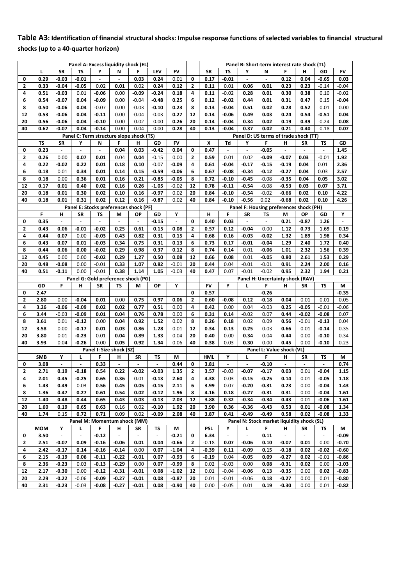# **Table A3: Identification of financial structural shocks: Impulse response functions of selected variables to financial structural shocks (up to a 40‐quarter horizon)**

|              |                    |                          | Panel A: Excess liquidity shock (EL)             |                          |                          |                                |                |                          |              |                    |                          |                          |                                  |                          | Panel B: Short-term interest rate shock (TL)  |                          |                  |
|--------------|--------------------|--------------------------|--------------------------------------------------|--------------------------|--------------------------|--------------------------------|----------------|--------------------------|--------------|--------------------|--------------------------|--------------------------|----------------------------------|--------------------------|-----------------------------------------------|--------------------------|------------------|
|              | L                  | <b>SR</b>                | <b>TS</b>                                        | Υ                        | N                        | F                              | LFV            | FV                       |              | <b>SR</b>          | TS                       | Υ                        | N                                | F                        | н                                             | GD                       | FV               |
| 0            | 0.29               | $-0.03$                  | $-0.01$                                          | $\blacksquare$           |                          | 0.03                           | 0.24           | 0.01                     | 0            | 0.17               | $-0.01$                  | $\overline{\phantom{a}}$ | $\blacksquare$                   | 0.12                     | 0.04                                          | $-0.65$                  | 0.03             |
| $\mathbf{2}$ | 0.33               | $-0.04$                  | $-0.05$                                          | 0.02                     | 0.01                     | 0.02                           | 0.24           | 0.12                     | $\mathbf{z}$ | 0.11               | 0.01                     | 0.06                     | 0.01                             | 0.23                     | 0.23                                          | $-0.14$                  | $-0.04$          |
| 4            | 0.51               | -0.03                    | 0.01                                             | $-0.06$                  | 0.00                     | $-0.09$                        | $-0.24$        | 0.18                     | 4            | 0.11               | $-0.02$                  | 0.28                     | 0.01                             | 0.30                     | 0.38                                          | 0.10                     | $-0.02$          |
| 6            | 0.54               | $-0.07$                  | 0.04                                             | $-0.09$                  | 0.00                     | $-0.04$                        | $-0.48$        | 0.25                     | 6            | 0.12               | $-0.02$                  | 0.44                     | 0.01                             | 0.31                     | 0.47                                          | 0.15                     | $-0.04$          |
| 8            | 0.50               | -0.06                    | 0.04                                             | $-0.07$                  | 0.00                     | $-0.03$                        | $-0.10$        | 0.23                     | 8            | 0.13               | $-0.04$                  | 0.51                     | 0.02                             | 0.28                     | 0.52                                          | 0.01                     | 0.00             |
| 12           | 0.53               | -0.06                    | 0.04                                             | $-0.11$                  | 0.00                     | $-0.04$                        | $-0.03$        | 0.27                     | 12           | 0.14               | $-0.06$                  | 0.49                     | 0.03                             | 0.24                     | 0.54                                          | $-0.51$                  | 0.04             |
| 20           | 0.56               | $-0.06$                  | 0.04                                             | $-0.10$                  | 0.00                     | 0.02                           | 0.00           | 0.26                     | 20           | 0.14               | $-0.04$                  | 0.34                     | 0.02                             | 0.19                     | 0.39                                          | $-0.24$                  | 0.08             |
| 40           | 0.62               | $-0.07$                  | 0.04<br>Panel C: Term structure slope shock (TS) | $-0.14$                  | 0.00                     | 0.04                           | 0.00           | 0.28                     | 40           | 0.13               | $-0.04$                  | 0.37                     | 0.02                             | 0.21                     | 0.40<br>Panel D: US terms of trade shock (TT) | $-0.18$                  | 0.07             |
|              | <b>TS</b>          | <b>SR</b>                | Υ                                                | N                        | F                        | н                              | GD             | <b>FV</b>                |              | X                  | Td                       | Υ                        | F                                | н                        | <b>SR</b>                                     | TS                       | GD               |
| 0            | 0.23               | $\overline{\phantom{a}}$ | $\omega$                                         | $\overline{\phantom{a}}$ | 0.04                     | 0.03                           | $-0.42$        | 0.04                     | 0            | 0.47               | $\blacksquare$           | $\blacksquare$           | $-0.05$                          | $\overline{\phantom{a}}$ | $\blacksquare$                                | $\blacksquare$           | 1.45             |
| 2            | 0.26               | 0.00                     | 0.07                                             | 0.01                     | 0.04                     | 0.04                           | $-0.15$        | 0.00                     | 2            | 0.59               | 0.01                     | 0.02                     | $-0.09$                          | -0.07                    | 0.03                                          | $-0.01$                  | 1.92             |
| 4            | 0.22               | -0.02                    | 0.22                                             | 0.01                     | 0.18                     | 0.10                           | $-0.07$        | $-0.09$                  | 4            | 0.61               | $-0.04$                  | $-0.17$                  | $-0.15$                          | $-0.19$                  | 0.04                                          | 0.01                     | 2.36             |
| 6            | 0.18               | 0.01                     | 0.34                                             | 0.01                     | 0.14                     | 0.15                           | $-0.59$        | $-0.06$                  | 6            | 0.67               | $-0.08$                  | $-0.34$                  | $-0.12$                          | $-0.27$                  | 0.04                                          | 0.03                     | 2.57             |
| 8            | 0.18               | 0.00                     | 0.36                                             | 0.01                     | 0.16                     | 0.21                           | $-0.85$        | $-0.05$                  | 8            | 0.72               | $-0.10$                  | $-0.45$                  | $-0.08$                          | $-0.35$                  | 0.04                                          | 0.05                     | 3.02             |
| 12           | 0.17               | 0.01                     | 0.40                                             | 0.02                     | 0.16                     | 0.26                           | $-1.05$        | $-0.02$                  | 12           | 0.78               | $-0.11$                  | $-0.54$                  | $-0.08$                          | $-0.53$                  | 0.03                                          | 0.07                     | 3.71             |
| 20           | 0.18               | 0.01                     | 0.30                                             | 0.02                     | 0.10                     | 0.16                           | $-0.97$        | 0.02                     | 20           | 0.84               | $-0.10$                  | $-0.54$                  | $-0.02$                          | $-0.66$                  | 0.02                                          | 0.10                     | 4.22             |
| 40           | 0.18               | 0.01                     | 0.31                                             | 0.02                     | 0.12                     | 0.16                           | $-0.87$        | 0.02                     | 40           | 0.84               | $-0.10$                  | $-0.56$                  | 0.02                             | $-0.68$                  | 0.02                                          | 0.10                     | 4.26             |
|              |                    |                          | Panel E: Stocks preferences shock (PF)           |                          |                          |                                |                |                          |              |                    |                          |                          |                                  |                          | Panel F: Housing preferences shock (PH)       |                          |                  |
|              | F.                 | н                        | <b>SR</b>                                        | TS                       | M                        | ОP                             | GD             | Υ                        |              | н                  | F                        | <b>SR</b>                | <b>TS</b>                        | M                        | <b>OP</b>                                     | GD                       | Υ                |
| 0            | 0.35               |                          | $\blacksquare$                                   | $\frac{1}{2}$            | $\blacksquare$           | $\blacksquare$                 | $-0.15$        | $\overline{\phantom{a}}$ | 0            | 0.40               | 0.03                     | $\overline{\phantom{a}}$ | $\frac{1}{2}$                    | 0.21                     | $-0.87$                                       | 1.26                     | $\overline{a}$   |
| 2            | 0.43               | 0.06                     | $-0.01$                                          | $-0.02$                  | 0.25                     | 0.61                           | 0.15           | 0.08                     | $\mathbf{2}$ | 0.57               | 0.12                     | $-0.04$                  | 0.00                             | 1.12                     | 0.73                                          | 1.69                     | 0.19             |
| 4            | 0.44               | 0.07                     | 0.00                                             | $-0.03$                  | 0.43                     | 0.82                           | 0.31           | 0.15                     | 4            | 0.68               | 0.16                     | $-0.03$                  | $-0.02$                          | 1.32                     | 1.89                                          | 1.98                     | 0.34             |
| 6            | 0.43               | 0.07                     | 0.01                                             | $-0.03$                  | 0.34                     | 0.75                           | 0.31           | 0.13                     | 6            | 0.73               | 0.17                     | $-0.01$                  | $-0.04$                          | 1.29                     | 2.40                                          | 1.72                     | 0.40             |
| 8            | 0.44               | 0.06                     | 0.00                                             | $-0.02$                  | 0.29                     | 0.98                           | 0.37           | 0.12                     | 8            | 0.74               | 0.14                     | 0.01                     | $-0.06$                          | 1.01                     | 2.32                                          | 1.56                     | 0.39             |
| 12<br>20     | 0.45<br>0.48       | 0.00<br>$-0.08$          | 0.00<br>0.00                                     | $-0.02$<br>$-0.01$       | 0.29<br>0.33             | 1.27<br>1.07                   | 0.50<br>0.82   | 0.08<br>$-0.01$          | 12<br>20     | 0.66<br>0.44       | 0.08<br>0.04             | 0.01<br>$-0.01$          | $-0.05$<br>$-0.01$               | 0.80<br>0.91             | 2.61<br>2.24                                  | 1.53<br>2.00             | 0.29<br>0.16     |
| 40           | 0.51               | $-0.11$                  | 0.00                                             | $-0.01$                  | 0.38                     | 1.14                           | 1.05           | $-0.03$                  | 40           | 0.47               | 0.07                     | $-0.01$                  | $-0.02$                          | 0.95                     | 2.32                                          | 1.94                     | 0.21             |
|              |                    |                          | Panel G: Gold preference shock (PG)              |                          |                          |                                |                |                          |              |                    |                          |                          | Panel H: Uncertainty shock (RAV) |                          |                                               |                          |                  |
|              | GD                 | F                        | н                                                | SR                       | TS                       | M                              | ΟP             | Υ                        |              | <b>FV</b>          | Υ                        | г                        | F                                | н                        | <b>SR</b>                                     | TS                       | М                |
| 0            | 2.47               |                          |                                                  |                          |                          |                                |                |                          | 0            | 0.57               |                          |                          | $-0.26$                          |                          |                                               |                          | $-0.35$          |
| 2            | 2.80               | 0.00                     | $-0.04$                                          | 0.01                     | 0.00                     | 0.75                           | 0.97           | 0.06                     | $\mathbf{2}$ | 0.60               | $-0.08$                  | 0.12                     | $-0.18$                          | 0.04                     | $-0.01$                                       | 0.01                     | $-0.05$          |
| 4            | 3.26               | -0.06                    | $-0.09$                                          | 0.02                     | 0.02                     | 0.77                           | 0.51           | 0.00                     | 4            | 0.42               | 0.00                     | 0.04                     | $-0.03$                          | 0.25                     | $-0.05$                                       | $-0.01$                  | $-0.06$          |
| 6            | 3.44               | $-0.03$                  | $-0.09$                                          | 0.01                     | 0.04                     | 0.76                           | 0.78           | 0.00                     | 6            | 0.31               | 0.14                     | $-0.02$                  | 0.07                             | 0.44                     | $-0.02$                                       | $-0.08$                  | 0.07             |
| 8            | 3.61               | 0.01                     | $-0.12$                                          | 0.00                     | 0.04                     | 0.92                           | 1.52           | 0.02                     | 8            | 0.26               | 0.18                     | 0.02                     | 0.09                             | 0.56                     | $-0.01$                                       | $-0.13$                  | 0.04             |
| 12           | 3.58               | 0.00                     | $-0.17$                                          | 0.01                     | 0.03                     | 0.86                           | 1.28           | 0.01                     | 12           | 0.34               | 0.13                     | 0.25                     | 0.03                             | 0.66                     | 0.01                                          | $-0.14$                  | $-0.35$          |
| 20           | 3.80               | 0.01                     | $-0.23$                                          | 0.01                     | 0.04                     | 0.89                           | 1.33           | $-0.04$                  | 20           | 0.40               | 0.00                     | 0.34                     | $-0.04$                          | 0.44                     | 0.00                                          | $-0.10$                  | $-0.34$          |
| 40           | 3.93               | 0.04                     | $-0.26$                                          | 0.00                     | 0.05                     | 0.92                           | 1.34           | $-0.06$                  | 40           | 0.38               | 0.03                     | 0.30                     | 0.00                             | 0.45                     | 0.00                                          | $-0.10$                  | $-0.23$          |
|              |                    | Υ                        |                                                  | F                        | Panel I: Size shock (SZ) |                                | TS             |                          |              |                    | Υ                        |                          | Panel L: Value shock (VL)<br>F   |                          |                                               |                          |                  |
| 0            | <b>SMB</b><br>3.08 |                          | L                                                | 0.33                     | н                        | SR<br>$\overline{\phantom{a}}$ | $\frac{1}{2}$  | М<br>0.44                | 0            | <b>HML</b><br>3.81 | $\overline{\phantom{a}}$ | Г                        | $-0.10$                          | Н                        | <b>SR</b>                                     | TS                       | М<br>0.74        |
| 2            | 2.71               | 0.19                     | $-0.18$                                          | 0.54                     | 0.22                     | $-0.02$                        | $-0.03$        | 1.35                     | 2            | 3.57               | $-0.03$                  | $-0.07$                  | $-0.17$                          | 0.03                     | 0.01                                          | $-0.04$                  | 1.15             |
| 4            | 2.01               | 0.45                     | $-0.25$                                          | 0.65                     | 0.36                     | $-0.01$                        | $-0.13$        | 2.60                     | 4            | 4.38               | 0.03                     | $-0.15$                  | $-0.25$                          | 0.14                     | 0.01                                          | $-0.05$                  | 1.18             |
| 6            | 1.43               | 0.49                     | 0.03                                             | 0.56                     | 0.45                     | 0.05                           | $-0.15$        | 2.11                     | 6            | 3.99               | 0.07                     | $-0.20$                  | $-0.31$                          | 0.23                     | 0.00                                          | $-0.04$                  | 1.43             |
| 8            | 1.36               | 0.47                     | 0.27                                             | 0.61                     | 0.54                     | 0.02                           | $-0.12$        | 1.96                     | 8            | 4.16               | 0.18                     | $-0.27$                  | $-0.31$                          | 0.31                     | 0.00                                          | $-0.04$                  | 1.61             |
| 12           | 1.40               | 0.48                     | 0.44                                             | 0.65                     | 0.43                     | 0.03                           | $-0.13$        | 2.03                     | 12           | 3.88               | 0.32                     | $-0.34$                  | $-0.34$                          | 0.43                     | 0.01                                          | $-0.06$                  | 1.61             |
| 20           | 1.60               | 0.19                     | 0.65                                             | 0.63                     | 0.16                     | 0.02                           | $-0.10$        | 1.92                     | 20           | 3.90               | 0.36                     | $-0.36$                  | $-0.43$                          | 0.53                     | 0.01                                          | $-0.08$                  | 1.34             |
| 40           | 1.74               | 0.15                     | 0.72                                             | 0.71                     | 0.09                     | 0.02                           | $-0.09$        | 2.08                     | 40           | 3.87               | 0.41                     | $-0.49$                  | $-0.49$                          | 0.58                     | 0.02                                          | $-0.08$                  | 1.33             |
|              |                    |                          | Panel M: Momentum shock (MM)                     |                          |                          |                                |                |                          |              |                    |                          |                          |                                  |                          | Panel N: Stock market liquidity shock (SL)    |                          |                  |
|              | <b>MOM</b>         | Υ                        | L.                                               | F.                       | н                        | SR                             | ΤS             | М                        |              | <b>PSL</b>         | Y                        | L                        | F.                               | н                        | SR                                            | ΤS                       | М                |
| 0            | 3.50               | $\overline{\phantom{a}}$ | $\blacksquare$                                   | $-0.12$                  | $\overline{\phantom{a}}$ | $\overline{\phantom{a}}$       | $\blacksquare$ | $-0.21$                  | 0            | 6.34               | $\blacksquare$           | $\overline{\phantom{a}}$ | 0.11                             | $\overline{\phantom{a}}$ | $\sim$                                        | $\overline{\phantom{a}}$ | $-0.09$          |
| 2            | 2.51               | -0.07                    | 0.09                                             | $-0.16$                  | $-0.06$                  | 0.01                           | 0.04           | $-0.66$                  | 2            | $-0.18$            | 0.07                     | $-0.06$                  | 0.10                             | $-0.07$                  | 0.01                                          | 0.00                     | $-0.70$          |
| 4            | 2.42               | $-0.17$                  | 0.14                                             | $-0.16$                  | $-0.14$                  | 0.00                           | 0.07           | $-1.04$                  | 4            | $-0.39$            | 0.11                     | $-0.09$                  | 0.15                             | $-0.18$                  | 0.02                                          | -0.02                    | $-0.60$          |
| 6            | 2.15               | $-0.19$                  | 0.06                                             | $-0.11$                  | $-0.22$                  | $-0.01$                        | 0.07           | $-0.93$                  | 6            | $-0.19$            | 0.04                     | $-0.05$                  | 0.09                             | -0.27                    | 0.02                                          | $-0.01$                  | $-0.86$          |
| 8            | 2.36               | $-0.23$                  | 0.03                                             | $-0.13$                  | $-0.29$                  | 0.00                           | 0.07           | $-0.99$                  | 8            | 0.02               | $-0.03$                  | 0.00                     | 0.08                             | $-0.31$                  | 0.02                                          | 0.00                     | $-1.03$          |
| 12           |                    |                          |                                                  |                          |                          |                                |                |                          |              |                    |                          |                          |                                  | $-0.35$                  |                                               |                          | $-0.83$          |
|              | 2.17               | $-0.30$                  | 0.00                                             | $-0.12$                  | $-0.31$                  | $-0.01$                        | 0.08           | $-1.02$                  | 12           | 0.01               | $-0.04$                  | $-0.06$                  | 0.13                             |                          | 0.00                                          | 0.02                     |                  |
| 20<br>40     | 2.29<br>2.31       | -0.22<br>-0.23           | $-0.06$<br>$-0.03$                               | -0.09<br>$-0.08$         | $-0.27$<br>$-0.27$       | $-0.01$<br>$-0.01$             | 0.08<br>0.08   | $-0.87$<br>$-0.90$       | 20<br>40     | 0.01<br>0.00       | $-0.01$<br>$-0.05$       | $-0.06$<br>0.01          | 0.18<br>0.19                     | $-0.27$<br>-0.30         | 0.00<br>0.00                                  | 0.01<br>0.01             | $-0.80$<br>-0.82 |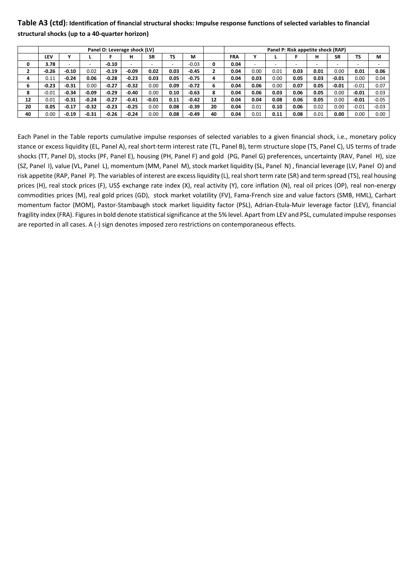# **Table A3 (ctd): Identification of financial structural shocks: Impulse response functions of selected variables to financial structural shocks (up to a 40‐quarter horizon)**

|    |         |         |                          |         | Panel O: Leverage shock (LV) |           |           |         |    |            |      |      |      | Panel P: Risk appetite shock (RAP) |           |           |         |
|----|---------|---------|--------------------------|---------|------------------------------|-----------|-----------|---------|----|------------|------|------|------|------------------------------------|-----------|-----------|---------|
|    | LEV     |         |                          |         | н                            | <b>SR</b> | <b>TS</b> | М       |    | <b>FRA</b> |      |      |      | н                                  | <b>SR</b> | <b>TS</b> | M       |
|    | 3.78    |         | $\overline{\phantom{0}}$ | $-0.10$ |                              |           |           | $-0.03$ |    | 0.04       |      |      |      |                                    |           |           |         |
| ٠  | $-0.26$ | $-0.10$ | 0.02                     | $-0.19$ | $-0.09$                      | 0.02      | 0.03      | $-0.45$ |    | 0.04       | 0.00 | 0.01 | 0.03 | 0.01                               | 0.00      | 0.01      | 0.06    |
|    | 0.11    | $-0.24$ | 0.06                     | $-0.28$ | $-0.23$                      | 0.03      | 0.05      | $-0.75$ |    | 0.04       | 0.03 | 0.00 | 0.05 | 0.03                               | $-0.01$   | 0.00      | 0.04    |
| 6  | $-0.23$ | $-0.31$ | 0.00                     | $-0.27$ | $-0.32$                      | 0.00      | 0.09      | $-0.72$ |    | 0.04       | 0.06 | 0.00 | 0.07 | 0.05                               | $-0.01$   | $-0.01$   | 0.07    |
| 8  | $-0.01$ | $-0.34$ | $-0.09$                  | $-0.29$ | $-0.40$                      | 0.00      | 0.10      | $-0.63$ |    | 0.04       | 0.06 | 0.03 | 0.06 | 0.05                               | 0.00      | $-0.01$   | 0.03    |
| 12 | 0.01    | $-0.31$ | $-0.24$                  | $-0.27$ | $-0.41$                      | $-0.01$   | 0.11      | $-0.42$ | 12 | 0.04       | 0.04 | 0.08 | 0.06 | 0.05                               | 0.00      | $-0.01$   | $-0.05$ |
| 20 | 0.05    | $-0.17$ | $-0.32$                  | $-0.23$ | $-0.25$                      | 0.00      | 0.08      | $-0.39$ | 20 | 0.04       | 0.01 | 0.10 | 0.06 | 0.02                               | 0.00      | $-0.01$   | $-0.03$ |
| 40 | 0.00    | $-0.19$ | $-0.31$                  | $-0.26$ | $-0.24$                      | 0.00      | 0.08      | $-0.49$ | 40 | 0.04       | 0.01 | 0.11 | 0.08 | 0.01                               | 0.00      | 0.00      | 0.00    |

Each Panel in the Table reports cumulative impulse responses of selected variables to a given financial shock, i.e., monetary policy stance or excess liquidity (EL, Panel A), real short-term interest rate (TL, Panel B), term structure slope (TS, Panel C), US terms of trade shocks (TT, Panel D), stocks (PF, Panel E), housing (PH, Panel F) and gold (PG, Panel G) preferences, uncertainty (RAV, Panel H), size (SZ, Panel I), value (VL, Panel L), momentum (MM, Panel M), stock market liquidity (SL, Panel N) , financial leverage (LV, Panel O) and risk appetite (RAP, Panel P). The variables of interest are excess liquidity (L), real short term rate (SR) and term spread (TS), real housing prices (H), real stock prices (F), US\$ exchange rate index (X), real activity (Y), core inflation (N), real oil prices (OP), real non-energy commodities prices (M), real gold prices (GD), stock market volatility (FV), Fama‐French size and value factors (SMB, HML), Carhart momentum factor (MOM), Pastor‐Stambaugh stock market liquidity factor (PSL), Adrian‐Etula‐Muir leverage factor (LEV), financial fragility index (FRA). Figures in bold denote statistical significance at the 5% level. Apart from LEV and PSL, cumulated impulse responses are reported in all cases. A (‐) sign denotes imposed zero restrictions on contemporaneous effects.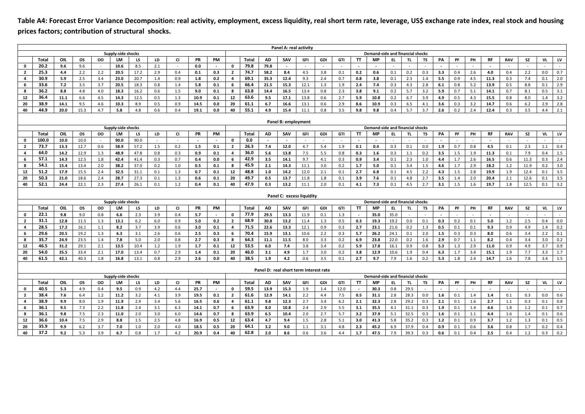**Table A4: Forecast Error Variance Decomposition: real activity, employment, excess liquidity, real short term rate, leverage, US\$ exchange rate index, real stock and housing prices factors; contribution of structural shocks.** 

|                |              |            |            |            |                    |            |            |            |              |            |                |              |            | Panel A: real activity                 |            |            |            |             |                                         |            |              |            |            |            |            |            |            |            |            |            |
|----------------|--------------|------------|------------|------------|--------------------|------------|------------|------------|--------------|------------|----------------|--------------|------------|----------------------------------------|------------|------------|------------|-------------|-----------------------------------------|------------|--------------|------------|------------|------------|------------|------------|------------|------------|------------|------------|
|                |              |            |            |            | Supply-side shocks |            |            |            |              |            |                |              |            |                                        |            |            |            |             | Demand-side and financial shocks        |            |              |            |            |            |            |            |            |            |            |            |
|                | Total        | OIL        | <b>OS</b>  | oo         | LM                 | LS         | LD         | <b>CI</b>  | PR           | PM         |                | <b>Total</b> | AD         | SAV                                    | GFI        | GDI        | GTI        | TT          | <b>MP</b>                               | EL.        | TL.          | <b>TS</b>  | PA         | PF         | PH         | RF         | <b>RAV</b> | <b>SZ</b>  | VL.        | LV         |
| $\mathbf 0$    | 20.2         | 9.6        | 9.6        |            | 10.6               | 8.5        | 2.1        | $\sim$     | 0.0          | $\sim$     | $\mathbf 0$    | 79.8         | 79.8       |                                        | $\sim$     |            | $\sim$     |             |                                         |            |              |            |            |            |            |            |            |            |            | $\sim$     |
| $\overline{2}$ | 25.3         | 4.4        | 2.2        | 2.2        | 20.5               | 17.2       | 2.9        | 0.4        | 0.1          | 0.3        | $\overline{2}$ | 74.7         | 58.2       | 8.4                                    | 4.5        | 3.8        | 0.1        | 0.2         | 0.6                                     | 0.1        | 0.2          | 0.3        | 3.3        | 0.4        | 2.6        | 4.0        | 0.4        | 2.2        | 0.0        | 0.7        |
| 4              | 30.9         | 5.9        | 2.5        | 3.4        | 23.0               | 20.7       | 1.4        | 0.9        | 1.8          | 0.2        | 4              | 69.1         | 35.3       | 12.4                                   | 9.3        | 2.4        | 0.7        | 0.8         | 3.8                                     | 0.1        | 2.3          | 1.4        | 5.5        | 0.9        | 4.5        | 11.3       | 0.3        | 7.4        | 0.1        | 2.0        |
| 6              | 33.6         | 7.2        | 3.5        | 3.7        | 20.5               | 18.3       | 0.8        | 1.4        | 5.8          | 0.1        | 6              | 66.4         | 21.5       | 15.3                                   | 12.1       | 1.3        | 1.9        | 2.4         | 7.4                                     | 0.3        | 4.3          | 2.8        | 6.1        | 0.8        | 5.2        | 13.9       | 0.5        | 8.8        | 0.1        | $2.9$      |
| 8              | 36.2         | 8.8        | 4.8        | 4.0        | 18.3               | 16.2       | 0.6        | 1.5        | 9.0          | 0.1        | 8              | 63.8         | 14.4       | 16.5                                   | 13.4       | 0.8        | 2.3        | 3.8         | 9.1                                     | 0.2        | 5.7          | 3.2        | 5.9        | 0.7        | 5.1        | 14.1       | 0.7        | 8.1        | 0.5        | $3.1\,$    |
| $12\,$         | 36.4         | 11.1       | 6.6        | 4.5        | 14.3               | 12.5       | 0.5        | 1.3        | 10.9         | 0.1        | 12             | 63.6         | 9.5        | 17.1                                   | 13.8       | 0.6        | 2.7        | 5.9         | 10.8                                    | 0.2        | 6.7          | 3.9        | 4.9        | 0.5        | 4.3        | 15.5       | 0.8        | 8.0        | 1.4        | 3.2        |
| 20             | 38.9         | 14.1       | 9.5        | 4.6        | 10.3               | 8.9        | 0.5        | 0.9        | 14.5         | 0.0        | 20             | 61.1         | 6.7        | 16.6                                   | 13.1       | 0.6        | 2.9        | 8.6         | 10.9                                    | 0.3        | 6.5          | 4.1        | 3.6        | 0.3        | 3.2        | 14.7       | 0.6        | 6.2        | 2.9        | $2.8\,$    |
| 40             | 44.9         | 20.0       | 15.3       | 4.7        | 5.8                | 4.8        | 0.6        | 0.4        | 19.1         | 0.0        | 40             | 55.1         | 4.9        | 15.4                                   | 11.1       | 0.8        | 3.5        | 9.8         | 9.8                                     | 0.4        | 5.7          | 3.7        | 2.6        | 0.2        | 2.4        | 12.4       | 0.3        | 3.5        | 4.4        | 2.1        |
|                |              |            |            |            |                    |            |            |            |              |            |                |              |            |                                        |            |            |            |             |                                         |            |              |            |            |            |            |            |            |            |            |            |
|                |              |            |            |            |                    |            |            |            |              |            |                |              |            | Panel B: employment                    |            |            |            |             |                                         |            |              |            |            |            |            |            |            |            |            |            |
|                |              |            |            |            | Supply-side shocks |            |            |            |              |            |                |              |            |                                        |            |            |            |             | Demand-side and financial shocks        |            |              |            |            |            |            |            |            |            |            |            |
|                | Total        | OIL        | OS         | OO         | LM                 | <b>LS</b>  | LD         | <b>CI</b>  | <b>PR</b>    | PM         |                | <b>Total</b> | <b>AD</b>  | SAV                                    | GFI        | GDI        | <b>GTI</b> | $_{\rm IT}$ | <b>MP</b>                               | EL.        | TL.          | <b>TS</b>  | PA         | PF         | PH         | RF         | <b>RAV</b> | <b>SZ</b>  | VL         | LV         |
| 0              | 100.0        | 10.0       | 10.0       | $\sim$     | 90.0               | 90.0       | $\sim$     | $\sim$     | $\sim$       | $\sim$     | $\mathbf 0$    | 0.0          | $\sim$     | $\sim$                                 | $\sim$     |            | $\sim$     |             |                                         | $\sim$     | $\sim$       | $\sim$     | ÷.         |            | $\sim$     | $\sim$     | $\sim$     | $\sim$     |            | $\sim$     |
| $\overline{2}$ | 73.7         | 13.3       | 12.7       | 0.6        | 58.9               | 57.2       | 1.5        | 0.2        | 1.5          | 0.1        | $\overline{2}$ | 26.3         | 7.4        | 12.0                                   | 4.7        | 5.4        | 1.9        | 0.1         | 0.4                                     | 0.3        | 0.1          | 0.0        | 1.9        | 0.7        | 0.8        | 4.5        | 0.1        | 2.3        | 1.1        | 0.4        |
| 4              | 64.0         | 14.2       | 12.9       | 1.3        | 48.9               | 47.8       | 0.8        | 0.3        | 0.9          | 0.1        | 4              | 36.0         | 5.6        | 13.8                                   | 7.5        | 5.5        | 0.8        | 0.3         | $1.6\,$                                 | 0.3        | 1.1          | 0.2        | 3.5        | 1.5        | 1.9        | 11.3       | 0.1        | 7.9        | 0.4        | 1.5        |
| 6              | 57.1         | 14.3       | 12.5       | 1.8        | 42.4               | 41.4       | 0.3        | 0.7        | 0.4          | 0.0        | 6              | 42.9         | 3.5        | 14.1                                   | 9.7        | 4.1        | 0.3        | 0.9         | 3.4                                     | 0.1        | 2.3          | 1.0        | 4.4        | 1.7        | 2.6        | 16.5       | 0.6        | 11.3       | 0.3        | 2.4        |
| 8              | 54.1         | 15.4       | 13.4       | 2.0        | 38.2               | 37.0       | 0.2        | 1.0        | 0.5          | 0.1        | 8              | 45.9         | 2.1        | 14.3                                   | 11.1       | 3.0        | 0.2        | 1.7         | 5.0                                     | 0.1        | 3.4          | 1.5        | 4.6        | 1.7        | 2.9        | 18.2       | $1.2$      | 11.9       | 0.2        | 3.0        |
| 12             | 51.2         | 17.9       | 15.5       | 2.4        | 32.5               | 31.1       | 0.1        | 1.3        | 0.7          | 0.1        | $12\,$         | 48.8         | 1.0        | 14.2                                   | 12.0       | 2.1        | 0.1        | 2.7         | $6.8\,$                                 | 0.1        | 4.5          | 2.2        | 4.3        | 1.5        | 2.8        | 19.9       | 1.9        | 12.4       | 0.1        | $3.5\,$    |
| 20             | 50.3         | 21.0       | 18.6       | 2.4        | 28.7               | 27.3       | 0.1        | 1.3        | 0.6          | 0.1        | 20             | 49.7         | 0.5        | 13.7                                   | 11.8       | 1.8        | 0.1        | 3.9         | 7.6                                     | 0.1        | 4.8          | 2.7        | 3.5        | 1.4        | 2.0        | 20.4       | 2.1        | 12.6       | 0.1        | 3.5        |
| 40             | 52.1         | 24.4       | 22.1       | 2.3        | 27.4               | 26.1       | 0.1        | 1.2        | 0.4          | 0.1        | 40             | 47.9         | 0.3        | 13.2                                   | 11.1       | 2.0        | 0.1        | 4.1         | 7.3                                     | 0.1        | 4.5          | 2.7        | 3.1        | 1.5        | 1.6        | 19.7       | 1.8        | 12.5       | 0.1        | 3.2        |
|                |              |            |            |            |                    |            |            |            |              |            |                |              |            | Panel C: excess liquidity              |            |            |            |             |                                         |            |              |            |            |            |            |            |            |            |            |            |
|                |              |            |            |            | Supply-side shocks |            |            |            |              |            |                |              |            |                                        |            |            |            |             | Demand-side and financial shocks        |            |              |            |            |            |            |            |            |            |            |            |
|                | Total        | OIL        | OS         | oo         | LM                 | LS         | LD         | <b>CI</b>  | PR           | PM         |                | <b>Total</b> | AD         | SAV                                    | GFI        | GDI        | GTI        | TΤ          | <b>MP</b>                               | EL.        | TL.          | TS         | PA         | PF         | PH         | RF         | <b>RAV</b> | <b>SZ</b>  | VL         | LV         |
| 0              | 22.1         | 9.8        | 9.0        | 0.8        | 6.6                | 2.3        | 3.9        | 0.4        | 5.7          | $\sim$     | $\mathbf 0$    | 77.9         | 29.5       | 13.3                                   | 11.9       | 0.1        | 1.3        | $\sim$      | 35.0                                    | 35.0       | $\sim$       | $\sim$     | $\sim$     | $\sim$     | $\sim$     | $\sim$     | $\sim$     | $\sim$     | $\sim$     | $\sim$     |
| $\overline{2}$ | 31.1         | 12.8       | 11.5       | 1.3        | 13.1               | 6.2        | 6.0        | 0.9        | 5.0          | 0.2        | $\overline{2}$ | 68.9         | 30.8       | 13.2                                   | 11.4       | 1.3        | 0.5        | 0.3         | 19.3                                    | 19.2       | 0.0          | 0.1        | 0.3        | 0.2        | 0.1        | 5.0        | 1.2        | 2.5        | 0.4        | 0.0        |
| $\overline{4}$ | 28.5         | 17.2       | 16.1       | 1.1        | 8.2                | 3.7        | 3.9        | 0.6        | 3.0          | 0.1        | $\overline{4}$ | 71.5         | 22.6       | 13.3                                   | 12.1       | 0.9        | 0.3        | 2.7         | 23.1                                    | 21.6       | 0.2          | 1.3        | 0.5        | 0.1        | 0.1        | 9.3        | 0.9        | 4.9        | 1.4        | 0.2        |
| 6              | 29.6         | 20.5       | 19.2       | 1.3        | 6.3                | 3.1        | 2.6        | 0.6        | 2.5          | 0.3        | 6              | 70.4         | 15.9       | 13.1                                   | 10.6       | 2.2        | 0.3        | 5.7         | 26.2                                    | 24.1       | 0.1          | 2.0        | 1.5        | 0.3        | 0.3        | 8.0        | 0.6        | 3.4        | 2.2        | 0.1        |
| 8              | 35.7         | 24.9       | 23.5       | 1.4        | 7.8                | 5.0        | 2.0        | 0.8        | 2.7          | 0.3        | 8              | 64.3         | 11.1       | 11.5                                   | 8.0        | 3.3        | 0.2        | 6.9         | 23.8                                    | 22.0       | 0.2          | 1.6        | 2.9        | 0.7        | 1.1        | 8.2        | 0.4        | 3.4        | 3.0        | 0.2        |
| 12             | 46.5         | 31.2       | 29.1       | 2.1        | 13.5               | 10.4       | $1.2$      | 1.9        | 1.7          | 0.1        | 12             | 53.5         | 6.0        | 7.4                                    | 3.8        | 3.4        | 0.2        | 5.9         | 17.8                                    | 16.1       | 0.9          | 0.8        | 5.3        | 1.3        | 2.9        | 11.0       | 0.9        | 4.9        | 3.7        | 0.9        |
| 20             | 54.0         | 35.5       | 33.4       | 2.1        | 17.0               | 13.4       | 0.7        | 2.9        | 1.4          | 0.1        | 20             | 46.0         | 3.1        | 4.9                                    | 1.7        | 3.0        | 0.2        | 3.8         | 12.9                                    | 10.6       | 1.9          | 0.4        | 6.3        | 1.7        | 3.4        | 15.1       | 1.9        | 7.7        | 3.3        | 1.7        |
| 40             | 61.5         | 42.1       | 40.3       | 1.8        | 16.8               | 13.1       | 0.8        | 2.9        | 2.6          | 0.0        | 40             | 38.5         | 1.9        | 4.2                                    | 0.6        | 3.5        | 0.1        | 2.7         | 9.7                                     | 7.9        | 1.6          | 0.2        | 5.3        | 1.8        | 2.4        | 14.7       | 1.6        | 7.8        | 3.4        | 1.5        |
|                |              |            |            |            |                    |            |            |            |              |            |                |              |            |                                        |            |            |            |             |                                         |            |              |            |            |            |            |            |            |            |            |            |
|                |              |            |            |            |                    |            |            |            |              |            |                |              |            | Panel D: real short term interest rate |            |            |            |             |                                         |            |              |            |            |            |            |            |            |            |            |            |
|                |              |            |            |            | Supply-side shocks |            |            |            |              |            |                |              |            |                                        |            |            |            |             | <b>Demand-side and financial shocks</b> |            |              |            |            |            |            |            |            |            |            |            |
|                | Total        | OIL        | OS         | oo         | LM                 | LS         | LD         | <b>CI</b>  | <b>PR</b>    | PM         |                | <b>Total</b> | AD         | SAV                                    | GFI        | GDI        | GTI        | TΤ          | <b>MP</b>                               | EL.        | TL.          | <b>TS</b>  | PA         | PF         | PH         | RF         | <b>RAV</b> | SZ         | VL         | LV         |
| $\mathbf 0$    | 40.5         | 5.3        | 4.9        | 0.4        | 9.5                | 0.9        | 4.2        | 4.4        | 25.7         | $\sim$     | $\mathbf 0$    | 59.5         | 13.9       | 15.3                                   | 1.9        | 1.4        | 12.0       | $\sim$      | 30.3                                    | 0.8        | 29.5         | $\sim$     | $\sim$     | $\sim$     | $\sim$     | $\sim$     | $\sim$     | $\sim$     | $\sim$     | $\sim$     |
| $\overline{2}$ | 38.4         | 7.6        | 6.4        | 1.2        | 11.2               | 3.2        | 4.1        | 3.9        | 19.5         | 0.1        | $\mathbf{2}$   | 61.6         | 12.9       | 14.1                                   | 2.2        | $4.4\,$    | 7.5        | 0.5         | 31.1                                    | 2.8        | 28.3         | 0.0        | 1.6        | 0.1        | 1.4        | 1.4        | 0.1        | 0.3        | 0.0        | 0.6        |
| $\overline{4}$ | 38.9         | 9.9        | 8.0        | 1.9        | 11.9               | 2.9        | 3.4        | 5.6        | 16.5         | 0.6        | 4              | 61.1         | 9.8        | 12.3                                   | 2.7        | 3.4        | 6.2        | 2.1         | 32.3                                    | 2.8        | 29.2         | 0.3        | 2.1        | 0.1        | 1.6        | 2.7        | 1.1        | 0.3        | 0.1        | 0.8        |
| 6              | 36.1         | 9.5        | 7.3        | 2.2        | 11.8               | 2.4        | 3.1        | 6.3        | 14.1         | 0.7        | 6              | 63.9         | 8.0        | 10.8                                   | 2.4        | 2.9        | 5.5        | 3.1         | 35.5                                    | 4.1        | 31.1         | 0.3        | 1.9        | 0.1        | 1.4        | 4.6        | $1.8\,$    | 1.2        | 0.1        | 0.7        |
| 8              | 36.1         | 9.8        | 7.5        | 2.3        | 11.0               | 2.0        | 3.0        | 6.0        | 14.6         | 0.7        | 8              | 63.9         | 6.5        | 10.4                                   | 2.0        | 2.7        | 5.7        | 3.2         | 37.9                                    | 5.1        | 32.5         | 0.3        | 1.6        | 0.1        | 1.1        | 4.4        | 1.6        | 1.4        | 0.1        | 0.6        |
| 12             |              | 10.4       | 7.5        | 2.9        | 8.8                | 1.5        | 2.5        | 4.8        | 16.9         | 0.5        |                |              |            |                                        |            |            |            |             |                                         |            |              |            | 1.2        | 0.1        | 0.9        | 3.7        | $1.2$      | 1.3        | 0.1        | $0.5\,$    |
|                | 36.6         |            |            |            |                    |            |            |            |              |            | $12\,$         | 63.4         | 4.7        | 9.4                                    | 1.5        | 2.8        | 5.1        | 3.0         | 41.3                                    | 5.8        | 35.2         | 0.3        |            |            |            |            |            |            |            |            |
| 20<br>40       | 35.9<br>37.2 | 9.9<br>9.2 | 6.2<br>5.3 | 3.7<br>3.9 | 7.0<br>6.7         | 1.0<br>0.8 | 2.0<br>1.7 | 4.0<br>4.2 | 18.5<br>20.9 | 0.5<br>0.4 | 20<br>40       | 64.1<br>62.8 | 3.2<br>2.0 | 9.0<br>8.6                             | 1.1<br>0.6 | 3.1<br>3.6 | 4.8<br>4.4 | 2.3<br>1.7  | 45.2<br>47.5                            | 6.9<br>7.9 | 37.9<br>39.3 | 0.4<br>0.3 | 0.9<br>0.6 | 0.1<br>0.1 | 0.6<br>0.4 | 3.6<br>2.5 | 0.8<br>0.4 | 1.7<br>1.2 | 0.2<br>0.3 | 0.4<br>0.2 |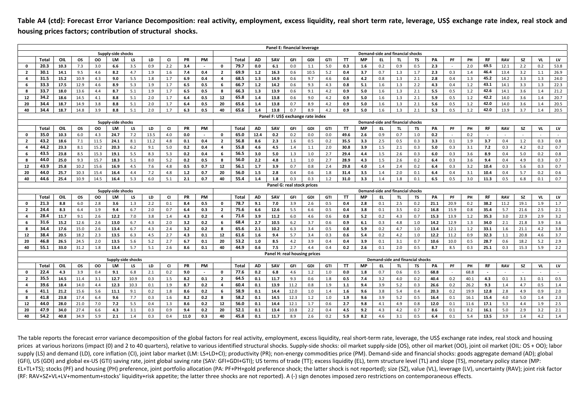**Table A4 (ctd): Forecast Error Variance Decomposition: real activity, employment, excess liquidity, real short term rate, leverage, US\$ exchange rate index, real stock and housing prices factors; contribution of structural shocks.** 

|                |              |              |              |              |                    |                    |            |            |              |                          |                     |              |            | Panel E: financial leverage       |              |            |            |              |            |            |                                  |            |              |            |              |              |            |            |            |            |
|----------------|--------------|--------------|--------------|--------------|--------------------|--------------------|------------|------------|--------------|--------------------------|---------------------|--------------|------------|-----------------------------------|--------------|------------|------------|--------------|------------|------------|----------------------------------|------------|--------------|------------|--------------|--------------|------------|------------|------------|------------|
|                |              |              |              |              | Supply-side shocks |                    |            |            |              |                          |                     |              |            |                                   |              |            |            |              |            |            | Demand-side and financial shocks |            |              |            |              |              |            |            |            |            |
|                | <b>Total</b> | OIL          | <b>OS</b>    | oo           | LM                 | LS                 | LD         | <b>CI</b>  | PR           | PM                       |                     | Total        | <b>AD</b>  | SAV                               | GFI          | GDI        | GTI        | TT           | <b>MP</b>  | EL.        |                                  | TS         | PA           | PF         | PH           | RF           | <b>RAV</b> | SZ         | <b>VL</b>  | LV         |
| $\mathbf 0$    | 20.3         | 10.3         | 7.3          | 3.0          | 6.6                | 3.5                | 0.9        | 2.2        | 3.4          | $\sim$                   | $\mathbf 0$         | 79.7         | 0.0        | 6.1                               | 0.0          | 1.1        | 5.0        | 0.3          | 1.6        | 0.2        | 0.9                              | 0.5        | 2.3          | $\sim$     | 2.0          | 69.5         | 12.1       | 2.2        | 0.2        | 53.8       |
| $\overline{2}$ | 30.1         | 14.1         | 9.5          | 4.6          | 8.2                | 4.7                | 1.9        | 1.6        | 7.4          | 0.4                      | $\overline{2}$      | 69.9         | 1.2        | 16.3                              | 0.6          | 10.5       | 5.2        | 0.4          | 3.7        | 0.7        | 1.3                              | 1.7        | 2.3          | 0.3        | 1.4          | 46.4         | 13.4       | 3.2        | 1.1        | 26.9       |
| 4              | 31.5         | 15.2         | 10.9         | 4.3          | 9.0                | 5.5                | 1.8        | 1.7        | 6.9          | 0.4                      | 4                   | 68.5         | 1.3        | 14.9                              | 0.6          | 9.7        | 4.6        | 0.6          | 4.2        | 0.8        | 1.3                              | 2.1        | 2.8          | 0.4        | 1.3          | 45.2         | 14.2       | 3.3        | 1.3        | 24.0       |
| 6              | 33.3         | 17.5         | 12.9         | 4.6          | 8.9                | 5.3                | 1.9        | 1.7        | 6.5          | 0.5                      | 6                   | 66.7         | 1.2        | 14.2                              | 0.6          | 9.3        | 4.3        | 0.8          | 5.1        | 1.6        | 1.3                              | 2.2        | 4.3          | 0.4        | 1.2          | 43.1         | 14.1       | 3.3        | 1.3        | 22.3       |
| 8              | 33.7         | 18.0         | 13.6         | 4.4          | 8.7                | 5.1                | 1.9        | 1.7        | 6.5          | 0.5                      | 8                   | 66.3         | 1.3        | 13.9                              | 0.6          | 9.1        | 4.2        | 0.9          | 5.0        | 1.6        | 1.3                              | 2.1        | 5.5          | 0.5        | 1.2          | 42.6         | 14.1       | 3.6        | 1.4        | 21.2       |
| 12             | 34.2         | 18.6         | 14.5         | 4.1          | 8.8                | 5.1                | 2.0        | 1.7        | 6.4          | 0.5                      | 12                  | 65.8         | 1.4        | 13.8                              | 0.6          | 9.0        | 4.2        | 0.9          | 5.0        | 1.6        | 1.3                              | 2.1        | 5.9          | 0.5        | 1.2          | 42.2         | 14.0       | 3.6        | 1.4        | 20.7       |
| 20             | 34.4         | 18.7         | 14.9         | 3.8          | 8.8                | 5.1                | 2.0        | 1.7        | 6.4          | 0.5                      | 20                  | 65.6         | 1.4        | 13.8                              | 0.7          | 8.9        | 4.2        | 0.9          | 5.0        | 1.6        | 1.3                              | 2.1        | 5.6          | 0.5        | 1.2          | 42.0         | 14.0       | 3.6        | 1.4        | 20.5       |
| 40             | 34.4         | 18.7         | 14.8         | 3.9          | 8.8                | 5.1                | 2.0        | 1.7        | 6.3          | 0.5                      | 40                  | 65.6         | 1.4        | 13.8                              | 0.7          | 8.9        | 4.2        | 0.9          | 5.0        | 1.6        | 1.3                              | 2.1        | 5.3          | 0.5        | 1.2          | 42.0         | 13.9       | 3.7        | 1.4        | 20.5       |
|                |              |              |              |              |                    |                    |            |            |              |                          |                     |              |            | Panel F: US\$ exchange rate index |              |            |            |              |            |            |                                  |            |              |            |              |              |            |            |            |            |
|                |              |              |              |              | Supply-side shocks |                    |            |            |              |                          |                     |              |            |                                   |              |            |            |              |            |            | Demand-side and financial shocks |            |              |            |              |              |            |            |            |            |
|                | Total        | OIL          | <b>OS</b>    | oo           | LM                 | LS                 | LD         | <b>CI</b>  | PR           | PM                       |                     | <b>Total</b> | <b>AD</b>  | SAV                               | GFI          | GDI        | GTI        | TT           | <b>MP</b>  | EL.        | TL                               | TS         | PA           | PF         | PH           | RF           | <b>RAV</b> | SZ         | VL.        | LV         |
| $\mathbf 0$    | 35.0<br>43.2 | 10.3         | 6.0          | 4.3          | 24.7               | 7.2                | 13.5       | 4.0        | 0.0          | $\sim$                   | $\mathbf 0$         | 65.0<br>56.8 | 12.4       | 0.2                               | 0.2          | 0.0        | 0.0        | 49.6         | 2.6        | 0.9        | 0.7                              | 1.0        | 0.2          |            | 0.2          |              |            |            |            |            |
| $\overline{2}$ |              | 18.6         | 7.1          | 11.5         | 24.1               | 8.1                | 11.2       | 4.8        | 0.1          | 0.4                      | $\overline{2}$      |              | 8.6        | 2.3                               | 1.6          | 0.5        | 0.2        | 35.5         | 3.3        | 2.5        | 0.5                              | 0.3        | 3.3          | 0.1        | 1.9          | 3.7          | 0.4        | 1.2        | 0.3        | 0.8        |
| 4              | 44.2<br>43.5 | 23.3         | 8.1          | 15.2         | 20.3               | 6.2                | 9.1        | 5.0        | 0.2          | 0.4                      | 4                   | 55.8         | 4.6        | 4.5                               | 1.4          | 1.1        | 2.0        | 30.8         | 3.9        | 1.5        | 2.1                              | 0.3        | 5.0          | 0.3        | 3.1          | 7.2          | 0.3        | 4.2        | 0.2        | 0.7        |
| 6              | 44.0         | 23.8<br>25.0 | 8.5<br>9.3   | 15.3<br>15.7 | 19.1<br>18.3       | 5.5                | 8.3        | 5.3<br>5.2 | 0.2<br>0.2   | 0.4<br>0.5               | 6<br>8              | 56.5<br>56.0 | 3.0<br>2.2 | 5.0<br>4.8                        | 1.3<br>1.1   | 1.0        | 2.7<br>2.7 | 29.4<br>28.9 | 4.4<br>4.3 | 1.5<br>1.5 | 2.6<br>2.6                       | 0.3<br>0.2 | 6.0          | 0.3<br>0.3 | 3.6<br>3.6   | 8.9<br>9.4   | 0.4<br>0.4 | 5.0        | 0.2<br>0.3 | 0.8<br>0.7 |
| 8<br>12        | 43.9         | 25.8         | 10.2         | 15.6         | 16.9               | 5.1<br>4.5         | 8.0<br>7.6 | 4.8        |              | 0.7                      | 12                  | 56.1         | 1.7        | 3.9                               | 0.7          | 1.0<br>0.8 | 2.4        | 29.8         | 4.0        | 1.4        | 2.4                              | 0.2        | 6.4          | 0.3        | 3.2          | 10.4         | 0.3        | 4.9        | 0.3        | 0.7        |
|                | 44.0         |              |              |              |                    |                    |            |            | 0.5          | 0.7                      | 20                  | 56.0         |            | 2.8                               | 0.4          | 0.6        | 1.8        | 31.4         |            | 1.4        | 2.0                              |            | 6.4          |            |              | 10.4         |            | 5.6        | 0.2        | 0.6        |
| 20<br>40       | 44.6         | 25.7<br>25.4 | 10.3<br>10.9 | 15.4<br>14.5 | 16.4<br>16.4       | 4.4<br>5.3         | 7.2<br>6.0 | 4.8<br>5.1 | $1.2$<br>2.1 | 0.7                      | 40                  | 55.4         | 1.5<br>1.4 | 1.8                               | 0.3          | 0.3        | 1.2        | 31.0         | 3.5<br>3.3 | 1.4        | 1.8                              | 0.1<br>0.1 | 6.4<br>6.5   | 0.4<br>0.5 | 3.1<br>3.0   | 11.3         | 0.4<br>0.5 | 5.7<br>6.8 | 0.1        | 0.7        |
|                |              |              |              |              |                    |                    |            |            |              |                          |                     |              |            | Panel G: real stock prices        |              |            |            |              |            |            |                                  |            |              |            |              |              |            |            |            |            |
|                |              |              |              |              | Supply-side shocks |                    |            |            |              |                          |                     |              |            |                                   |              |            |            |              |            |            | Demand-side and financial shocks |            |              |            |              |              |            |            |            |            |
|                | Total        | OIL          | <b>OS</b>    | oo           | LM                 | LS                 | LD         | CI         | PR           | PM                       |                     | <b>Total</b> | <b>AD</b>  | SAV                               | GFI          | GDI        | GTI        | TT           | <b>MP</b>  | EL.        | TL.                              | <b>TS</b>  | PA           | PF         | PH           | RF           | <b>RAV</b> | SZ         | VL         | LV         |
| $\mathbf 0$    | 21.3         | 8.8          | 6.0          | 2.8          | 3.6                | 1.3                | 2.2        | 0.1        | 8.4          | 0.5                      | $\mathbf 0$         | 78.7         | 9.1        | 7.0                               | 3.9          | 2.6        | 0.5        | 0.4          | 2.8        | 0.1        | 2.5                              | 0.2        | 21.1         | 20.9       | 0.2          | 38.2         | 11.2       | 19.1       | 1.9        | 1.7        |
| $\overline{2}$ | 24.4         | 8.3          | 6.4          | 1.9          | 9.4                | 6.7                | 2.0        | 0.7        | 6.4          | 0.3                      | $\overline{2}$      | 75.6         | 6.6        | 12.6                              | 5.5          | 6.6        | 0.5        | 0.4          | 3.8        | 0.1        | 3.5                              | 0.2        | 16.8         | 15.9       | 0.8          | 35.4         | 5.7        | 21.6       | 2.5        | 2.1        |
| 4              | 28.4         | 11.7         | 9.1          | 2.6          | 12.2               | 7.0                | 3.8        | 1.4        | 4.3          | 0.2                      | $\overline{\bf{4}}$ | 71.6         | 3.9        | 11.2                              | 6.0          | 4.6        | 0.6        | 0.8          | 5.2        | 0.2        | 4.3                              | 0.7        | 15.3         | 13.9       | 1.2          | 35.3         | 3.0        | 22.9       | 2.9        | 3.2        |
| 6              | 31.6         | 15.2         | 12.6         | 2.6          | 13.0               | 6.7                | 4.3        | 2.0        | 3.2          | 0.2                      | 6                   | 68.4         | 2.7        | 10.5                              | $6.2$        | 3.7        | 0.6        | 0.9          | 6.1        | 0.3        | 4.8                              | 1.0        | 14.2         | 12.9       | 1.3          | 34.0         | 2.1        | 21.8       | 3.9        | 3.6        |
| 8              | 34.4         | 17.6         | 15.0         | 2.6          | 13.4               | 6.7                | 4.3        | 2.4        | 3.2          | 0.2                      | 8                   | 65.6         | 2.1        | 10.2                              | 6.3          | 3.4        | 0.5        | 0.8          | 5.9        | 0.2        | 4.7                              | 1.0        | 13.4         | 12.1       | 1.2          | 33.1         | 1.6        | 21.1       | 4.2        | 3.8        |
| 12             | 38.4         | 20.5         | 18.2         | 2.3          | 13.5               | 6.3                | 4.5        | 2.7        | 4.3          | 0.1                      | 12                  | 61.6         | 1.6        | 9.4                               | 5.7          | 3.4        | 0.3        | 0.6          | 5.4        | 0.2        | 4.2                              | 1.0        | 12.2         | 11.2       | 0.9          | 32.3         | 1.1        | 20.8       | 4.6        | 3.7        |
| 20             | 46.8         | 26.5         | 24.5         | 2.0          | 13.5               | 5.6                | 5.2        | 2.7        | 6.7          | 0.1                      | 20                  | 53.2         | 1.0        | 8.5                               | 4.2          | 3.9        | 0.4        | 0.4          | 3.9        | 0.1        | 3.1                              | 0.7        | 10.6         | 10.0       | 0.5          | 28.7         | 0.6        | 18.2       | 5.2        | 2.9        |
| 40             | 55.1         | 33.0         | 31.2         | 1.8          | 13.4               | 5.7                | 5.1        | 2.6        | 8.6          | $0.1\,$                  | 40                  | 44.9         | 0.6        | 7.5                               | 2.7          | 4.4        | 0.4        | 0.2          | 2.6        | 0.1        | 2.0                              | 0.5        | 8.7          | 8.5        | 0.3          | 25.1         | 0.3        | 15.3       | 5.9        | 2.2        |
|                |              |              |              |              |                    |                    |            |            |              |                          |                     |              |            | Panel H: real housing prices      |              |            |            |              |            |            |                                  |            |              |            |              |              |            |            |            |            |
|                |              |              |              |              |                    | Supply-side shocks |            |            |              |                          |                     |              |            |                                   |              |            |            |              |            |            | Demand-side and financial shocks |            |              |            |              |              |            |            |            |            |
|                | <b>Total</b> | <b>OIL</b>   | <b>OS</b>    | oo           | LM                 | LS                 | LD         | CI         | PR           | PM                       |                     | Total        | <b>AD</b>  | SAV                               | GFI          | GDI        | GTI        | TT           | MP         | EL.        | TL                               | TS         | PA           | PF         | PH           | RF           | <b>RAV</b> | SZ         | VL.        | LV         |
| $\mathbf 0$    | 22.4         | 4.3          | 3.9          | 0.4          | 9.1                | 6.8                | 2.1        | 0.2        | 9.0          | $\overline{\phantom{a}}$ | 0                   | 77.6         | 0.2        | 6.8                               | 4.6          | 1.2        | 1.0        | 0.0          | 1.8        | 0.7        | 0.6                              | 0.5        | 68.8         |            | 68.8         |              |            |            |            |            |
| $\overline{2}$ | 35.5         | 14.5         | 11.4         | 3.1          | 12.7               | 10.9               | 0.3        | 1.5        | 8.2          | 0.1                      | $\overline{2}$      | 64.5         | 0.1        | 11.7                              | 9.3          | 0.6        | 1.8        | 0.5          | 7.4        | 3.2        | 4.0                              | 0.2        | 40.4         | 0.2        | 40.1         | 4.3          | 0.1        | 3.1        | 0.1        | 0.5        |
| 4              | 39.6         | 18.4         | 14.0         | 4.4          | 12.3               | 10.3               | 0.1        | 1.9        | 8.7          | 0.2                      | $\overline{\bf{4}}$ | 60.4         | 0.1        | 13.9                              | 11.2         | 0.8        | 1.9        | 1.1          | 9.4        | 3.9        | 5.2                              | 0.3        | 26.6         | 0.2        | 26.2         | 9.3          | 1.4        | 4.7        | 0.5        | $1.4$      |
| 6<br>8         | 41.1         | 21.2         | 15.6         | 5.6          | 11.1               | 9.1                | 0.2        | 1.8        | 8.6          | 0.2                      | 6                   | 58.9         | 0.1<br>0.1 | 14.4                              | 12.0         | 1.0        | 1.4        | 1.6          | 9.6        | 3.8<br>3.9 | 5.4<br>5.2                       | 0.4<br>0.5 | 20.3<br>16.4 | 0.2<br>0.1 | 19.9<br>16.1 | 12.8<br>15.4 | 2.8<br>4.0 | 4.9<br>5.0 | 0.9<br>1.4 | 2.0        |
|                |              |              |              |              |                    |                    |            |            |              |                          |                     |              |            |                                   |              |            |            |              |            |            |                                  |            |              |            |              |              |            |            |            | 2.3        |
|                | 41.8         | 23.8         | 17.4         | 6.4          | 9.6                | 7.7                | 0.3        | 1.6        | 8.2          | 0.2                      | 8                   | 58.2         |            | 14.5                              | 12.3         | 1.2        | 1.0        | 1.9          | 9.6        |            |                                  |            |              |            |              |              |            |            |            |            |
| 12<br>20       | 44.0<br>47.9 | 28.0<br>34.0 | 21.0<br>27.4 | 7.0<br>6.6   | 7.2<br>4.3         | 5.5<br>3.1         | 0.4<br>0.3 | 1.3<br>0.9 | 8.6<br>9.4   | 0.2<br>0.2               | 12<br>20            | 56.0<br>52.1 | 0.1<br>0.1 | 14.4<br>13.4                      | 12.1<br>10.8 | 1.7<br>2.2 | 0.6<br>0.4 | 2.7<br>4.5   | 9.8<br>9.2 | 4.1<br>4.3 | 4.9<br>4.2                       | 0.8<br>0.7 | 12.0<br>8.6  | 0.1<br>0.1 | 11.6<br>8.2  | 17.1<br>16.1 | 5.3<br>5.0 | 4.4<br>2.9 | 1.9<br>3.2 | 2.5<br>2.1 |

The table reports the forecast error variance decomposition of the global factors for real activity, employment, excess liquidity, real short‐term rate, leverage, the US\$ exchange rate index, real stock and housing prices at various horizons (impact (0) and 2 to 40 quarters), relative to various identified structural shocks. Supply-side shocks: oil market supply-side (OS), other oil market (OO), joint oil market (OIL: OS + OO); labor supply (LS) and demand (LD), core inflation (CI), joint labor market (LM: LS+LD+CI); productivity (PR); non-energy commodities price (PM). Demand-side and financial shocks: goods aggregate demand (AD); global (GFI), US (GDI) and global ex‐US (GTI) saving rate, joint global saving rate (SAV: GFI+GDI+GTI); US terms of trade (TT); excess liquidity (EL), term structure level (TL) and slope (TS), monetary policy stance (MP: EL+TL+TS); stocks (PF) and housing (PH) preference, joint portfolio allocation (PA: PF+PH+gold preference shock; the latter shock is not reported); size (SZ), value (VL), leverage (LV), uncertainty (RAV); joint risk factor (RF: RAV+SZ+VL+LV+momentum+stocks' liquidity+risk appetite; the latter three shocks are not reported). A (‐) sign denotes imposed zero restrictions on contemporaneous effects.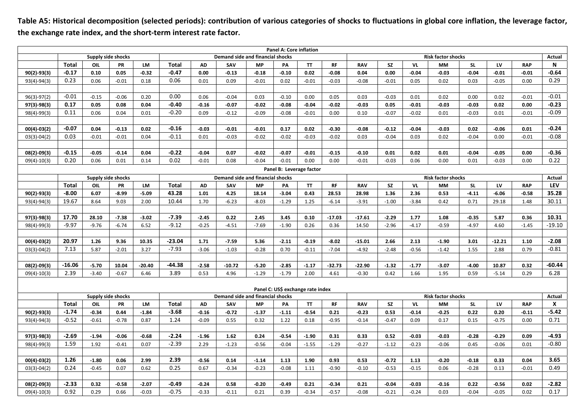**Table A5: Historical decomposition (selected periods): contribution of various categories of shocks to fluctuations in global core inflation, the leverage factor, the exchange rate index, and the short‐term interest rate factor.** 

|                                   |              |                    |         |           |                                  |           |          |           | Panel A: Core inflation |           |                                     |                           |           |         |           |           |          |            |          |
|-----------------------------------|--------------|--------------------|---------|-----------|----------------------------------|-----------|----------|-----------|-------------------------|-----------|-------------------------------------|---------------------------|-----------|---------|-----------|-----------|----------|------------|----------|
|                                   |              | Supply side shocks |         |           | Demand side and financial shocks |           |          |           |                         |           |                                     | <b>Risk factor shocks</b> |           |         |           |           |          |            |          |
|                                   | Total        | OIL                | PR      | <b>LM</b> | Total                            | <b>AD</b> | SAV      | <b>MP</b> | PA                      | <b>TT</b> | <b>RF</b>                           | <b>RAV</b>                | <b>SZ</b> | VL      | <b>MM</b> | <b>SL</b> | LV       | <b>RAP</b> | N        |
| 90(2)-93(3)                       | $-0.17$      | 0.10               | 0.05    | $-0.32$   | $-0.47$                          | 0.00      | $-0.13$  | $-0.18$   | $-0.10$                 | 0.02      | $-0.08$                             | 0.04                      | 0.00      | $-0.04$ | $-0.03$   | $-0.04$   | $-0.01$  | $-0.01$    | $-0.64$  |
| $93(4)-94(3)$                     | 0.23         | 0.06               | $-0.01$ | 0.18      | 0.06                             | 0.01      | 0.09     | $-0.01$   | 0.02                    | $-0.01$   | $-0.03$                             | $-0.08$                   | $-0.01$   | 0.05    | 0.02      | 0.03      | $-0.05$  | 0.00       | 0.29     |
|                                   |              |                    |         |           |                                  |           |          |           |                         |           |                                     |                           |           |         |           |           |          |            |          |
| 96(3)-97(2)                       | $-0.01$      | $-0.15$            | $-0.06$ | 0.20      | 0.00                             | 0.06      | $-0.04$  | 0.03      | $-0.10$                 | 0.00      | 0.05                                | 0.03                      | $-0.03$   | 0.01    | 0.02      | 0.00      | 0.02     | $-0.01$    | $-0.01$  |
| 97(3)-98(3)                       | 0.17         | 0.05               | 0.08    | 0.04      | $-0.40$                          | $-0.16$   | $-0.07$  | $-0.02$   | $-0.08$                 | $-0.04$   | $-0.02$                             | $-0.03$                   | 0.05      | $-0.01$ | $-0.03$   | $-0.03$   | 0.02     | 0.00       | $-0.23$  |
| 98(4)-99(3)                       | 0.11         | 0.06               | 0.04    | 0.01      | $-0.20$                          | 0.09      | $-0.12$  | $-0.09$   | $-0.08$                 | $-0.01$   | 0.00                                | 0.10                      | $-0.07$   | $-0.02$ | 0.01      | $-0.03$   | 0.01     | $-0.01$    | $-0.09$  |
|                                   |              |                    |         |           |                                  |           |          |           |                         |           |                                     |                           |           |         |           |           |          |            |          |
| $00(4) - 03(2)$                   | $-0.07$      | 0.04               | $-0.13$ | 0.02      | $-0.16$                          | $-0.03$   | $-0.01$  | $-0.01$   | 0.17                    | 0.02      | $-0.30$                             | $-0.08$                   | $-0.12$   | $-0.04$ | $-0.03$   | 0.02      | $-0.06$  | 0.01       | $-0.24$  |
| $03(3)-04(2)$                     | 0.03         | $-0.01$            | $-0.01$ | 0.04      | $-0.11$                          | 0.01      | $-0.03$  | $-0.02$   | $-0.02$                 | $-0.03$   | $-0.02$                             | 0.03                      | $-0.04$   | 0.03    | 0.02      | $-0.04$   | 0.00     | $-0.01$    | $-0.08$  |
|                                   |              |                    |         |           |                                  |           |          |           |                         |           |                                     |                           |           |         |           |           |          |            |          |
| 08(2)-09(3)                       | $-0.15$      | $-0.05$            | $-0.14$ | 0.04      | $-0.22$                          | $-0.04$   | 0.07     | $-0.02$   | $-0.07$                 | $-0.01$   | $-0.15$                             | $-0.10$                   | 0.01      | 0.02    | 0.01      | $-0.04$   | $-0.05$  | 0.00       | $-0.36$  |
| $09(4)-10(3)$                     | 0.20         | 0.06               | 0.01    | 0.14      | 0.02                             | $-0.01$   | 0.08     | $-0.04$   | $-0.01$                 | 0.00      | 0.00                                | $-0.01$                   | $-0.03$   | 0.06    | 0.00      | 0.01      | $-0.03$  | 0.00       | 0.22     |
| Panel B: Leverage factor          |              |                    |         |           |                                  |           |          |           |                         |           |                                     |                           |           |         |           |           |          |            |          |
|                                   |              | Supply side shocks |         |           | Demand side and financial shocks |           |          |           |                         |           |                                     | <b>Risk factor shocks</b> |           |         |           |           |          |            |          |
|                                   | <b>Total</b> | OIL                | PR      | <b>LM</b> | <b>Total</b>                     | <b>AD</b> | SAV      | <b>MP</b> | PA                      | <b>TT</b> | <b>RF</b>                           | <b>RAV</b>                | <b>SZ</b> | VL      | <b>MM</b> | <b>SL</b> | LV       | <b>RAP</b> | LEV      |
| $90(2) - 93(3)$                   | $-8.00$      | 6.07               | $-8.99$ | $-5.09$   | 43.28                            | 1.01      | 4.25     | 18.14     | $-3.04$                 | 0.43      | 28.53                               | 28.98                     | 1.36      | 2.36    | 0.53      | $-4.11$   | $-6.06$  | $-0.58$    | 35.28    |
| $93(4)-94(3)$                     | 19.67        | 8.64               | 9.03    | 2.00      | 10.44                            | 1.70      | $-6.23$  | $-8.03$   | $-1.29$                 | 1.25      | $-6.14$                             | $-3.91$                   | $-1.00$   | $-3.84$ | 0.42      | 0.71      | 29.18    | 1.48       | 30.11    |
|                                   |              |                    |         |           |                                  |           |          |           |                         |           |                                     |                           |           |         |           |           |          |            |          |
| 97(3)-98(3)                       | 17.70        | 28.10              | $-7.38$ | $-3.02$   | $-7.39$                          | $-2.45$   | 0.22     | 2.45      | 3.45                    | 0.10      | $-17.03$                            | $-17.61$                  | $-2.29$   | 1.77    | 1.08      | $-0.35$   | 5.87     | 0.36       | 10.31    |
| 98(4)-99(3)                       | $-9.97$      | $-9.76$            | $-6.74$ | 6.52      | $-9.12$                          | $-0.25$   | $-4.51$  | $-7.69$   | $-1.90$                 | 0.26      | 0.36                                | 14.50                     | $-2.96$   | $-4.17$ | $-0.59$   | $-4.97$   | 4.60     | $-1.45$    | $-19.10$ |
|                                   |              |                    |         |           |                                  |           |          |           |                         |           |                                     |                           |           |         |           |           |          |            |          |
| $00(4)-03(2)$                     | 20.97        | 1.26               | 9.36    | 10.35     | $-23.04$                         | 1.71      | $-7.59$  | 5.36      | $-2.11$                 | $-0.19$   | $-8.02$                             | $-15.01$                  | 2.66      | 2.13    | $-1.90$   | 3.01      | $-12.21$ | 1.10       | $-2.08$  |
| $03(3)-04(2)$                     | 7.13         | 5.87               | $-2.01$ | 3.27      | $-7.93$                          | $-3.06$   | $-1.03$  | $-0.28$   | 0.70                    | $-0.11$   | $-7.04$                             | $-4.92$                   | $-2.48$   | $-0.56$ | $-1.42$   | 1.55      | 2.88     | 0.79       | $-0.81$  |
|                                   |              |                    |         |           |                                  |           |          |           |                         |           |                                     |                           |           |         |           |           |          |            |          |
| 08(2)-09(3)                       | $-16.06$     | $-5.70$            | 10.04   | $-20.40$  | -44.38                           | $-2.58$   | $-10.72$ | $-5.20$   | $-2.85$                 | $-1.17$   | $-32.73$                            | $-22.90$                  | $-1.32$   | $-1.77$ | $-3.07$   | $-4.00$   | 10.87    | 0.32       | $-60.44$ |
| $09(4)-10(3)$                     | 2.39         | $-3.40$            | $-0.67$ | 6.46      | 3.89                             | 0.53      | 4.96     | $-1.29$   | $-1.79$                 | 2.00      | 4.61                                | $-0.30$                   | 0.42      | 1.66    | 1.95      | 0.59      | $-5.14$  | 0.29       | 6.28     |
|                                   |              |                    |         |           |                                  |           |          |           |                         |           |                                     |                           |           |         |           |           |          |            |          |
| Panel C: US\$ exchange rate index |              |                    |         |           |                                  |           |          |           |                         |           |                                     |                           |           |         |           |           |          |            |          |
|                                   |              | Supply side shocks |         |           | Demand side and financial shocks |           |          |           |                         |           | <b>Risk factor shocks</b><br>Actual |                           |           |         |           |           |          |            |          |
|                                   | <b>Total</b> | OIL                | PR      | LM        | <b>Total</b>                     | AD        | SAV      | <b>MP</b> | PA                      | <b>TT</b> | <b>RF</b>                           | <b>RAV</b>                | <b>SZ</b> | VL      | <b>MM</b> | <b>SL</b> | LV       | <b>RAP</b> | X        |
| $90(2) - 93(3)$                   | $-1.74$      | $-0.34$            | 0.44    | $-1.84$   | $-3.68$                          | $-0.16$   | $-0.72$  | $-1.37$   | $-1.11$                 | $-0.54$   | 0.21                                | $-0.23$                   | 0.53      | $-0.14$ | $-0.25$   | 0.22      | 0.20     | $-0.11$    | $-5.42$  |
| $93(4)-94(3)$                     | $-0.52$      | $-0.61$            | $-0.78$ | 0.87      | 1.24                             | $-0.09$   | 0.55     | 0.32      | 1.22                    | 0.18      | $-0.95$                             | $-0.14$                   | $-0.47$   | 0.09    | 0.17      | 0.15      | $-0.75$  | 0.00       | 0.71     |
|                                   |              |                    |         |           |                                  |           |          |           |                         |           |                                     |                           |           |         |           |           |          |            |          |
| 97(3)-98(3)                       | $-2.69$      | $-1.94$            | $-0.06$ | $-0.68$   | $-2.24$                          | $-1.96$   | 1.62     | 0.24      | $-0.54$                 | $-1.90$   | 0.31                                | 0.33                      | 0.52      | $-0.03$ | $-0.03$   | $-0.28$   | $-0.29$  | 0.09       | $-4.93$  |
| 98(4)-99(3)                       | 1.59         | 1.92               | $-0.41$ | 0.07      | $-2.39$                          | 2.29      | $-1.23$  | $-0.56$   | $-0.04$                 | $-1.55$   | $-1.29$                             | $-0.27$                   | $-1.12$   | $-0.23$ | $-0.06$   | 0.45      | $-0.06$  | 0.01       | $-0.80$  |
|                                   |              |                    |         |           |                                  |           |          |           |                         |           |                                     |                           |           |         |           |           |          |            |          |
| $00(4) - 03(2)$                   | 1.26         | $-1.80$            | 0.06    | 2.99      | 2.39                             | $-0.56$   | 0.14     | $-1.14$   | 1.13                    | 1.90      | 0.93                                | 0.53                      | $-0.72$   | 1.13    | $-0.20$   | $-0.18$   | 0.33     | 0.04       | 3.65     |
| $03(3)-04(2)$                     | 0.24         | $-0.45$            | 0.07    | 0.62      | 0.25                             | 0.67      | $-0.34$  | $-0.23$   | $-0.08$                 | 1.11      | $-0.90$                             | $-0.10$                   | $-0.53$   | $-0.15$ | 0.06      | $-0.28$   | 0.13     | $-0.01$    | 0.49     |
|                                   |              |                    |         |           |                                  |           |          |           |                         |           |                                     |                           |           |         |           |           |          |            |          |
| 08(2)-09(3)                       | $-2.33$      | 0.32               | $-0.58$ | $-2.07$   | $-0.49$                          | $-0.24$   | 0.58     | $-0.20$   | $-0.49$                 | 0.21      | $-0.34$                             | 0.21                      | $-0.04$   | $-0.03$ | $-0.16$   | 0.22      | $-0.56$  | 0.02       | $-2.82$  |
| $09(4)-10(3)$                     | 0.92         | 0.29               | 0.66    | $-0.03$   | $-0.75$                          | $-0.33$   | $-0.11$  | 0.21      | 0.39                    | $-0.34$   | $-0.57$                             | $-0.08$                   | $-0.21$   | $-0.24$ | 0.03      | $-0.04$   | $-0.05$  | 0.02       | 0.17     |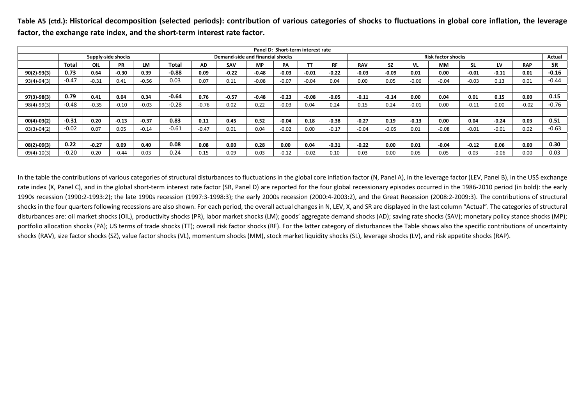Table A5 (ctd.): Historical decomposition (selected periods): contribution of various categories of shocks to fluctuations in global core inflation, the leverage factor, the exchange rate index, and the short-term interest rate factor.

| Panel D: Short-term interest rate |         |         |                    |         |                                  |           |            |           |         |         |         |            |                           |         |           |           |         |            |           |  |
|-----------------------------------|---------|---------|--------------------|---------|----------------------------------|-----------|------------|-----------|---------|---------|---------|------------|---------------------------|---------|-----------|-----------|---------|------------|-----------|--|
|                                   |         |         | Supply-side shocks |         | Demand-side and financial shocks |           |            |           |         |         |         |            | <b>Risk factor shocks</b> |         |           |           |         |            |           |  |
|                                   | Total   | OIL     | <b>PR</b>          | LM      | Total                            | <b>AD</b> | <b>SAV</b> | <b>MP</b> | PA      |         | RF      | <b>RAV</b> | <b>SZ</b>                 | VL      | <b>MM</b> | <b>SL</b> | LV      | <b>RAP</b> | <b>SR</b> |  |
| $90(2) - 93(3)$                   | 0.73    | 0.64    | $-0.30$            | 0.39    | $-0.88$                          | 0.09      | $-0.22$    | $-0.48$   | $-0.03$ | $-0.01$ | $-0.22$ | $-0.03$    | $-0.09$                   | 0.01    | 0.00      | $-0.01$   | $-0.11$ | 0.01       | $-0.16$   |  |
| $93(4)-94(3)$                     | $-0.47$ | $-0.31$ | 0.41               | $-0.56$ | 0.03                             | 0.07      | 0.11       | $-0.08$   | $-0.07$ | $-0.04$ | 0.04    | 0.00       | 0.05                      | $-0.06$ | $-0.04$   | $-0.03$   | 0.13    | 0.01       | $-0.44$   |  |
|                                   |         |         |                    |         |                                  |           |            |           |         |         |         |            |                           |         |           |           |         |            |           |  |
| $97(3) - 98(3)$                   | 0.79    | 0.41    | 0.04               | 0.34    | $-0.64$                          | 0.76      | $-0.57$    | $-0.48$   | $-0.23$ | $-0.08$ | $-0.05$ | $-0.11$    | $-0.14$                   | 0.00    | 0.04      | 0.01      | 0.15    | 0.00       | 0.15      |  |
| 98(4)-99(3)                       | $-0.48$ | $-0.35$ | $-0.10$            | $-0.03$ | $-0.28$                          | $-0.76$   | 0.02       | 0.22      | $-0.03$ | 0.04    | 0.24    | 0.15       | 0.24                      | $-0.01$ | 0.00      | $-0.11$   | 0.00    | $-0.02$    | $-0.76$   |  |
|                                   |         |         |                    |         |                                  |           |            |           |         |         |         |            |                           |         |           |           |         |            |           |  |
| $00(4) - 03(2)$                   | $-0.31$ | 0.20    | $-0.13$            | $-0.37$ | 0.83                             | 0.11      | 0.45       | 0.52      | $-0.04$ | 0.18    | $-0.38$ | $-0.27$    | 0.19                      | $-0.13$ | 0.00      | 0.04      | $-0.24$ | 0.03       | 0.51      |  |
| $03(3)-04(2)$                     | $-0.02$ | 0.07    | 0.05               | $-0.14$ | $-0.61$                          | $-0.47$   | 0.01       | 0.04      | $-0.02$ | 0.00    | $-0.17$ | $-0.04$    | $-0.05$                   | 0.01    | $-0.08$   | $-0.01$   | $-0.01$ | 0.02       | $-0.63$   |  |
|                                   |         |         |                    |         |                                  |           |            |           |         |         |         |            |                           |         |           |           |         |            |           |  |
| $08(2) - 09(3)$                   | 0.22    | $-0.27$ | 0.09               | 0.40    | 0.08                             | 0.08      | 0.00       | 0.28      | 0.00    | 0.04    | $-0.31$ | $-0.22$    | 0.00                      | 0.01    | $-0.04$   | $-0.12$   | 0.06    | 0.00       | 0.30      |  |
| $09(4)-10(3)$                     | $-0.20$ | 0.20    | $-0.44$            | 0.03    | 0.24                             | 0.15      | 0.09       | 0.03      | $-0.12$ | $-0.02$ | 0.10    | 0.03       | 0.00                      | 0.05    | 0.05      | 0.03      | $-0.06$ | 0.00       | 0.03      |  |

In the table the contributions of various categories of structural disturbances to fluctuations in the global core inflation factor (N, Panel A), in the leverage factor (LEV, Panel B), in the US\$ exchange rate index (X, Panel C), and in the global short-term interest rate factor (SR, Panel D) are reported for the four global recessionary episodes occurred in the 1986-2010 period (in bold): the early 1990s recession (1990:2‐1993:2); the late 1990s recession (1997:3‐1998:3); the early 2000s recession (2000:4‐2003:2), and the Great Recession (2008:2‐2009:3). The contributions of structural shocks in the four quarters following recessions are also shown. For each period, the overall actual changes in N, LEV, X, and SR are displayed in the last column "Actual". The categories of structural disturbances are: oil market shocks (OIL), productivity shocks (PR), labor market shocks (LM); goods' aggregate demand shocks (AD); saving rate shocks (SAV); monetary policy stance shocks (MP); portfolio allocation shocks (PA); US terms of trade shocks (TT); overall risk factor shocks (RF). For the latter category of disturbances the Table shows also the specific contributions of uncertainty shocks (RAV), size factor shocks (SZ), value factor shocks (VL), momentum shocks (MM), stock market liquidity shocks (SL), leverage shocks (LV), and risk appetite shocks (RAP).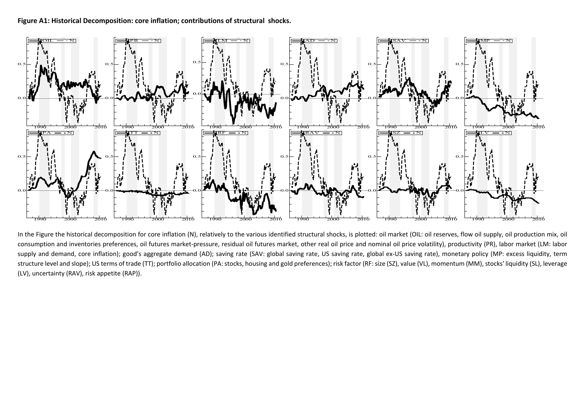#### **Figure A1: Historical Decomposition: core inflation; contributions of structural shocks.**



In the Figure the historical decomposition for core inflation (N), relatively to the various identified structural shocks, is plotted: oil market (OIL: oil reserves, flow oil supply, oil production mix, oil consumption and inventories preferences, oil futures market-pressure, residual oil futures market, other real oil price and nominal oil price volatility), productivity (PR), labor market (LM: labor supply and demand, core inflation); good's aggregate demand (AD); saving rate (SAV: global saving rate, US saving rate, global ex-US saving rate), monetary policy (MP: excess liquidity, term structure level and slope); US terms of trade (TT); portfolio allocation (PA: stocks, housing and gold preferences); risk factor (RF: size (SZ), value (VL), momentum (MM), stocks' liquidity (SL), leverage (LV), uncertainty (RAV), risk appetite (RAP)).